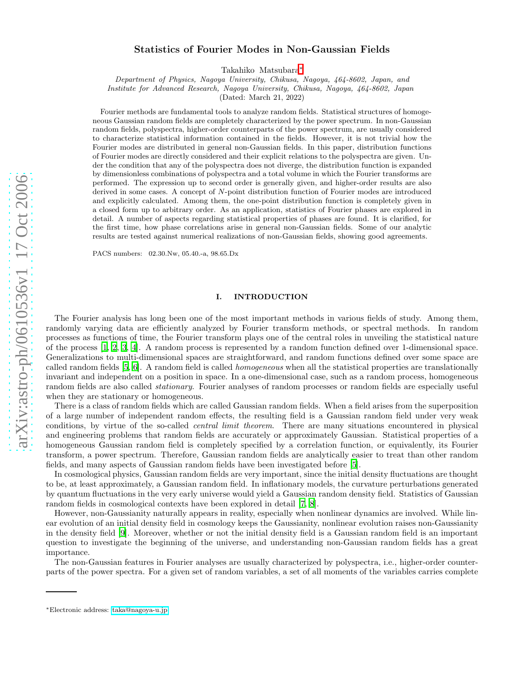# arXiv:astro-ph/0610536v1 17 Oct 2006 [arXiv:astro-ph/0610536v1 17 Oct 2006](http://arxiv.org/abs/astro-ph/0610536v1)

# Statistics of Fourier Modes in Non-Gaussian Fields

Takahiko Matsubara [∗](#page-0-0)

Department of Physics, Nagoya University, Chikusa, Nagoya, 464-8602, Japan, and

Institute for Advanced Research, Nagoya University, Chikusa, Nagoya, 464-8602, Japan

(Dated: March 21, 2022)

Fourier methods are fundamental tools to analyze random fields. Statistical structures of homogeneous Gaussian random fields are completely characterized by the power spectrum. In non-Gaussian random fields, polyspectra, higher-order counterparts of the power spectrum, are usually considered to characterize statistical information contained in the fields. However, it is not trivial how the Fourier modes are distributed in general non-Gaussian fields. In this paper, distribution functions of Fourier modes are directly considered and their explicit relations to the polyspectra are given. Under the condition that any of the polyspectra does not diverge, the distribution function is expanded by dimensionless combinations of polyspectra and a total volume in which the Fourier transforms are performed. The expression up to second order is generally given, and higher-order results are also derived in some cases. A concept of N-point distribution function of Fourier modes are introduced and explicitly calculated. Among them, the one-point distribution function is completely given in a closed form up to arbitrary order. As an application, statistics of Fourier phases are explored in detail. A number of aspects regarding statistical properties of phases are found. It is clarified, for the first time, how phase correlations arise in general non-Gaussian fields. Some of our analytic results are tested against numerical realizations of non-Gaussian fields, showing good agreements.

PACS numbers: 02.30.Nw, 05.40.-a, 98.65.Dx

# I. INTRODUCTION

The Fourier analysis has long been one of the most important methods in various fields of study. Among them, randomly varying data are efficiently analyzed by Fourier transform methods, or spectral methods. In random processes as functions of time, the Fourier transform plays one of the central roles in unveiling the statistical nature of the process [\[1,](#page-36-0) [2](#page-36-1), [3,](#page-36-2) [4](#page-36-3)]. A random process is represented by a random function defined over 1-dimensional space. Generalizations to multi-dimensional spaces are straightforward, and random functions defined over some space are called random fields [\[5,](#page-36-4) [6\]](#page-36-5). A random field is called homogeneous when all the statistical properties are translationally invariant and independent on a position in space. In a one-dimensional case, such as a random process, homogeneous random fields are also called *stationary*. Fourier analyses of random processes or random fields are especially useful when they are stationary or homogeneous.

There is a class of random fields which are called Gaussian random fields. When a field arises from the superposition of a large number of independent random effects, the resulting field is a Gaussian random field under very weak conditions, by virtue of the so-called *central limit theorem*. There are many situations encountered in physical and engineering problems that random fields are accurately or approximately Gaussian. Statistical properties of a homogeneous Gaussian random field is completely specified by a correlation function, or equivalently, its Fourier transform, a power spectrum. Therefore, Gaussian random fields are analytically easier to treat than other random fields, and many aspects of Gaussian random fields have been investigated before [\[5\]](#page-36-4).

In cosmological physics, Gaussian random fields are very important, since the initial density fluctuations are thought to be, at least approximately, a Gaussian random field. In inflationary models, the curvature perturbations generated by quantum fluctuations in the very early universe would yield a Gaussian random density field. Statistics of Gaussian random fields in cosmological contexts have been explored in detail [\[7](#page-36-6), [8](#page-36-7)].

However, non-Gaussianity naturally appears in reality, especially when nonlinear dynamics are involved. While linear evolution of an initial density field in cosmology keeps the Gaussianity, nonlinear evolution raises non-Gaussianity in the density field [\[9\]](#page-36-8). Moreover, whether or not the initial density field is a Gaussian random field is an important question to investigate the beginning of the universe, and understanding non-Gaussian random fields has a great importance.

The non-Gaussian features in Fourier analyses are usually characterized by polyspectra, i.e., higher-order counterparts of the power spectra. For a given set of random variables, a set of all moments of the variables carries complete

<span id="page-0-0"></span><sup>∗</sup>Electronic address: [taka@nagoya-u.jp](mailto:taka@nagoya-u.jp)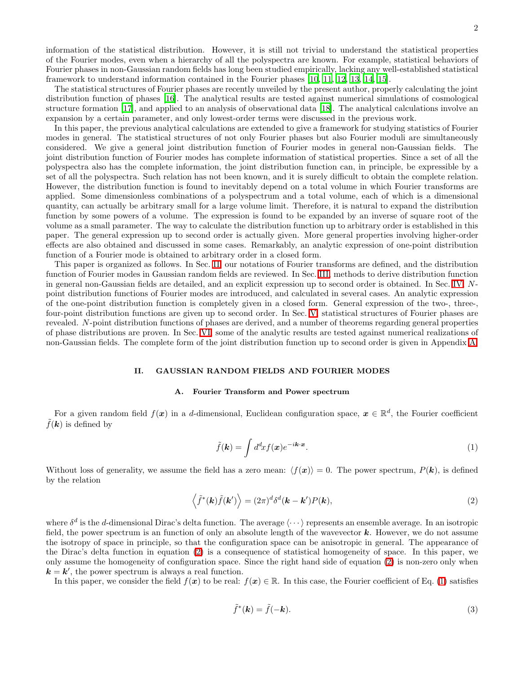information of the statistical distribution. However, it is still not trivial to understand the statistical properties of the Fourier modes, even when a hierarchy of all the polyspectra are known. For example, statistical behaviors of Fourier phases in non-Gaussian random fields has long been studied empirically, lacking any well-established statistical framework to understand information contained in the Fourier phases [\[10](#page-36-9), [11](#page-36-10), [12](#page-36-11), [13](#page-36-12), [14](#page-36-13), [15](#page-36-14)].

The statistical structures of Fourier phases are recently unveiled by the present author, properly calculating the joint distribution function of phases [\[16\]](#page-36-15). The analytical results are tested against numerical simulations of cosmological structure formation [\[17\]](#page-36-16), and applied to an analysis of observational data [\[18](#page-36-17)]. The analytical calculations involve an expansion by a certain parameter, and only lowest-order terms were discussed in the previous work.

In this paper, the previous analytical calculations are extended to give a framework for studying statistics of Fourier modes in general. The statistical structures of not only Fourier phases but also Fourier moduli are simultaneously considered. We give a general joint distribution function of Fourier modes in general non-Gaussian fields. The joint distribution function of Fourier modes has complete information of statistical properties. Since a set of all the polyspectra also has the complete information, the joint distribution function can, in principle, be expressible by a set of all the polyspectra. Such relation has not been known, and it is surely difficult to obtain the complete relation. However, the distribution function is found to inevitably depend on a total volume in which Fourier transforms are applied. Some dimensionless combinations of a polyspectrum and a total volume, each of which is a dimensional quantity, can actually be arbitrary small for a large volume limit. Therefore, it is natural to expand the distribution function by some powers of a volume. The expression is found to be expanded by an inverse of square root of the volume as a small parameter. The way to calculate the distribution function up to arbitrary order is established in this paper. The general expression up to second order is actually given. More general properties involving higher-order effects are also obtained and discussed in some cases. Remarkably, an analytic expression of one-point distribution function of a Fourier mode is obtained to arbitrary order in a closed form.

This paper is organized as follows. In Sec. [II,](#page-1-0) our notations of Fourier transforms are defined, and the distribution function of Fourier modes in Gaussian random fields are reviewed. In Sec. [III,](#page-3-0) methods to derive distribution function in general non-Gaussian fields are detailed, and an explicit expression up to second order is obtained. In Sec. [IV,](#page-9-0) Npoint distribution functions of Fourier modes are introduced, and calculated in several cases. An analytic expression of the one-point distribution function is completely given in a closed form. General expression of the two-, three-, four-point distribution functions are given up to second order. In Sec. [V,](#page-16-0) statistical structures of Fourier phases are revealed. N-point distribution functions of phases are derived, and a number of theorems regarding general properties of phase distributions are proven. In Sec. [VI,](#page-21-0) some of the analytic results are tested against numerical realizations of non-Gaussian fields. The complete form of the joint distribution function up to second order is given in Appendix [A.](#page-33-0)

# II. GAUSSIAN RANDOM FIELDS AND FOURIER MODES

# A. Fourier Transform and Power spectrum

<span id="page-1-2"></span><span id="page-1-0"></span>For a given random field  $f(x)$  in a d-dimensional, Euclidean configuration space,  $x \in \mathbb{R}^d$ , the Fourier coefficient  $\tilde{f}(\boldsymbol{k})$  is defined by

$$
\tilde{f}(\mathbf{k}) = \int d^d x f(\mathbf{x}) e^{-i\mathbf{k} \cdot \mathbf{x}}.
$$
\n(1)

<span id="page-1-1"></span>Without loss of generality, we assume the field has a zero mean:  $\langle f(\mathbf{x}) \rangle = 0$ . The power spectrum,  $P(\mathbf{k})$ , is defined by the relation

$$
\langle \tilde{f}^*(\mathbf{k})\tilde{f}(\mathbf{k}') \rangle = (2\pi)^d \delta^d(\mathbf{k} - \mathbf{k}') P(\mathbf{k}), \qquad (2)
$$

where  $\delta^d$  is the d-dimensional Dirac's delta function. The average  $\langle \cdots \rangle$  represents an ensemble average. In an isotropic field, the power spectrum is an function of only an absolute length of the wavevector  $k$ . However, we do not assume the isotropy of space in principle, so that the configuration space can be anisotropic in general. The appearance of the Dirac's delta function in equation [\(2\)](#page-1-1) is a consequence of statistical homogeneity of space. In this paper, we only assume the homogeneity of configuration space. Since the right hand side of equation [\(2\)](#page-1-1) is non-zero only when  $k = k'$ , the power spectrum is always a real function.

<span id="page-1-3"></span>In this paper, we consider the field  $f(x)$  to be real:  $f(x) \in \mathbb{R}$ . In this case, the Fourier coefficient of Eq. [\(1\)](#page-1-2) satisfies

$$
\tilde{f}^*(\mathbf{k}) = \tilde{f}(-\mathbf{k}).\tag{3}
$$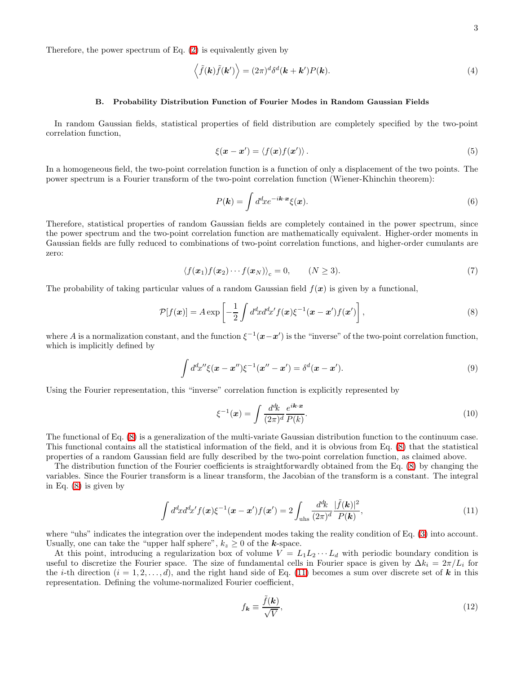Therefore, the power spectrum of Eq. [\(2\)](#page-1-1) is equivalently given by

$$
\langle \tilde{f}(\mathbf{k})\tilde{f}(\mathbf{k}') \rangle = (2\pi)^d \delta^d(\mathbf{k} + \mathbf{k}') P(\mathbf{k}). \tag{4}
$$

### B. Probability Distribution Function of Fourier Modes in Random Gaussian Fields

In random Gaussian fields, statistical properties of field distribution are completely specified by the two-point correlation function,

<span id="page-2-2"></span>
$$
\xi(\boldsymbol{x} - \boldsymbol{x}') = \langle f(\boldsymbol{x}) f(\boldsymbol{x}') \rangle. \tag{5}
$$

In a homogeneous field, the two-point correlation function is a function of only a displacement of the two points. The power spectrum is a Fourier transform of the two-point correlation function (Wiener-Khinchin theorem):

<span id="page-2-0"></span>
$$
P(\mathbf{k}) = \int d^d x e^{-i\mathbf{k} \cdot \mathbf{x}} \xi(\mathbf{x}). \tag{6}
$$

Therefore, statistical properties of random Gaussian fields are completely contained in the power spectrum, since the power spectrum and the two-point correlation function are mathematically equivalent. Higher-order moments in Gaussian fields are fully reduced to combinations of two-point correlation functions, and higher-order cumulants are zero:

$$
\langle f(\boldsymbol{x}_1)f(\boldsymbol{x}_2)\cdots f(\boldsymbol{x}_N)\rangle_c=0,\qquad (N\geq 3). \tag{7}
$$

The probability of taking particular values of a random Gaussian field  $f(x)$  is given by a functional,

$$
\mathcal{P}[f(\boldsymbol{x})] = A \exp\left[-\frac{1}{2} \int d^d x d^d x' f(\boldsymbol{x}) \xi^{-1}(\boldsymbol{x} - \boldsymbol{x}') f(\boldsymbol{x}')\right],\tag{8}
$$

where A is a normalization constant, and the function  $\xi^{-1}(\mathbf{x}-\mathbf{x}')$  is the "inverse" of the two-point correlation function, which is implicitly defined by

$$
\int d^d x'' \xi(\mathbf{x} - \mathbf{x}'') \xi^{-1}(\mathbf{x}'' - \mathbf{x}') = \delta^d(\mathbf{x} - \mathbf{x}'). \tag{9}
$$

Using the Fourier representation, this "inverse" correlation function is explicitly represented by

$$
\xi^{-1}(x) = \int \frac{d^d k}{(2\pi)^d} \frac{e^{ik \cdot x}}{P(k)}.\tag{10}
$$

The functional of Eq. [\(8\)](#page-2-0) is a generalization of the multi-variate Gaussian distribution function to the continuum case. This functional contains all the statistical information of the field, and it is obvious from Eq. [\(8\)](#page-2-0) that the statistical properties of a random Gaussian field are fully described by the two-point correlation function, as claimed above.

<span id="page-2-1"></span>The distribution function of the Fourier coefficients is straightforwardly obtained from the Eq. [\(8\)](#page-2-0) by changing the variables. Since the Fourier transform is a linear transform, the Jacobian of the transform is a constant. The integral in Eq. [\(8\)](#page-2-0) is given by

$$
\int d^d x d^d x' f(\boldsymbol{x}) \xi^{-1}(\boldsymbol{x} - \boldsymbol{x}') f(\boldsymbol{x}') = 2 \int_{\text{uhs}} \frac{d^d k}{(2\pi)^d} \frac{|\tilde{f}(\boldsymbol{k})|^2}{P(\boldsymbol{k})},\tag{11}
$$

where "uhs" indicates the integration over the independent modes taking the reality condition of Eq. [\(3\)](#page-1-3) into account. Usually, one can take the "upper half sphere",  $k_z \geq 0$  of the *k*-space.

At this point, introducing a regularization box of volume  $V = L_1 L_2 \cdots L_d$  with periodic boundary condition is useful to discretize the Fourier space. The size of fundamental cells in Fourier space is given by  $\Delta k_i = 2\pi/L_i$  for the *i*-th direction  $(i = 1, 2, \ldots, d)$ , and the right hand side of Eq. [\(11\)](#page-2-1) becomes a sum over discrete set of **k** in this representation. Defining the volume-normalized Fourier coefficient,

$$
f_{\mathbf{k}} \equiv \frac{\tilde{f}(\mathbf{k})}{\sqrt{V}},\tag{12}
$$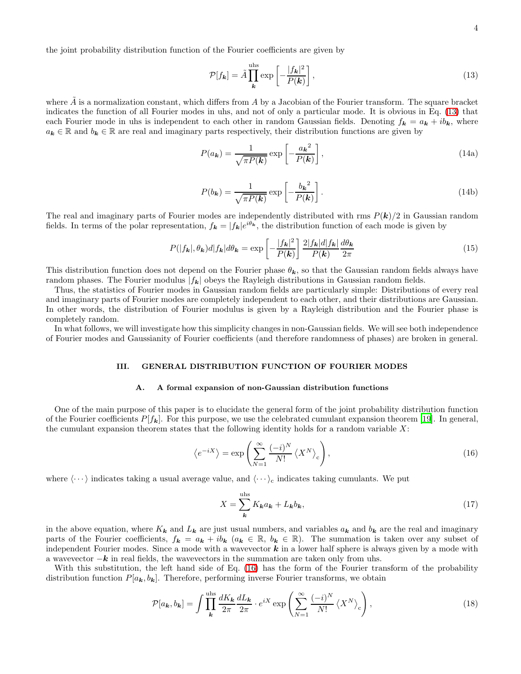the joint probability distribution function of the Fourier coefficients are given by

<span id="page-3-5"></span><span id="page-3-1"></span>
$$
\mathcal{P}[f_{\mathbf{k}}] = \tilde{A} \prod_{\mathbf{k}}^{\text{uhs}} \exp\left[-\frac{|f_{\mathbf{k}}|^2}{P(\mathbf{k})}\right],\tag{13}
$$

where  $\tilde{A}$  is a normalization constant, which differs from A by a Jacobian of the Fourier transform. The square bracket indicates the function of all Fourier modes in uhs, and not of only a particular mode. It is obvious in Eq. [\(13\)](#page-3-1) that each Fourier mode in uhs is independent to each other in random Gaussian fields. Denoting  $f_k = a_k + ib_k$ , where  $a_k \in \mathbb{R}$  and  $b_k \in \mathbb{R}$  are real and imaginary parts respectively, their distribution functions are given by

$$
P(a_{\mathbf{k}}) = \frac{1}{\sqrt{\pi P(\mathbf{k})}} \exp\left[-\frac{a_{\mathbf{k}}^2}{P(\mathbf{k})}\right],
$$
\n(14a)

<span id="page-3-7"></span>
$$
P(b_{\mathbf{k}}) = \frac{1}{\sqrt{\pi P(\mathbf{k})}} \exp\left[-\frac{b_{\mathbf{k}}^2}{P(\mathbf{k})}\right].
$$
\n(14b)

<span id="page-3-6"></span>The real and imaginary parts of Fourier modes are independently distributed with rms  $P(k)/2$  in Gaussian random fields. In terms of the polar representation,  $f_k = |f_k|e^{i\theta_k}$ , the distribution function of each mode is given by

$$
P(|f_{\mathbf{k}}|, \theta_{\mathbf{k}})d|f_{\mathbf{k}}|d\theta_{\mathbf{k}} = \exp\left[-\frac{|f_{\mathbf{k}}|^2}{P(\mathbf{k})}\right] \frac{2|f_{\mathbf{k}}|d|f_{\mathbf{k}}|}{P(\mathbf{k})} \frac{d\theta_{\mathbf{k}}}{2\pi}
$$
(15)

This distribution function does not depend on the Fourier phase  $\theta_k$ , so that the Gaussian random fields always have random phases. The Fourier modulus  $|f_{\mathbf{k}}|$  obeys the Rayleigh distributions in Gaussian random fields.

Thus, the statistics of Fourier modes in Gaussian random fields are particularly simple: Distributions of every real and imaginary parts of Fourier modes are completely independent to each other, and their distributions are Gaussian. In other words, the distribution of Fourier modulus is given by a Rayleigh distribution and the Fourier phase is completely random.

<span id="page-3-0"></span>In what follows, we will investigate how this simplicity changes in non-Gaussian fields. We will see both independence of Fourier modes and Gaussianity of Fourier coefficients (and therefore randomness of phases) are broken in general.

# III. GENERAL DISTRIBUTION FUNCTION OF FOURIER MODES

### A. A formal expansion of non-Gaussian distribution functions

One of the main purpose of this paper is to elucidate the general form of the joint probability distribution function of the Fourier coefficients  $P[f_k]$ . For this purpose, we use the celebrated cumulant expansion theorem [\[19\]](#page-36-18). In general, the cumulant expansion theorem states that the following identity holds for a random variable  $X$ :

$$
\langle e^{-iX} \rangle = \exp\left(\sum_{N=1}^{\infty} \frac{(-i)^N}{N!} \langle X^N \rangle_c\right),\tag{16}
$$

where  $\langle \cdots \rangle$  indicates taking a usual average value, and  $\langle \cdots \rangle_c$  indicates taking cumulants. We put

<span id="page-3-4"></span><span id="page-3-3"></span><span id="page-3-2"></span>
$$
X = \sum_{k}^{\text{uhs}} K_{k} a_{k} + L_{k} b_{k},\tag{17}
$$

in the above equation, where  $K_k$  and  $L_k$  are just usual numbers, and variables  $a_k$  and  $b_k$  are the real and imaginary parts of the Fourier coefficients,  $f_k = a_k + ib_k$   $(a_k \in \mathbb{R}, b_k \in \mathbb{R})$ . The summation is taken over any subset of independent Fourier modes. Since a mode with a wavevector  $k$  in a lower half sphere is always given by a mode with a wavevector  $-k$  in real fields, the wavevectors in the summation are taken only from uhs.

With this substitution, the left hand side of Eq. [\(16\)](#page-3-2) has the form of the Fourier transform of the probability distribution function  $P[a_k, b_k]$ . Therefore, performing inverse Fourier transforms, we obtain

$$
\mathcal{P}[a_{\mathbf{k}}, b_{\mathbf{k}}] = \int \prod_{\mathbf{k}}^{\text{uhs}} \frac{dK_{\mathbf{k}}}{2\pi} \frac{dL_{\mathbf{k}}}{2\pi} \cdot e^{iX} \exp\left(\sum_{N=1}^{\infty} \frac{(-i)^N}{N!} \left\langle X^N \right\rangle_c \right),\tag{18}
$$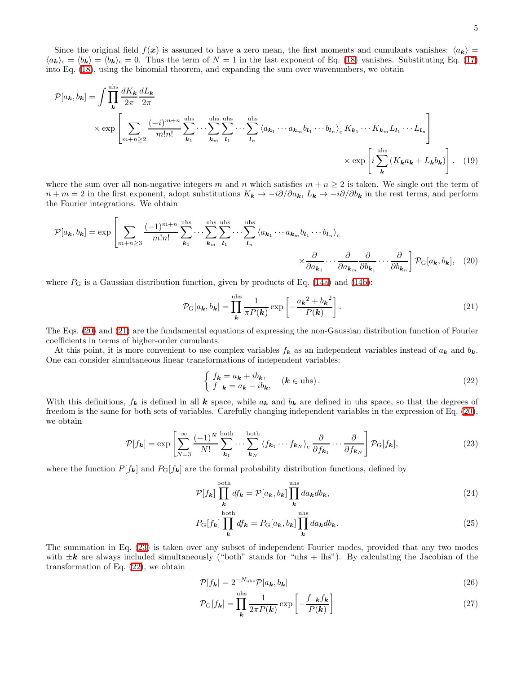Since the original field  $f(x)$  is assumed to have a zero mean, the first moments and cumulants vanishes:  $\langle a_{\bf k} \rangle$  =  $\langle a_{\mathbf{k}} \rangle_c = \langle b_{\mathbf{k}} \rangle = \langle b_{\mathbf{k}} \rangle_c = 0$ . Thus the term of  $N = 1$  in the last exponent of Eq. [\(18\)](#page-3-3) vanishes. Substituting Eq. [\(17\)](#page-3-4) into Eq. [\(18\)](#page-3-3), using the binomial theorem, and expanding the sum over wavenumbers, we obtain

$$
\mathcal{P}[a_{\mathbf{k}}, b_{\mathbf{k}}] = \int \prod_{\mathbf{k}}^{\text{uhs}} \frac{dK_{\mathbf{k}}}{2\pi} \frac{dL_{\mathbf{k}}}{2\pi}
$$
  
 
$$
\times \exp \left[ \sum_{m+n \geq 2} \frac{(-i)^{m+n}}{m!n!} \sum_{\mathbf{k}_1}^{\text{uhs}} \cdots \sum_{\mathbf{k}_m}^{\text{uhs}} \sum_{l_1}^{\text{uhs}} \cdots \sum_{l_n}^{\text{uhs}} \langle a_{\mathbf{k}_1} \cdots a_{\mathbf{k}_m} b_{l_1} \cdots b_{l_n} \rangle_c K_{\mathbf{k}_1} \cdots K_{\mathbf{k}_m} L_{l_1} \cdots L_{l_n} \right]
$$
  
 
$$
\times \exp \left[ i \sum_{\mathbf{k}}^{\text{uhs}} (K_{\mathbf{k}} a_{\mathbf{k}} + L_{\mathbf{k}} b_{\mathbf{k}}) \right]. \quad (19)
$$

where the sum over all non-negative integers m and n which satisfies  $m + n \geq 2$  is taken. We single out the term of  $n + m = 2$  in the first exponent, adopt substitutions  $K_k \to -i\partial/\partial a_k$ ,  $L_k \to -i\partial/\partial b_k$  in the rest terms, and perform the Fourier integrations. We obtain

$$
\mathcal{P}[a_{\mathbf{k}}, b_{\mathbf{k}}] = \exp\left[\sum_{m+n\geq 3} \frac{(-1)^{m+n}}{m!n!} \sum_{\mathbf{k}_1}^{\text{uhs}} \cdots \sum_{\mathbf{k}_m}^{\text{uhs}} \sum_{l_1}^{\text{uhs}} \cdots \sum_{l_n}^{\text{uhs}} \langle a_{\mathbf{k}_1} \cdots a_{\mathbf{k}_m} b_{l_1} \cdots b_{l_n} \rangle_c \times \frac{\partial}{\partial a_{\mathbf{k}_1}} \cdots \frac{\partial}{\partial a_{\mathbf{k}_n}} \frac{\partial}{\partial b_{\mathbf{k}_1}} \cdots \frac{\partial}{\partial b_{\mathbf{k}_n}} \right] \mathcal{P}_{\mathcal{G}}[a_{\mathbf{k}}, b_{\mathbf{k}}], \quad (20)
$$

where  $P_G$  is a Gaussian distribution function, given by products of Eq. [\(14a\)](#page-3-5) and [\(14b\)](#page-3-6):

<span id="page-4-1"></span><span id="page-4-0"></span>
$$
\mathcal{P}_{\mathcal{G}}[a_{\boldsymbol{k}}, b_{\boldsymbol{k}}] = \prod_{\boldsymbol{k}}^{\text{uhs}} \frac{1}{\pi P(\boldsymbol{k})} \exp\left[-\frac{a_{\boldsymbol{k}}^2 + b_{\boldsymbol{k}}^2}{P(\boldsymbol{k})}\right].\tag{21}
$$

The Eqs. [\(20\)](#page-4-0) and [\(21\)](#page-4-1) are the fundamental equations of expressing the non-Gaussian distribution function of Fourier coefficients in terms of higher-order cumulants.

At this point, it is more convenient to use complex variables  $f_k$  as an independent variables instead of  $a_k$  and  $b_k$ . One can consider simultaneous linear transformations of independent variables:

<span id="page-4-3"></span>
$$
\begin{cases} f_{\mathbf{k}} = a_{\mathbf{k}} + ib_{\mathbf{k}}, \\ f_{-\mathbf{k}} = a_{\mathbf{k}} - ib_{\mathbf{k}}, \end{cases} (\mathbf{k} \in \text{uhs}). \tag{22}
$$

<span id="page-4-2"></span>With this definitions,  $f_k$  is defined in all k space, while  $a_k$  and  $b_k$  are defined in uhs space, so that the degrees of freedom is the same for both sets of variables. Carefully changing independent variables in the expression of Eq. [\(20\)](#page-4-0), we obtain

<span id="page-4-5"></span>
$$
\mathcal{P}[f_{\mathbf{k}}] = \exp\left[\sum_{N=3}^{\infty} \frac{(-1)^N}{N!} \sum_{\mathbf{k}_1}^{\text{both}} \cdots \sum_{\mathbf{k}_N}^{\text{both}} \langle f_{\mathbf{k}_1} \cdots f_{\mathbf{k}_N} \rangle_c \frac{\partial}{\partial f_{\mathbf{k}_1}} \cdots \frac{\partial}{\partial f_{\mathbf{k}_N}}\right] \mathcal{P}_{\text{G}}[f_{\mathbf{k}}],\tag{23}
$$

where the function  $P[f_k]$  and  $P_G[f_k]$  are the formal probability distribution functions, defined by

$$
\mathcal{P}[f_{\mathbf{k}}] \prod_{\mathbf{k}}^{\text{both}} df_{\mathbf{k}} = \mathcal{P}[a_{\mathbf{k}}, b_{\mathbf{k}}] \prod_{\mathbf{k}}^{\text{uhs}} da_{\mathbf{k}} db_{\mathbf{k}},
$$
\n(24)

$$
P_{\mathcal{G}}[f_{\mathbf{k}}] \prod_{\mathbf{k}}^{\text{both}} df_{\mathbf{k}} = P_{\mathcal{G}}[a_{\mathbf{k}}, b_{\mathbf{k}}] \prod_{\mathbf{k}}^{\text{uhs}} da_{\mathbf{k}} db_{\mathbf{k}}.
$$
\n(25)

The summation in Eq. [\(23\)](#page-4-2) is taken over any subset of independent Fourier modes, provided that any two modes with  $\pm k$  are always included simultaneously ("both" stands for "uhs + lhs"). By calculating the Jacobian of the transformation of Eq. [\(22\)](#page-4-3), we obtain

<span id="page-4-4"></span>
$$
\mathcal{P}[f_{\mathbf{k}}] = 2^{-N_{\text{uhs}}}\mathcal{P}[a_{\mathbf{k}}, b_{\mathbf{k}}]
$$
\n(26)

$$
\mathcal{P}_{\rm G}[f_{\boldsymbol{k}}] = \prod_{\boldsymbol{k}}^{\rm uhs} \frac{1}{2\pi P(\boldsymbol{k})} \exp\left[-\frac{f_{-\boldsymbol{k}}f_{\boldsymbol{k}}}{P(\boldsymbol{k})}\right]
$$
(27)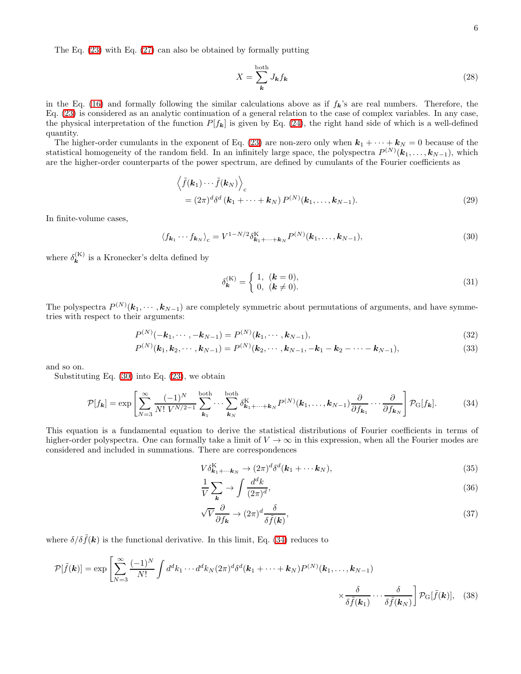The Eq. [\(23\)](#page-4-2) with Eq. [\(27\)](#page-4-4) can also be obtained by formally putting

$$
X = \sum_{k}^{\text{both}} J_{k} f_{k} \tag{28}
$$

in the Eq. [\(16\)](#page-3-2) and formally following the similar calculations above as if  $f_k$ 's are real numbers. Therefore, the Eq. [\(23\)](#page-4-2) is considered as an analytic continuation of a general relation to the case of complex variables. In any case, the physical interpretation of the function  $P[f_k]$  is given by Eq. [\(24\)](#page-4-5), the right hand side of which is a well-defined quantity.

The higher-order cumulants in the exponent of Eq. [\(23\)](#page-4-2) are non-zero only when  $k_1 + \cdots + k_N = 0$  because of the statistical homogeneity of the random field. In an infinitely large space, the polyspectra  $P^{(N)}(\mathbf{k}_1,\ldots,\mathbf{k}_{N-1}),$  which are the higher-order counterparts of the power spectrum, are defined by cumulants of the Fourier coefficients as

$$
\left\langle \tilde{f}(\mathbf{k}_1) \cdots \tilde{f}(\mathbf{k}_N) \right\rangle_c
$$
  
=  $(2\pi)^d \delta^d (\mathbf{k}_1 + \cdots + \mathbf{k}_N) P^{(N)}(\mathbf{k}_1, \dots, \mathbf{k}_{N-1}).$  (29)

<span id="page-5-0"></span>In finite-volume cases,

$$
\langle f_{\mathbf{k}_1} \cdots f_{\mathbf{k}_N} \rangle_c = V^{1 - N/2} \delta_{\mathbf{k}_1 + \cdots + \mathbf{k}_N}^{\mathbf{K}} P^{(N)}(\mathbf{k}_1, \ldots, \mathbf{k}_{N-1}), \tag{30}
$$

where  $\delta_{\mathbf{k}}^{(K)}$  is a Kronecker's delta defined by

$$
\delta_{\mathbf{k}}^{(\mathrm{K})} = \begin{cases} 1, & (\mathbf{k} = 0), \\ 0, & (\mathbf{k} \neq 0). \end{cases}
$$
(31)

The polyspectra  $P^{(N)}(\mathbf{k}_1,\dots,\mathbf{k}_{N-1})$  are completely symmetric about permutations of arguments, and have symmetries with respect to their arguments:

$$
P^{(N)}(-\mathbf{k}_1,\cdots,-\mathbf{k}_{N-1})=P^{(N)}(\mathbf{k}_1,\cdots,\mathbf{k}_{N-1}),
$$
\n(32)

<span id="page-5-1"></span>
$$
P^{(N)}(\mathbf{k}_1, \mathbf{k}_2, \cdots, \mathbf{k}_{N-1}) = P^{(N)}(\mathbf{k}_2, \cdots, \mathbf{k}_{N-1}, -\mathbf{k}_1 - \mathbf{k}_2 - \cdots - \mathbf{k}_{N-1}),
$$
\n(33)

and so on.

Substituting Eq. [\(30\)](#page-5-0) into Eq. [\(23\)](#page-4-2), we obtain

$$
\mathcal{P}[f_{\mathbf{k}}] = \exp\left[\sum_{N=3}^{\infty} \frac{(-1)^N}{N! \ V^{N/2-1}} \sum_{\mathbf{k}_1}^{\text{both}} \cdots \sum_{\mathbf{k}_N}^{\text{both}} \delta_{\mathbf{k}_1 + \dots + \mathbf{k}_N}^K P^{(N)}(\mathbf{k}_1, \dots, \mathbf{k}_{N-1}) \frac{\partial}{\partial f_{\mathbf{k}_1}} \cdots \frac{\partial}{\partial f_{\mathbf{k}_N}}\right] \mathcal{P}_{\mathbf{G}}[f_{\mathbf{k}}].
$$
 (34)

This equation is a fundamental equation to derive the statistical distributions of Fourier coefficients in terms of higher-order polyspectra. One can formally take a limit of  $V \to \infty$  in this expression, when all the Fourier modes are considered and included in summations. There are correspondences

$$
V\delta_{\mathbf{k}_1+\cdots\mathbf{k}_N}^{\mathbf{K}} \to (2\pi)^d \delta^d(\mathbf{k}_1+\cdots\mathbf{k}_N),
$$
\n(35)

$$
\frac{1}{V} \sum_{\mathbf{k}} \rightarrow \int \frac{d^d k}{(2\pi)^d},\tag{36}
$$

$$
\sqrt{V} \frac{\partial}{\partial f_{\mathbf{k}}} \to (2\pi)^d \frac{\delta}{\delta \tilde{f}(\mathbf{k})},\tag{37}
$$

where  $\delta/\delta \tilde{f}(\mathbf{k})$  is the functional derivative. In this limit, Eq. [\(34\)](#page-5-1) reduces to

$$
\mathcal{P}[\tilde{f}(\mathbf{k})] = \exp\left[\sum_{N=3}^{\infty} \frac{(-1)^N}{N!} \int d^d k_1 \cdots d^d k_N (2\pi)^d \delta^d(\mathbf{k}_1 + \cdots + \mathbf{k}_N) P^{(N)}(\mathbf{k}_1, \dots, \mathbf{k}_{N-1}) \times \frac{\delta}{\delta \tilde{f}(\mathbf{k}_1)} \cdots \frac{\delta}{\delta \tilde{f}(\mathbf{k}_N)} \right] \mathcal{P}_{\rm G}[\tilde{f}(\mathbf{k})], \quad (38)
$$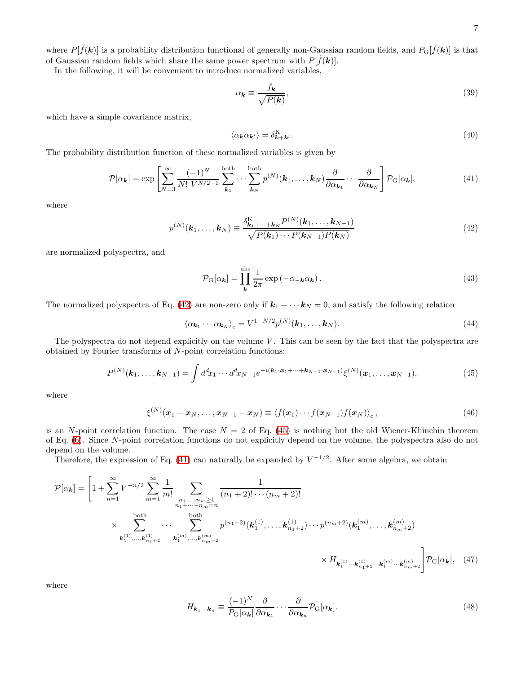where  $P[\tilde{f}(\mathbf{k})]$  is a probability distribution functional of generally non-Gaussian random fields, and  $P_G[\tilde{f}(\mathbf{k})]$  is that of Gaussian random fields which share the same power spectrum with  $P[\tilde{f}(\mathbf{k})].$ 

In the following, it will be convenient to introduce normalized variables,

$$
\alpha_{\mathbf{k}} \equiv \frac{f_{\mathbf{k}}}{\sqrt{P(\mathbf{k})}},\tag{39}
$$

which have a simple covariance matrix,

<span id="page-6-2"></span>
$$
\langle \alpha_{\mathbf{k}} \alpha_{\mathbf{k'}} \rangle = \delta_{\mathbf{k} + \mathbf{k'}}^{\mathbf{K}}.
$$
\n(40)

The probability distribution function of these normalized variables is given by

$$
\mathcal{P}[\alpha_{\mathbf{k}}] = \exp\left[\sum_{N=3}^{\infty} \frac{(-1)^N}{N! \ V^{N/2-1}} \sum_{\mathbf{k}_1}^{\text{both}} \cdots \sum_{\mathbf{k}_N}^{\text{both}} p^{(N)}(\mathbf{k}_1, \dots, \mathbf{k}_N) \frac{\partial}{\partial \alpha_{\mathbf{k}_1}} \cdots \frac{\partial}{\partial \alpha_{\mathbf{k}_N}} \right] \mathcal{P}_{\text{G}}[\alpha_{\mathbf{k}}],\tag{41}
$$

<span id="page-6-0"></span>where

$$
p^{(N)}(\mathbf{k}_1,\ldots,\mathbf{k}_N) \equiv \frac{\delta_{\mathbf{k}_1+\cdots+\mathbf{k}_N}^{\mathbf{K}} P^{(N)}(\mathbf{k}_1,\ldots,\mathbf{k}_{N-1})}{\sqrt{P(\mathbf{k}_1)\cdots P(\mathbf{k}_{N-1})P(\mathbf{k}_N)}}
$$
(42)

are normalized polyspectra, and

<span id="page-6-4"></span>
$$
\mathcal{P}_{\mathbf{G}}[\alpha_{\mathbf{k}}] = \prod_{\mathbf{k}}^{\text{uhs}} \frac{1}{2\pi} \exp(-\alpha_{-\mathbf{k}} \alpha_{\mathbf{k}}). \tag{43}
$$

The normalized polyspectra of Eq. [\(42\)](#page-6-0) are non-zero only if  $k_1 + \cdots k_N = 0$ , and satisfy the following relation

<span id="page-6-1"></span>
$$
\langle \alpha_{\mathbf{k}_1} \cdots \alpha_{\mathbf{k}_N} \rangle_c = V^{1 - N/2} p^{(N)}(\mathbf{k}_1, \dots, \mathbf{k}_N).
$$
\n(44)

The polyspectra do not depend explicitly on the volume  $V$ . This can be seen by the fact that the polyspectra are obtained by Fourier transforms of N-point correlation functions:

$$
P^{(N)}(\mathbf{k}_1,\ldots,\mathbf{k}_{N-1}) = \int d^d x_1 \cdots d^d x_{N-1} e^{-i(\mathbf{k}_1 \cdot \mathbf{x}_1 + \cdots + \mathbf{k}_{N-1} \cdot \mathbf{x}_{N-1})} \xi^{(N)}(\mathbf{x}_1,\ldots,\mathbf{x}_{N-1}),
$$
(45)

where

$$
\xi^{(N)}(\boldsymbol{x}_1-\boldsymbol{x}_N,\ldots,\boldsymbol{x}_{N-1}-\boldsymbol{x}_N)\equiv \langle f(\boldsymbol{x}_1)\cdots f(\boldsymbol{x}_{N-1})f(\boldsymbol{x}_N)\rangle_c\,,\tag{46}
$$

is an N-point correlation function. The case  $N = 2$  of Eq. [\(45\)](#page-6-1) is nothing but the old Wiener-Khinchin theorem of Eq. [\(6\)](#page-2-2). Since N-point correlation functions do not explicitly depend on the volume, the polyspectra also do not depend on the volume.

Therefore, the expression of Eq. [\(41\)](#page-6-2) can naturally be expanded by  $V^{-1/2}$ . After some algebra, we obtain

$$
\mathcal{P}[\alpha_{\mathbf{k}}] = \left[1 + \sum_{n=1}^{\infty} V^{-n/2} \sum_{m=1}^{\infty} \frac{1}{m!} \sum_{\substack{n_1, \dots, n_m \ge 1 \\ n_1 + \dots + n_m = n}} \frac{1}{(n_1 + 2)! \cdots (n_m + 2)!} \times \sum_{\substack{k_1^{(1)}, \dots, k_{n_1 + 2}^{(1)} \dots k_n^{(1)}, \dots, k_{n_1 + 2}^{(m)}}} \frac{\omega_{\text{both}}}{k_1^{(1)}, \dots, k_{n_1 + 2}^{(1)}} \cdots p^{(n_1 + 2)} \cdot \frac{\omega_{\text{both}}}{k_1^{(1)}, \dots, k_{n_1 + 2}^{(m)}} \cdots p^{(n_m + 2)} \cdot \frac{\omega_{\text{both}}}{k_1^{(1)}, \dots, k_{n_m + 2}^{(m)}} \right]
$$
\n
$$
\times H_{\mathbf{k}_1^{(1)} \dots \mathbf{k}_{n_1 + 2}^{(1)} \dots \mathbf{k}_1^{(m)}} \mathcal{P}_{\mathbf{G}}[\alpha_{\mathbf{k}}], \quad (47)
$$

where

<span id="page-6-3"></span>
$$
H_{\mathbf{k}_1\cdots\mathbf{k}_n} \equiv \frac{(-1)^N}{P_\mathbf{G}[\alpha_\mathbf{k}]} \frac{\partial}{\partial \alpha_{\mathbf{k}_1}} \cdots \frac{\partial}{\partial \alpha_{\mathbf{k}_n}} \mathcal{P}_\mathbf{G}[\alpha_\mathbf{k}]. \tag{48}
$$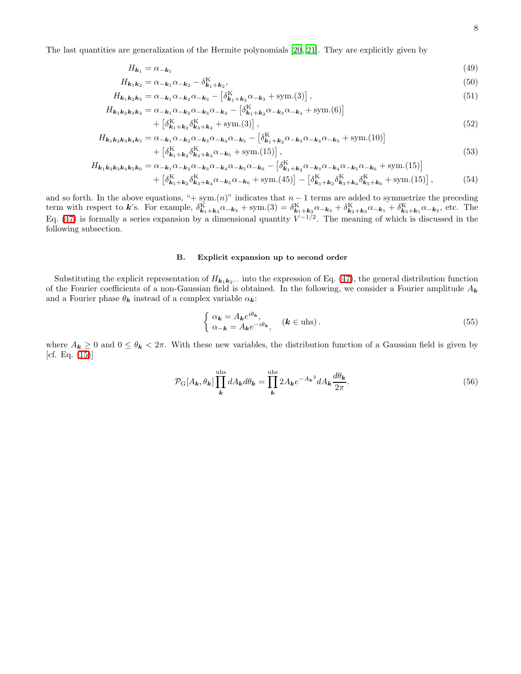The last quantities are generalization of the Hermite polynomials [\[20,](#page-36-19) [21\]](#page-36-20). They are explicitly given by

<span id="page-7-2"></span>
$$
H_{k_1} = \alpha_{-k_1} \tag{49}
$$

$$
H_{k_1k_2} = \alpha_{-k_1}\alpha_{-k_2} - \delta_{k_1+k_2}^{\mathcal{K}},\tag{50}
$$

$$
H_{\mathbf{k}_1 \mathbf{k}_2 \mathbf{k}_3} = \alpha_{-\mathbf{k}_1} \alpha_{-\mathbf{k}_2} \alpha_{-\mathbf{k}_3} - \left[ \delta^{\mathbf{K}}_{\mathbf{k}_1 + \mathbf{k}_2} \alpha_{-\mathbf{k}_3} + \text{sym.}(3) \right],\tag{51}
$$

$$
H_{\mathbf{k}_1\mathbf{k}_2\mathbf{k}_3\mathbf{k}_4} = \alpha_{-\mathbf{k}_1}\alpha_{-\mathbf{k}_2}\alpha_{-\mathbf{k}_3}\alpha_{-\mathbf{k}_4} - \left[\delta_{\mathbf{k}_1+\mathbf{k}_2}^{\mathbf{K}}\alpha_{-\mathbf{k}_3}\alpha_{-\mathbf{k}_4} + \text{sym.}(6)\right] + \left[\delta_{\mathbf{k}_1+\mathbf{k}_2}^{\mathbf{K}}\delta_{\mathbf{k}_3+\mathbf{k}_4}^{\mathbf{K}} + \text{sym.}(3)\right],
$$
\n
$$
(52)
$$

$$
H_{\mathbf{k}_1\mathbf{k}_2\mathbf{k}_3\mathbf{k}_4\mathbf{k}_5} = \alpha_{-\mathbf{k}_1}\alpha_{-\mathbf{k}_2}\alpha_{-\mathbf{k}_3}\alpha_{-\mathbf{k}_4}\alpha_{-\mathbf{k}_5} - \left[\delta_{\mathbf{k}_1+\mathbf{k}_2}^{\mathbf{K}}\alpha_{-\mathbf{k}_3}\alpha_{-\mathbf{k}_4}\alpha_{-\mathbf{k}_5} + \text{sym.}(10)\right] + \left[\delta_{\mathbf{k}_1+\mathbf{k}_2}^{\mathbf{K}}\delta_{\mathbf{k}_3+\mathbf{k}_4}^{\mathbf{K}}\alpha_{-\mathbf{k}_5} + \text{sym.}(15)\right],
$$
\n
$$
(53)
$$

$$
H_{\mathbf{k}_{1}\mathbf{k}_{2}\mathbf{k}_{3}\mathbf{k}_{4}\mathbf{k}_{5}\mathbf{k}_{6}} = \alpha_{-\mathbf{k}_{1}}\alpha_{-\mathbf{k}_{2}}\alpha_{-\mathbf{k}_{3}}\alpha_{-\mathbf{k}_{4}}\alpha_{-\mathbf{k}_{5}}\alpha_{-\mathbf{k}_{6}} - \left[\delta_{\mathbf{k}_{1}+\mathbf{k}_{2}}^{K}\alpha_{-\mathbf{k}_{3}}\alpha_{-\mathbf{k}_{4}}\alpha_{-\mathbf{k}_{5}}\alpha_{-\mathbf{k}_{6}} + \text{sym.}(15)\right] + \left[\delta_{\mathbf{k}_{1}+\mathbf{k}_{2}}^{K}\delta_{\mathbf{k}_{3}+\mathbf{k}_{4}}^{K}\alpha_{-\mathbf{k}_{5}}\alpha_{-\mathbf{k}_{6}} + \text{sym.}(45)\right] - \left[\delta_{\mathbf{k}_{1}+\mathbf{k}_{2}}^{K}\delta_{\mathbf{k}_{3}+\mathbf{k}_{4}}^{K}\delta_{\mathbf{k}_{5}+\mathbf{k}_{6}}^{K} + \text{sym.}(15)\right],
$$
\n(54)

and so forth. In the above equations, "+ sym. $(n)$ " indicates that  $n-1$  terms are added to symmetrize the preceding term with respect to k's. For example,  $\delta_{\mathbf{k}_1+\mathbf{k}_2}^{\mathbf{k}}\alpha_{-\mathbf{k}_3} + \text{sym.} (3) = \delta_{\mathbf{k}_1+\mathbf{k}_2}^{\mathbf{k}}\alpha_{-\mathbf{k}_3} + \delta_{\mathbf{k}_2+\mathbf{k}_3}^{\mathbf{k}}\alpha_{-\mathbf{k}_1} + \delta_{\mathbf{k}_3+\mathbf{k}_1}^{\mathbf{k}}\alpha_{-\mathbf{k}_2}$ , etc. The Eq. [\(47\)](#page-6-3) is formally a series expansion by a dimensional quantity  $V^{-1/2}$ . The meaning of which is discussed in the following subsection.

# <span id="page-7-3"></span>B. Explicit expansion up to second order

Substituting the explicit representation of  $H_{k_1k_2\cdots}$  into the expression of Eq. [\(47\)](#page-6-3), the general distribution function of the Fourier coefficients of a non-Gaussian field is obtained. In the following, we consider a Fourier amplitude  $A_k$ and a Fourier phase  $\theta_{\pmb{k}}$  instead of a complex variable  $\alpha_{\pmb{k}}\colon$ 

<span id="page-7-1"></span>
$$
\begin{cases} \alpha_{\mathbf{k}} = A_{\mathbf{k}} e^{i\theta_{\mathbf{k}}}, \\ \alpha_{-\mathbf{k}} = A_{\mathbf{k}} e^{-i\theta_{\mathbf{k}}}, \end{cases} \quad (\mathbf{k} \in \text{uhs}). \tag{55}
$$

<span id="page-7-0"></span>where  $A_k \geq 0$  and  $0 \leq \theta_k < 2\pi$ . With these new variables, the distribution function of a Gaussian field is given by [cf. Eq. [\(15\)](#page-3-7)]

$$
\mathcal{P}_{\mathcal{G}}[A_{\mathbf{k}}, \theta_{\mathbf{k}}] \prod_{\mathbf{k}}^{\text{uhs}} dA_{\mathbf{k}} d\theta_{\mathbf{k}} = \prod_{\mathbf{k}}^{\text{uhs}} 2A_{\mathbf{k}} e^{-A_{\mathbf{k}}^{2}} dA_{\mathbf{k}} \frac{d\theta_{\mathbf{k}}}{2\pi}.
$$
\n(56)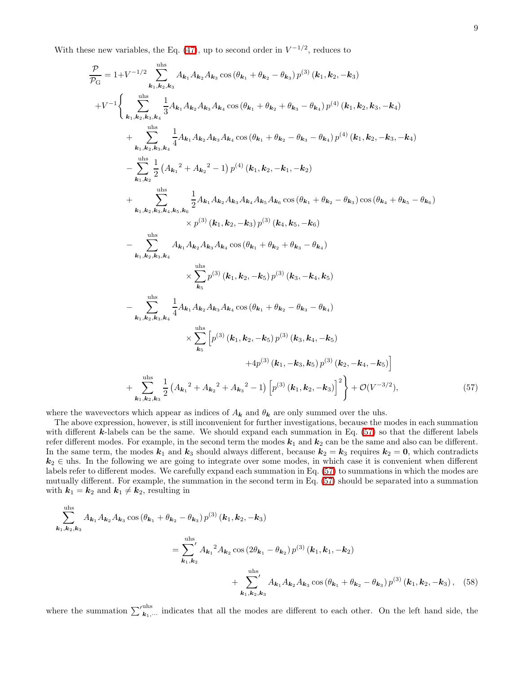With these new variables, the Eq.  $(47)$ , up to second order in  $V^{-1/2}$ , reduces to

$$
\frac{\mathcal{P}}{\mathcal{P}_{G}} = 1 + V^{-1/2} \sum_{k_{1},k_{2},k_{3}}^{\text{obs}} A_{k_{1}} A_{k_{2}} A_{k_{3}} \cos(\theta_{k_{1}} + \theta_{k_{2}} - \theta_{k_{3}}) p^{(3)} (k_{1},k_{2},-k_{3}) \n+ V^{-1} \Bigg\{\sum_{k_{1},k_{2},k_{3},k_{4}}^{\text{obs}} \frac{1}{3} A_{k_{1}} A_{k_{2}} A_{k_{3}} A_{k_{4}} \cos(\theta_{k_{1}} + \theta_{k_{2}} + \theta_{k_{3}} - \theta_{k_{4}}) p^{(4)} (k_{1},k_{2},k_{3},-k_{4}) \n+ \sum_{k_{1},k_{2},k_{3},k_{4}}^{\text{obs}} \frac{1}{4} A_{k_{1}} A_{k_{2}} A_{k_{3}} A_{k_{4}} \cos(\theta_{k_{1}} + \theta_{k_{2}} - \theta_{k_{3}} - \theta_{k_{4}}) p^{(4)} (k_{1},k_{2},-k_{3},-k_{4}) \n- \sum_{k_{1},k_{2}}^{\text{obs}} \frac{1}{2} (A_{k_{1}}^{2} + A_{k_{2}}^{2} - 1) p^{(4)} (k_{1},k_{2},-k_{1},-k_{2}) \n+ \sum_{k_{1},k_{2},k_{3},k_{4},k_{5},k_{6}}^{\text{obs}} \frac{1}{2} A_{k_{1}} A_{k_{2}} A_{k_{3}} A_{k_{4}} A_{k_{5}} A_{k_{6}} \cos(\theta_{k_{1}} + \theta_{k_{2}} - \theta_{k_{3}}) \cos(\theta_{k_{4}} + \theta_{k_{5}} - \theta_{k_{6}}) \n- \sum_{k_{1},k_{2},k_{3},k_{4}}^{\text{obs}} A_{k_{1}} A_{k_{2}} A_{k_{3}} A_{k_{4}} \cos(\theta_{k_{1}} + \theta_{k_{2}} + \theta_{k_{3}} - \theta_{k_{4}}) \n\times \sum_{k_{5}}^{\text{obs}} p^{(3)} (k_{1},k_{2},-k_{5}) p^{(3)} (k_{3},-k_{4},k_{5}) \n- \sum_{k_{1},k_{2},k_{3},k_{4}}^{\text{obs}} \frac{1}{4} A_{k_{1}} A_{k_{2}} A
$$

<span id="page-8-0"></span>where the wavevectors which appear as indices of  $A_k$  and  $\theta_k$  are only summed over the uhs.

The above expression, however, is still inconvenient for further investigations, because the modes in each summation with different  $k$ -labels can be the same. We should expand each summation in Eq. [\(57\)](#page-8-0) so that the different labels refer different modes. For example, in the second term the modes  $k_1$  and  $k_2$  can be the same and also can be different. In the same term, the modes  $k_1$  and  $k_3$  should always different, because  $k_2 = k_3$  requires  $k_2 = 0$ , which contradicts  $k_2 \in \text{u}$  In the following we are going to integrate over some modes, in which case it is convenient when different labels refer to different modes. We carefully expand each summation in Eq. [\(57\)](#page-8-0) to summations in which the modes are mutually different. For example, the summation in the second term in Eq. [\(57\)](#page-8-0) should be separated into a summation with  $k_1 = k_2$  and  $k_1 \neq k_2$ , resulting in

$$
\sum_{k_1,k_2,k_3}^{uhs} A_{k_1} A_{k_2} A_{k_3} \cos \left(\theta_{k_1} + \theta_{k_2} - \theta_{k_3}\right) p^{(3)}\left(k_1, k_2, -k_3\right)
$$
\n
$$
= \sum_{k_1,k_2}^{uhs'} A_{k_1}{}^2 A_{k_2} \cos \left(2\theta_{k_1} - \theta_{k_2}\right) p^{(3)}\left(k_1, k_1, -k_2\right)
$$
\n
$$
+ \sum_{k_1,k_2,k_3}^{uhs'} A_{k_1} A_{k_2} A_{k_3} \cos \left(\theta_{k_1} + \theta_{k_2} - \theta_{k_3}\right) p^{(3)}\left(k_1, k_2, -k_3\right), \quad (58)
$$

where the summation  $\sum_{k_1,\dots}^{\text{uhs}}$  indicates that all the modes are different to each other. On the left hand side, the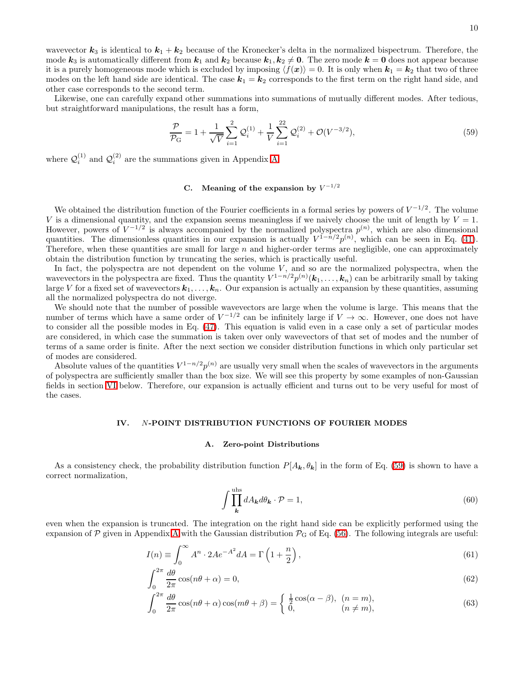wavevector  $k_3$  is identical to  $k_1 + k_2$  because of the Kronecker's delta in the normalized bispectrum. Therefore, the mode  $k_3$  is automatically different from  $k_1$  and  $k_2$  because  $k_1, k_2 \neq 0$ . The zero mode  $k = 0$  does not appear because it is a purely homogeneous mode which is excluded by imposing  $\langle f(x)\rangle = 0$ . It is only when  $k_1 = k_2$  that two of three modes on the left hand side are identical. The case  $k_1 = k_2$  corresponds to the first term on the right hand side, and other case corresponds to the second term.

Likewise, one can carefully expand other summations into summations of mutually different modes. After tedious, but straightforward manipulations, the result has a form,

<span id="page-9-1"></span>
$$
\frac{\mathcal{P}}{\mathcal{P}_{\rm G}} = 1 + \frac{1}{\sqrt{V}} \sum_{i=1}^{2} \mathcal{Q}_i^{(1)} + \frac{1}{V} \sum_{i=1}^{22} \mathcal{Q}_i^{(2)} + \mathcal{O}(V^{-3/2}),\tag{59}
$$

where  $\mathcal{Q}_i^{(1)}$  $\mathcal{Q}_i^{(1)}$  and  $\mathcal{Q}_i^{(2)}$  $i^{(2)}$  are the summations given in Appendix [A.](#page-33-0)

# C. Meaning of the expansion by  $V^{-1/2}$

We obtained the distribution function of the Fourier coefficients in a formal series by powers of  $V^{-1/2}$ . The volume V is a dimensional quantity, and the expansion seems meaningless if we naively choose the unit of length by  $V = 1$ . However, powers of  $V^{-1/2}$  is always accompanied by the normalized polyspectra  $p^{(n)}$ , which are also dimensional quantities. The dimensionless quantities in our expansion is actually  $V^{1-n/2}p^{(n)}$ , which can be seen in Eq. [\(41\)](#page-6-2). Therefore, when these quantities are small for large  $n$  and higher-order terms are negligible, one can approximately obtain the distribution function by truncating the series, which is practically useful.

In fact, the polyspectra are not dependent on the volume  $V$ , and so are the normalized polyspectra, when the wavevectors in the polyspectra are fixed. Thus the quantity  $V^{1-n/2}p^{(n)}(\mathbf{k}_1,\ldots,\mathbf{k}_n)$  can be arbitrarily small by taking large V for a fixed set of wavevectors  $k_1, \ldots, k_n$ . Our expansion is actually an expansion by these quantities, assuming all the normalized polyspectra do not diverge.

We should note that the number of possible wavevectors are large when the volume is large. This means that the number of terms which have a same order of  $V^{-1/2}$  can be infinitely large if  $V \to \infty$ . However, one does not have to consider all the possible modes in Eq. [\(47\)](#page-6-3). This equation is valid even in a case only a set of particular modes are considered, in which case the summation is taken over only wavevectors of that set of modes and the number of terms of a same order is finite. After the next section we consider distribution functions in which only particular set of modes are considered.

<span id="page-9-0"></span>Absolute values of the quantities  $V^{1-n/2}p^{(n)}$  are usually very small when the scales of wavevectors in the arguments of polyspectra are sufficiently smaller than the box size. We will see this property by some examples of non-Gaussian fields in section [VI](#page-21-0) below. Therefore, our expansion is actually efficient and turns out to be very useful for most of the cases.

# IV. N-POINT DISTRIBUTION FUNCTIONS OF FOURIER MODES

### A. Zero-point Distributions

<span id="page-9-3"></span>As a consistency check, the probability distribution function  $P[A_k, \theta_k]$  in the form of Eq. [\(59\)](#page-9-1) is shown to have a correct normalization,

<span id="page-9-4"></span><span id="page-9-2"></span>
$$
\int \prod_{\mathbf{k}}^{\text{uhs}} dA_{\mathbf{k}} d\theta_{\mathbf{k}} \cdot \mathcal{P} = 1,\tag{60}
$$

even when the expansion is truncated. The integration on the right hand side can be explicitly performed using the expansion of  $P$  given in [A](#page-33-0)ppendix A with the Gaussian distribution  $P_G$  of Eq. [\(56\)](#page-7-0). The following integrals are useful:

$$
I(n) \equiv \int_0^\infty A^n \cdot 2A e^{-A^2} dA = \Gamma\left(1 + \frac{n}{2}\right),\tag{61}
$$

$$
\int_0^{2\pi} \frac{d\theta}{2\pi} \cos(n\theta + \alpha) = 0,\tag{62}
$$

$$
\int_0^{2\pi} \frac{d\theta}{2\pi} \cos(n\theta + \alpha) \cos(m\theta + \beta) = \begin{cases} \frac{1}{2} \cos(\alpha - \beta), & (n = m), \\ 0, & (n \neq m), \end{cases}
$$
(63)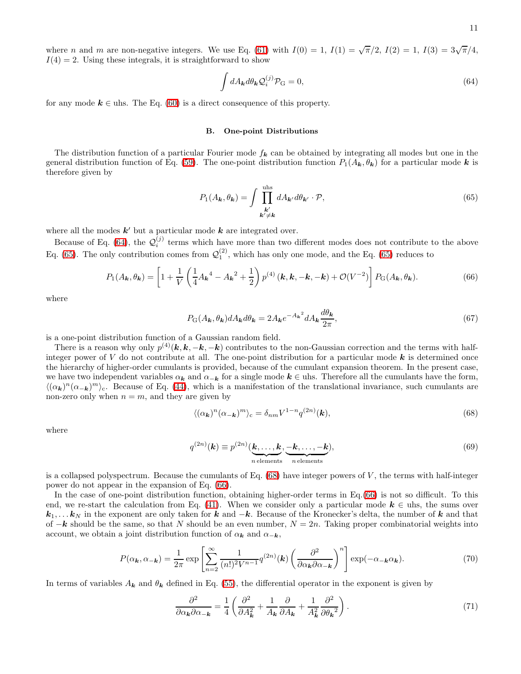where *n* and *m* are non-negative integers. We use Eq. [\(61\)](#page-9-2) with  $I(0) = 1$ ,  $I(1) = \sqrt{\pi}/2$ ,  $I(2) = 1$ ,  $I(3) = 3\sqrt{\pi}/4$ ,  $I(4) = 2$ . Using these integrals, it is straightforward to show

<span id="page-10-0"></span>
$$
\int dA_{\mathbf{k}} d\theta_{\mathbf{k}} \mathcal{Q}_i^{(j)} \mathcal{P}_{\mathbf{G}} = 0, \tag{64}
$$

for any mode  $k \in \text{u}$ . The Eq. [\(60\)](#page-9-3) is a direct consequence of this property.

# B. One-point Distributions

<span id="page-10-1"></span>The distribution function of a particular Fourier mode  $f_k$  can be obtained by integrating all modes but one in the general distribution function of Eq. [\(59\)](#page-9-1). The one-point distribution function  $P_1(A_k, \theta_k)$  for a particular mode k is therefore given by

<span id="page-10-3"></span>
$$
P_1(A_{\mathbf{k}}, \theta_{\mathbf{k}}) = \int \prod_{\substack{\mathbf{k}' \\ \mathbf{k}' \neq \mathbf{k}}}^{\text{uhs}} dA_{\mathbf{k}'} d\theta_{\mathbf{k}'} \cdot \mathcal{P},\tag{65}
$$

where all the modes  $k'$  but a particular mode  $k$  are integrated over.

Because of Eq. [\(64\)](#page-10-0), the  $\mathcal{Q}_i^{(j)}$  terms which have more than two different modes does not contribute to the above Eq. [\(65\)](#page-10-1). The only contribution comes from  $\mathcal{Q}_1^{(2)}$ , which has only one mode, and the Eq. (65) reduces to

$$
P_1(A_{\mathbf{k}}, \theta_{\mathbf{k}}) = \left[1 + \frac{1}{V} \left(\frac{1}{4} A_{\mathbf{k}}^4 - A_{\mathbf{k}}^2 + \frac{1}{2}\right) p^{(4)}(\mathbf{k}, \mathbf{k}, -\mathbf{k}, -\mathbf{k}) + \mathcal{O}(V^{-2})\right] P_{\mathbf{G}}(A_{\mathbf{k}}, \theta_{\mathbf{k}}).
$$
(66)

where

$$
P_{\mathcal{G}}(A_{\mathbf{k}}, \theta_{\mathbf{k}})dA_{\mathbf{k}}d\theta_{\mathbf{k}} = 2A_{\mathbf{k}}e^{-A_{\mathbf{k}}^{2}}dA_{\mathbf{k}}\frac{d\theta_{\mathbf{k}}}{2\pi},
$$
\n(67)

is a one-point distribution function of a Gaussian random field.

There is a reason why only  $p^{(4)}(k, k, -k, -k)$  contributes to the non-Gaussian correction and the terms with halfinteger power of V do not contribute at all. The one-point distribution for a particular mode  $k$  is determined once the hierarchy of higher-order cumulants is provided, because of the cumulant expansion theorem. In the present case, we have two independent variables  $\alpha_k$  and  $\alpha_{-k}$  for a single mode  $k \in \text{u}$  is. Therefore all the cumulants have the form,  $\langle (\alpha_k)^n (\alpha_{-k})^m \rangle_c$ . Because of Eq. [\(44\)](#page-6-4), which is a manifestation of the translational invariance, such cumulants are non-zero only when  $n = m$ , and they are given by

<span id="page-10-2"></span>
$$
\langle (\alpha_{\mathbf{k}})^n (\alpha_{-\mathbf{k}})^m \rangle_{\rm c} = \delta_{nm} V^{1-n} q^{(2n)}(\mathbf{k}), \tag{68}
$$

<span id="page-10-4"></span>where

$$
q^{(2n)}(\mathbf{k}) \equiv p^{(2n)}(\underbrace{\mathbf{k}, \dots, \mathbf{k}}_{n \text{ elements}}, \underbrace{-\mathbf{k}, \dots, -\mathbf{k}}_{n \text{ elements}}),
$$
\n(69)

is a collapsed polyspectrum. Because the cumulants of Eq.  $(68)$  have integer powers of V, the terms with half-integer power do not appear in the expansion of Eq. [\(66\)](#page-10-3).

In the case of one-point distribution function, obtaining higher-order terms in Eq.[\(66\)](#page-10-3) is not so difficult. To this end, we re-start the calculation from Eq. [\(41\)](#page-6-2). When we consider only a particular mode  $k \in \text{u}$ hs, the sums over  $k_1, \ldots k_N$  in the exponent are only taken for k and  $-k$ . Because of the Kronecker's delta, the number of k and that of  $-k$  should be the same, so that N should be an even number,  $N = 2n$ . Taking proper combinatorial weights into account, we obtain a joint distribution function of  $\alpha_k$  and  $\alpha_{-k}$ ,

$$
P(\alpha_{\mathbf{k}}, \alpha_{-\mathbf{k}}) = \frac{1}{2\pi} \exp\left[\sum_{n=2}^{\infty} \frac{1}{(n!)^2 V^{n-1}} q^{(2n)}(\mathbf{k}) \left(\frac{\partial^2}{\partial \alpha_{\mathbf{k}} \partial \alpha_{-\mathbf{k}}}\right)^n\right] \exp(-\alpha_{-\mathbf{k}} \alpha_{\mathbf{k}}).
$$
(70)

In terms of variables  $A_k$  and  $\theta_k$  defined in Eq. [\(55\)](#page-7-1), the differential operator in the exponent is given by

$$
\frac{\partial^2}{\partial \alpha_k \partial \alpha_{-\mathbf{k}}} = \frac{1}{4} \left( \frac{\partial^2}{\partial A_{\mathbf{k}}^2} + \frac{1}{A_{\mathbf{k}}} \frac{\partial}{\partial A_{\mathbf{k}}} + \frac{1}{A_{\mathbf{k}}^2} \frac{\partial^2}{\partial \theta_{\mathbf{k}}^2} \right). \tag{71}
$$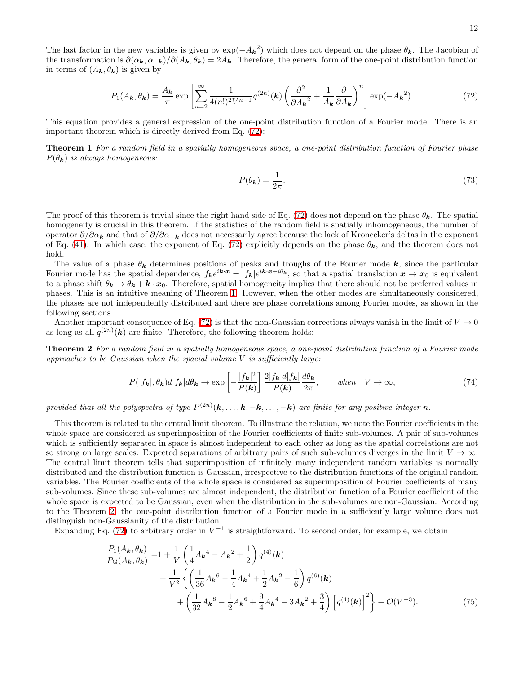<span id="page-11-0"></span>
$$
P_1(A_{\mathbf{k}}, \theta_{\mathbf{k}}) = \frac{A_{\mathbf{k}}}{\pi} \exp\left[\sum_{n=2}^{\infty} \frac{1}{4(n!)^2 V^{n-1}} q^{(2n)}(\mathbf{k}) \left(\frac{\partial^2}{\partial A_{\mathbf{k}}^2} + \frac{1}{A_{\mathbf{k}}} \frac{\partial}{\partial A_{\mathbf{k}}}\right)^n\right] \exp(-A_{\mathbf{k}}^2). \tag{72}
$$

This equation provides a general expression of the one-point distribution function of a Fourier mode. There is an important theorem which is directly derived from Eq. [\(72\)](#page-11-0):

<span id="page-11-1"></span>Theorem 1 For a random field in a spatially homogeneous space, a one-point distribution function of Fourier phase  $P(\theta_{\mathbf{k}})$  is always homogeneous:

$$
P(\theta_{\mathbf{k}}) = \frac{1}{2\pi}.\tag{73}
$$

The proof of this theorem is trivial since the right hand side of Eq. [\(72\)](#page-11-0) does not depend on the phase  $\theta_k$ . The spatial homogeneity is crucial in this theorem. If the statistics of the random field is spatially inhomogeneous, the number of operator  $\partial/\partial\alpha_k$  and that of  $\partial/\partial\alpha_{-k}$  does not necessarily agree because the lack of Kronecker's deltas in the exponent of Eq. [\(41\)](#page-6-2). In which case, the exponent of Eq. [\(72\)](#page-11-0) explicitly depends on the phase  $\theta_k$ , and the theorem does not hold.

The value of a phase  $\theta_k$  determines positions of peaks and troughs of the Fourier mode k, since the particular Fourier mode has the spatial dependence,  $f_{k}e^{ik\cdot x} = |f_{k}|e^{ik\cdot x+i\theta_{k}}$ , so that a spatial translation  $x \to x_{0}$  is equivalent to a phase shift  $\theta_k \to \theta_k + k \cdot x_0$ . Therefore, spatial homogeneity implies that there should not be preferred values in phases. This is an intuitive meaning of Theorem [1.](#page-11-1) However, when the other modes are simultaneously considered, the phases are not independently distributed and there are phase correlations among Fourier modes, as shown in the following sections.

Another important consequence of Eq. [\(72\)](#page-11-0) is that the non-Gaussian corrections always vanish in the limit of  $V \to 0$ as long as all  $q^{(2n)}(k)$  are finite. Therefore, the following theorem holds:

Theorem 2 For a random field in a spatially homogeneous space, a one-point distribution function of a Fourier mode approaches to be Gaussian when the spacial volume  $V$  is sufficiently large:

<span id="page-11-2"></span>
$$
P(|f_{\mathbf{k}}|, \theta_{\mathbf{k}})d|f_{\mathbf{k}}|d\theta_{\mathbf{k}} \to \exp\left[-\frac{|f_{\mathbf{k}}|^{2}}{P(\mathbf{k})}\right] \frac{2|f_{\mathbf{k}}|d|f_{\mathbf{k}}|}{P(\mathbf{k})} \frac{d\theta_{\mathbf{k}}}{2\pi}, \qquad when \quad V \to \infty,
$$
\n(74)

provided that all the polyspectra of type  $P^{(2n)}(\mathbf{k}, \ldots, \mathbf{k}, -\mathbf{k}, \ldots, -\mathbf{k})$  are finite for any positive integer n.

This theorem is related to the central limit theorem. To illustrate the relation, we note the Fourier coefficients in the whole space are considered as superimposition of the Fourier coefficients of finite sub-volumes. A pair of sub-volumes which is sufficiently separated in space is almost independent to each other as long as the spatial correlations are not so strong on large scales. Expected separations of arbitrary pairs of such sub-volumes diverges in the limit  $V \to \infty$ . The central limit theorem tells that superimposition of infinitely many independent random variables is normally distributed and the distribution function is Gaussian, irrespective to the distribution functions of the original random variables. The Fourier coefficients of the whole space is considered as superimposition of Fourier coefficients of many sub-volumes. Since these sub-volumes are almost independent, the distribution function of a Fourier coefficient of the whole space is expected to be Gaussian, even when the distribution in the sub-volumes are non-Gaussian. According to the Theorem [2,](#page-11-2) the one-point distribution function of a Fourier mode in a sufficiently large volume does not distinguish non-Gaussianity of the distribution.

Expanding Eq. [\(72\)](#page-11-0) to arbitrary order in  $V^{-1}$  is straightforward. To second order, for example, we obtain

<span id="page-11-3"></span>
$$
\frac{P_1(A_{\mathbf{k}}, \theta_{\mathbf{k}})}{P_{\mathbf{G}}(A_{\mathbf{k}}, \theta_{\mathbf{k}})} = 1 + \frac{1}{V} \left( \frac{1}{4} A_{\mathbf{k}}^4 - A_{\mathbf{k}}^2 + \frac{1}{2} \right) q^{(4)}(\mathbf{k}) \n+ \frac{1}{V^2} \left\{ \left( \frac{1}{36} A_{\mathbf{k}}^6 - \frac{1}{4} A_{\mathbf{k}}^4 + \frac{1}{2} A_{\mathbf{k}}^2 - \frac{1}{6} \right) q^{(6)}(\mathbf{k}) \n+ \left( \frac{1}{32} A_{\mathbf{k}}^8 - \frac{1}{2} A_{\mathbf{k}}^6 + \frac{9}{4} A_{\mathbf{k}}^4 - 3 A_{\mathbf{k}}^2 + \frac{3}{4} \right) \left[ q^{(4)}(\mathbf{k}) \right]^2 \right\} + \mathcal{O}(V^{-3}).
$$
\n(75)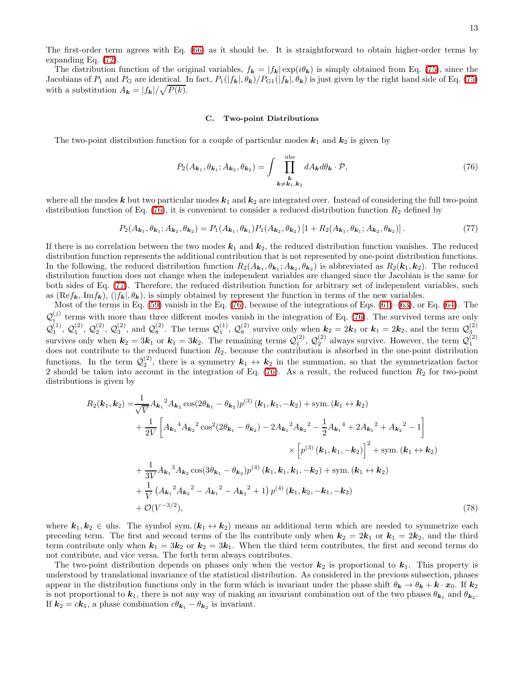The first-order term agrees with Eq. [\(66\)](#page-10-3) as it should be. It is straightforward to obtain higher-order terms by expanding Eq. [\(72\)](#page-11-0).

The distribution function of the original variables,  $f_k = |f_k| \exp(i\theta_k)$  is simply obtained from Eq. [\(75\)](#page-11-3), since the Jacobians of  $P_1$  and  $P_G$  are identical. In fact,  $P_1(|f_{\mathbf{k}}|, \theta_{\mathbf{k}})/P_{G1}(|f_{\mathbf{k}}|, \theta_{\mathbf{k}})$  is just given by the right hand side of Eq. [\(75\)](#page-11-3) with a substitution  $A_{\mathbf{k}} = |f_{\mathbf{k}}| / \sqrt{P(k)}$ .

### <span id="page-12-1"></span><span id="page-12-0"></span>C. Two-point Distributions

The two-point distribution function for a couple of particular modes  $k_1$  and  $k_2$  is given by

$$
P_2(A_{\mathbf{k}_1}, \theta_{\mathbf{k}_1}; A_{\mathbf{k}_2}, \theta_{\mathbf{k}_2}) = \int \prod_{\substack{k\\k \neq k_1, k_2}}^{\text{uhs}} dA_{\mathbf{k}} d\theta_{\mathbf{k}} \cdot \mathcal{P},\tag{76}
$$

where all the modes k but two particular modes  $k_1$  and  $k_2$  are integrated over. Instead of considering the full two-point distribution function of Eq. [\(76\)](#page-12-0), it is convenient to consider a reduced distribution function  $R_2$  defined by

$$
P_2(A_{k_1}, \theta_{k_1}; A_{k_2}, \theta_{k_2}) = P_1(A_{k_1}, \theta_{k_1}) P_1(A_{k_2}, \theta_{k_2}) [1 + R_2(A_{k_1}, \theta_{k_1}; A_{k_2}, \theta_{k_2})].
$$
\n(77)

If there is no correlation between the two modes  $k_1$  and  $k_2$ , the reduced distribution function vanishes. The reduced distribution function represents the additional contribution that is not represented by one-point distribution functions. In the following, the reduced distribution function  $R_2(A_{k_1}, \theta_{k_1}; A_{k_2}, \theta_{k_2})$  is abbreviated as  $R_2(k_1, k_2)$ . The reduced distribution function does not change when the independent variables are changed since the Jacobian is the same for both sides of Eq. [\(77\)](#page-12-1). Therefore, the reduced distribution function for arbitrary set of independent variables, such as (Ref<sub>k</sub>, Imf<sub>k</sub>), ( $|f_k|$ ,  $\theta_k$ ), is simply obtained by represent the function in terms of the new variables.

Most of the terms in Eq.  $(59)$  vanish in the Eq.  $(76)$ , because of the integrations of Eqs.  $(61)$ – $(63)$ , or Eq.  $(64)$ . The  $\mathcal{Q}_{i}^{(j)}$  terms with more than three different modes vanish in the integration of Eq. [\(76\)](#page-12-0). The survived terms are only i  $\mathcal{Q}_1^{(1)}$ ,  $\mathcal{Q}_1^{(2)}$ ,  $\mathcal{Q}_2^{(2)}$ ,  $\mathcal{Q}_3^{(2)}$ , and  $\mathcal{Q}_8^{(2)}$ . The terms  $\mathcal{Q}_1^{(1)}$ ,  $\mathcal{Q}_8^{(2)}$  survive only when  $k_2 = 2k_1$  or  $k_1 = 2k_2$ , and the term  $\mathcal{Q}_3^{(2)}$ <br>survives only when  $k_2 = 3k_1$ does not contribute to the reduced function  $R_2$ , because the contribution is absorbed in the one-point distribution functions. In the term  $\mathcal{Q}_2^{(2)}$ , there is a symmetry  $k_1 \leftrightarrow k_2$  in the summation, so that the symmetrization factor 2 should be taken into account in the integration of Eq.  $(76)$ . As a result, the reduced function  $R_2$  for two-point distributions is given by

<span id="page-12-2"></span>
$$
R_{2}(\mathbf{k}_{1}, \mathbf{k}_{2}) = \frac{1}{\sqrt{V}} A_{\mathbf{k}_{1}}^{2} A_{\mathbf{k}_{2}} \cos(2\theta_{\mathbf{k}_{1}} - \theta_{\mathbf{k}_{2}}) p^{(3)} (\mathbf{k}_{1}, \mathbf{k}_{1}, -\mathbf{k}_{2}) + \text{sym.} (\mathbf{k}_{1} \leftrightarrow \mathbf{k}_{2})
$$
  
+ 
$$
\frac{1}{2V} \left[ A_{\mathbf{k}_{1}}^{4} A_{\mathbf{k}_{2}}^{2} \cos^{2}(2\theta_{\mathbf{k}_{1}} - \theta_{\mathbf{k}_{2}}) - 2A_{\mathbf{k}_{1}}^{2} A_{\mathbf{k}_{2}}^{2} - \frac{1}{2} A_{\mathbf{k}_{1}}^{4} + 2A_{\mathbf{k}_{1}}^{2} + A_{\mathbf{k}_{2}}^{2} - 1 \right]
$$
  

$$
\times \left[ p^{(3)} (\mathbf{k}_{1}, \mathbf{k}_{1}, -\mathbf{k}_{2}) \right]^{2} + \text{sym.} (\mathbf{k}_{1} \leftrightarrow \mathbf{k}_{2})
$$
  
+ 
$$
\frac{1}{3V} A_{\mathbf{k}_{1}}^{3} A_{\mathbf{k}_{2}} \cos(3\theta_{\mathbf{k}_{1}} - \theta_{\mathbf{k}_{2}}) p^{(4)} (\mathbf{k}_{1}, \mathbf{k}_{1}, \mathbf{k}_{1}, -\mathbf{k}_{2}) + \text{sym.} (\mathbf{k}_{1} \leftrightarrow \mathbf{k}_{2})
$$
  
+ 
$$
\frac{1}{V} (A_{\mathbf{k}_{1}}^{2} A_{\mathbf{k}_{2}}^{2} - A_{\mathbf{k}_{1}}^{2} - A_{\mathbf{k}_{2}}^{2} + 1) p^{(4)} (\mathbf{k}_{1}, \mathbf{k}_{2}, -\mathbf{k}_{1}, -\mathbf{k}_{2})
$$
  
+ 
$$
\mathcal{O}(V^{-3/2}), \tag{78}
$$

where  $k_1, k_2 \in \text{u}$ hs. The symbol sym.  $(k_1 \leftrightarrow k_2)$  means an additional term which are needed to symmetrize each preceding term. The first and second terms of the lhs contribute only when  $k_2 = 2k_1$  or  $k_1 = 2k_2$ , and the third term contribute only when  $k_1 = 3k_2$  or  $k_2 = 3k_1$ . When the third term contributes, the first and second terms do not contribute, and vice versa. The forth term always contributes.

The two-point distribution depends on phases only when the vector  $k_2$  is proportional to  $k_1$ . This property is understood by translational invariance of the statistical distribution. As considered in the previous subsection, phases appear in the distribution functions only in the form which is invariant under the phase shift  $\theta_k \to \theta_k + k \cdot x_0$ . If  $k_2$ is not proportional to  $k_1$ , there is not any way of making an invariant combination out of the two phases  $\theta_{k_1}$  and  $\theta_{k_2}$ . If  $k_2 = c\vec{k}_1$ , a phase combination  $c\theta_{\vec{k}_1} - \theta_{\vec{k}_2}$  is invariant.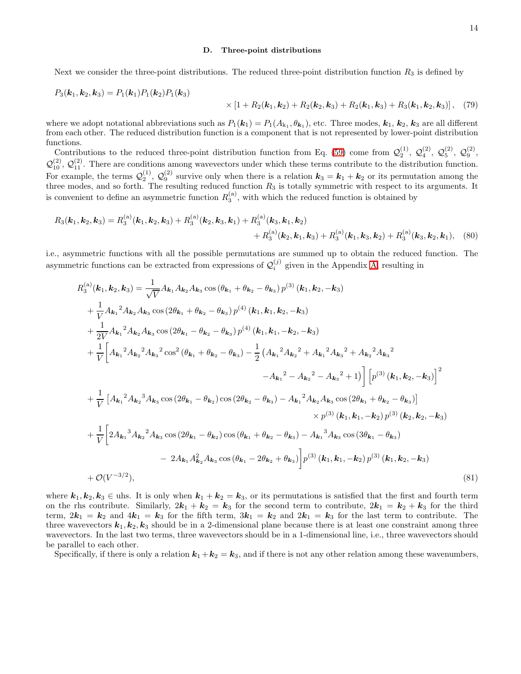### <span id="page-13-1"></span>D. Three-point distributions

Next we consider the three-point distributions. The reduced three-point distribution function  $R_3$  is defined by

$$
P_3(\mathbf{k}_1, \mathbf{k}_2, \mathbf{k}_3) = P_1(\mathbf{k}_1) P_1(\mathbf{k}_2) P_1(\mathbf{k}_3)
$$
  
 
$$
\times [1 + R_2(\mathbf{k}_1, \mathbf{k}_2) + R_2(\mathbf{k}_2, \mathbf{k}_3) + R_2(\mathbf{k}_1, \mathbf{k}_3) + R_3(\mathbf{k}_1, \mathbf{k}_2, \mathbf{k}_3)], (79)
$$

where we adopt notational abbreviations such as  $P_1(k_1) = P_1(A_{k_1}, \theta_{k_1})$ , etc. Three modes,  $k_1, k_2, k_3$  are all different from each other. The reduced distribution function is a component that is not represented by lower-point distribution functions.

Contributions to the reduced three-point distribution function from Eq. [\(59\)](#page-9-1) come from  $\mathcal{Q}_2^{(1)}$ ,  $\mathcal{Q}_4^{(2)}$ ,  $\mathcal{Q}_5^{(2)}$ ,  $\mathcal{Q}_9^{(2)}$ ,  $\mathcal{Q}_{10}^{(2)}$ ,  $\mathcal{Q}_{11}^{(2)}$ . There are conditions among wavevectors under which these terms contribute to the distribution function. For example, the terms  $\mathcal{Q}_2^{(1)}$ ,  $\mathcal{Q}_9^{(2)}$  survive only when there is a relation  $k_3 = k_1 + k_2$  or its permutation among the three modes, and so forth. The resulting reduced function  $R_3$  is totally symmetric with respect to its arguments. It is convenient to define an asymmetric function  $R_3^{(a)}$ , with which the reduced function is obtained by

$$
R_3(\mathbf{k}_1, \mathbf{k}_2, \mathbf{k}_3) = R_3^{(a)}(\mathbf{k}_1, \mathbf{k}_2, \mathbf{k}_3) + R_3^{(a)}(\mathbf{k}_2, \mathbf{k}_3, \mathbf{k}_1) + R_3^{(a)}(\mathbf{k}_3, \mathbf{k}_1, \mathbf{k}_2) + R_3^{(a)}(\mathbf{k}_2, \mathbf{k}_1, \mathbf{k}_3) + R_3^{(a)}(\mathbf{k}_1, \mathbf{k}_3, \mathbf{k}_2) + R_3^{(a)}(\mathbf{k}_3, \mathbf{k}_2, \mathbf{k}_1), \quad (80)
$$

i.e., asymmetric functions with all the possible permutations are summed up to obtain the reduced function. The asymmetric functions can be extracted from expressions of  $\mathcal{Q}_i^{(j)}$  $i^{(j)}$  given in the Appendix [A,](#page-33-0) resulting in

$$
R_{3}^{(a)}(\mathbf{k}_{1}, \mathbf{k}_{2}, \mathbf{k}_{3}) = \frac{1}{\sqrt{V}} A_{\mathbf{k}_{1}} A_{\mathbf{k}_{2}} A_{\mathbf{k}_{3}} \cos (\theta_{\mathbf{k}_{1}} + \theta_{\mathbf{k}_{2}} - \theta_{\mathbf{k}_{3}}) p^{(3)} (\mathbf{k}_{1}, \mathbf{k}_{2}, -\mathbf{k}_{3})
$$
  
+  $\frac{1}{V} A_{\mathbf{k}_{1}}^{2} A_{\mathbf{k}_{2}} A_{\mathbf{k}_{3}} \cos (2\theta_{\mathbf{k}_{1}} + \theta_{\mathbf{k}_{2}} - \theta_{\mathbf{k}_{3}}) p^{(4)} (\mathbf{k}_{1}, \mathbf{k}_{1}, \mathbf{k}_{2}, -\mathbf{k}_{3})$   
+  $\frac{1}{2V} A_{\mathbf{k}_{1}}^{2} A_{\mathbf{k}_{2}} A_{\mathbf{k}_{3}} \cos (2\theta_{\mathbf{k}_{1}} - \theta_{\mathbf{k}_{2}} - \theta_{\mathbf{k}_{3}}) p^{(4)} (\mathbf{k}_{1}, \mathbf{k}_{1}, -\mathbf{k}_{2}, -\mathbf{k}_{3})$   
+  $\frac{1}{V} \left[ A_{\mathbf{k}_{1}}^{2} A_{\mathbf{k}_{2}}^{2} A_{\mathbf{k}_{3}}^{2} \cos^{2} (\theta_{\mathbf{k}_{1}} + \theta_{\mathbf{k}_{2}} - \theta_{\mathbf{k}_{3}}) - \frac{1}{2} (A_{\mathbf{k}_{1}}^{2} A_{\mathbf{k}_{2}}^{2} + A_{\mathbf{k}_{1}}^{2} A_{\mathbf{k}_{3}}^{2} + A_{\mathbf{k}_{2}}^{2} A_{\mathbf{k}_{3}}^{2} - A_{\mathbf{k}_{3}}^{2} + 1) \right] \left[ p^{(3)} (\mathbf{k}_{1}, \mathbf{k}_{2}, -\mathbf{k}_{3}) \right]^{2}$   
+  $\frac{1}{V} \left[ A_{\mathbf{k}_{1}}^{2} A_{\mathbf{k}_{2}}^{3} A_{\mathbf{k}_{3}} \cos (2\theta_{\mathbf{k}_{1}} - \theta_{\mathbf{k}_{2}}) \cos (2\theta_{\mathbf{k}_{2}} - \theta_{\mathbf{k}_{3}}) - A_{\mathbf{k}_{1}}^{2} A_{\mathbf{k}_{2}} A_{\mathbf{k}_{3}} \cos (2\theta_{\mathbf{k}_{1}} + \theta_{\mathbf{k}_{2}} - \theta_{\mathbf{k}_{3}}$ 

<span id="page-13-0"></span>where  $k_1, k_2, k_3 \in \text{u}$  is only when  $k_1 + k_2 = k_3$ , or its permutations is satisfied that the first and fourth term on the rhs contribute. Similarly,  $2k_1 + k_2 = k_3$  for the second term to contribute,  $2k_1 = k_2 + k_3$  for the third term,  $2k_1 = k_2$  and  $4k_1 = k_3$  for the fifth term,  $3k_1 = k_2$  and  $2k_1 = k_3$  for the last term to contribute. The three wavevectors  $k_1, k_2, k_3$  should be in a 2-dimensional plane because there is at least one constraint among three wavevectors. In the last two terms, three wavevectors should be in a 1-dimensional line, i.e., three wavevectors should be parallel to each other.

Specifically, if there is only a relation  $k_1 + k_2 = k_3$ , and if there is not any other relation among these wavenumbers,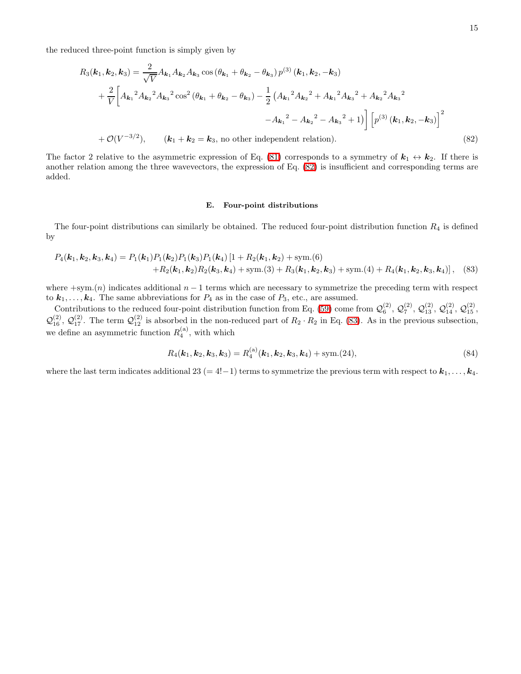the reduced three-point function is simply given by

$$
R_3(\mathbf{k}_1, \mathbf{k}_2, \mathbf{k}_3) = \frac{2}{\sqrt{V}} A_{\mathbf{k}_1} A_{\mathbf{k}_2} A_{\mathbf{k}_3} \cos \left(\theta_{\mathbf{k}_1} + \theta_{\mathbf{k}_2} - \theta_{\mathbf{k}_3}\right) p^{(3)} (\mathbf{k}_1, \mathbf{k}_2, -\mathbf{k}_3)
$$
  
+ 
$$
\frac{2}{V} \bigg[ A_{\mathbf{k}_1}^2 A_{\mathbf{k}_2}^2 A_{\mathbf{k}_3}^2 \cos^2 \left(\theta_{\mathbf{k}_1} + \theta_{\mathbf{k}_2} - \theta_{\mathbf{k}_3}\right) - \frac{1}{2} \left(A_{\mathbf{k}_1}^2 A_{\mathbf{k}_2}^2 + A_{\mathbf{k}_1}^2 A_{\mathbf{k}_3}^2 + A_{\mathbf{k}_2}^2 A_{\mathbf{k}_3}^2\right)
$$

$$
- A_{\mathbf{k}_1}^2 - A_{\mathbf{k}_2}^2 - A_{\mathbf{k}_3}^2 + 1 \bigg] \bigg[ p^{(3)} (\mathbf{k}_1, \mathbf{k}_2, -\mathbf{k}_3) \bigg]^2
$$

$$
+ \mathcal{O}(V^{-3/2}), \qquad (\mathbf{k}_1 + \mathbf{k}_2 = \mathbf{k}_3, \text{ no other independent relation}). \tag{82}
$$

The factor 2 relative to the asymmetric expression of Eq. [\(81\)](#page-13-0) corresponds to a symmetry of  $k_1 \leftrightarrow k_2$ . If there is another relation among the three wavevectors, the expression of Eq. [\(82\)](#page-14-0) is insufficient and corresponding terms are added.

# <span id="page-14-1"></span><span id="page-14-0"></span>E. Four-point distributions

The four-point distributions can similarly be obtained. The reduced four-point distribution function  $R_4$  is defined by

$$
P_4(\mathbf{k}_1, \mathbf{k}_2, \mathbf{k}_3, \mathbf{k}_4) = P_1(\mathbf{k}_1) P_1(\mathbf{k}_2) P_1(\mathbf{k}_3) P_1(\mathbf{k}_4) [1 + R_2(\mathbf{k}_1, \mathbf{k}_2) + \text{sym.}(6) + R_2(\mathbf{k}_1, \mathbf{k}_2) R_2(\mathbf{k}_3, \mathbf{k}_4) + \text{sym.}(3) + R_3(\mathbf{k}_1, \mathbf{k}_2, \mathbf{k}_3) + \text{sym.}(4) + R_4(\mathbf{k}_1, \mathbf{k}_2, \mathbf{k}_3, \mathbf{k}_4)],
$$
 (83)

where  $+\text{sym}(n)$  indicates additional  $n-1$  terms which are necessary to symmetrize the preceding term with respect to  $k_1, \ldots, k_4$ . The same abbreviations for  $P_4$  as in the case of  $P_3$ , etc., are assumed.

Contributions to the reduced four-point distribution function from Eq. [\(59\)](#page-9-1) come from  $\mathcal{Q}_6^{(2)}$ ,  $\mathcal{Q}_7^{(2)}$ ,  $\mathcal{Q}_{13}^{(2)}$ ,  $\mathcal{Q}_{14}^{(2)}$ ,  $\mathcal{Q}_{15}^{(2)}$ ,  $\mathcal{Q}_{16}^{(2)}$ ,  $\mathcal{Q}_{17}^{(2)}$ . The term  $\mathcal{Q}_{12}^{(2)}$  is absorbed in the non-reduced part of  $R_2 \cdot R_2$  in Eq. [\(83\)](#page-14-1). As in the previous subsection, we define an asymmetric function  $R_4^{(a)}$ , with which

$$
R_4(\mathbf{k}_1, \mathbf{k}_2, \mathbf{k}_3, \mathbf{k}_3) = R_4^{(a)}(\mathbf{k}_1, \mathbf{k}_2, \mathbf{k}_3, \mathbf{k}_4) + \text{sym.}(24),
$$
\n(84)

where the last term indicates additional 23 (= 4!-1) terms to symmetrize the previous term with respect to  $k_1, \ldots, k_4$ .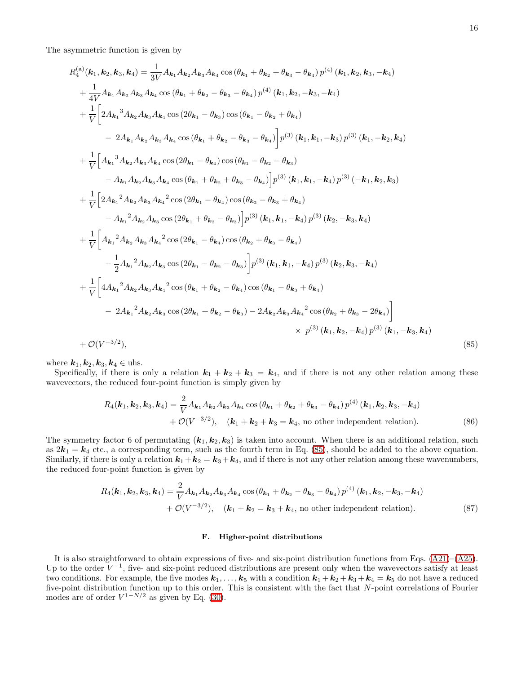The asymmetric function is given by

$$
R_{4}^{(a)}(k_{1},k_{2},k_{3},k_{4}) = \frac{1}{3V}A_{k_{1}}A_{k_{2}}A_{k_{3}}A_{k_{4}} \cos(\theta_{k_{1}} + \theta_{k_{2}} + \theta_{k_{3}} - \theta_{k_{4}}) p^{(4)}(k_{1},k_{2},k_{3},-k_{4})
$$
  
+  $\frac{1}{4V}A_{k_{1}}A_{k_{2}}A_{k_{3}}A_{k_{4}} \cos(\theta_{k_{1}} + \theta_{k_{2}} - \theta_{k_{3}} - \theta_{k_{4}}) p^{(4)}(k_{1},k_{2},-k_{3},-k_{4})$   
+  $\frac{1}{V}\left[2A_{k_{1}}^{3}A_{k_{2}}A_{k_{3}}A_{k_{4}} \cos(2\theta_{k_{1}} - \theta_{k_{3}}) \cos(\theta_{k_{1}} - \theta_{k_{2}} + \theta_{k_{4}}) - 2A_{k_{1}}A_{k_{2}}A_{k_{3}}A_{k_{4}} \cos(\theta_{k_{1}} + \theta_{k_{2}} - \theta_{k_{3}} - \theta_{k_{4}})\right] p^{(3)}(k_{1},k_{1},-k_{3}) p^{(3)}(k_{1},-k_{2},k_{4})$   
+  $\frac{1}{V}\left[A_{k_{1}}^{3}A_{k_{2}}A_{k_{3}}A_{k_{4}} \cos(2\theta_{k_{1}} - \theta_{k_{4}}) \cos(\theta_{k_{1}} - \theta_{k_{2}} - \theta_{k_{3}}) - A_{k_{1}}A_{k_{2}}A_{k_{3}}A_{k_{4}} \cos(2\theta_{k_{1}} + \theta_{k_{2}} + \theta_{k_{3}} - \theta_{k_{4}})\right] p^{(3)}(k_{1},k_{1},-k_{4}) p^{(3)}(-k_{1},k_{2},k_{3})$   
+  $\frac{1}{V}\left[2A_{k_{1}}^{2}A_{k_{2}}A_{k_{3}}A_{k_{4}}^{2} \cos(2\theta_{k_{1}} - \theta_{k_{4}}) \cos(\theta_{k_{2}} - \theta_{k_{3}} + \theta_{k_{4}}) - A_{k_{1}}^{2}A_{k_{2}}A_{k_{3}} \cos(2\theta_{k_{1}} + \theta_{k_{2}} - \theta_{k_{3}})\right] p^{(3)}(k_{1},k_{1},-k_{4}) p^{(3$ 

where  $k_1, k_2, k_3, k_4 \in \text{uhs}.$ 

Specifically, if there is only a relation  $k_1 + k_2 + k_3 = k_4$ , and if there is not any other relation among these wavevectors, the reduced four-point function is simply given by

$$
R_4(\mathbf{k}_1, \mathbf{k}_2, \mathbf{k}_3, \mathbf{k}_4) = \frac{2}{V} A_{\mathbf{k}_1} A_{\mathbf{k}_2} A_{\mathbf{k}_3} A_{\mathbf{k}_4} \cos \left( \theta_{\mathbf{k}_1} + \theta_{\mathbf{k}_2} + \theta_{\mathbf{k}_3} - \theta_{\mathbf{k}_4} \right) p^{(4)} (\mathbf{k}_1, \mathbf{k}_2, \mathbf{k}_3, -\mathbf{k}_4) + \mathcal{O}(V^{-3/2}), \quad (\mathbf{k}_1 + \mathbf{k}_2 + \mathbf{k}_3 = \mathbf{k}_4, \text{ no other independent relation}). \tag{86}
$$

The symmetry factor 6 of permutating  $(k_1, k_2, k_3)$  is taken into account. When there is an additional relation, such as  $2k_1 = k_4$  etc., a corresponding term, such as the fourth term in Eq. [\(85\)](#page-15-0), should be added to the above equation. Similarly, if there is only a relation  $k_1 + k_2 = k_3 + k_4$ , and if there is not any other relation among these wavenumbers, the reduced four-point function is given by

$$
R_4(\mathbf{k}_1, \mathbf{k}_2, \mathbf{k}_3, \mathbf{k}_4) = \frac{2}{V} A_{\mathbf{k}_1} A_{\mathbf{k}_2} A_{\mathbf{k}_3} A_{\mathbf{k}_4} \cos \left(\theta_{\mathbf{k}_1} + \theta_{\mathbf{k}_2} - \theta_{\mathbf{k}_3} - \theta_{\mathbf{k}_4}\right) p^{(4)} (\mathbf{k}_1, \mathbf{k}_2, -\mathbf{k}_3, -\mathbf{k}_4) + \mathcal{O}(V^{-3/2}), \quad (\mathbf{k}_1 + \mathbf{k}_2 = \mathbf{k}_3 + \mathbf{k}_4, \text{ no other independent relation}). \tag{87}
$$

### <span id="page-15-2"></span><span id="page-15-1"></span><span id="page-15-0"></span>F. Higher-point distributions

It is also straightforward to obtain expressions of five- and six-point distribution functions from Eqs. [\(A21\)](#page-35-0)–[\(A25\)](#page-35-1). Up to the order  $V^{-1}$ , five- and six-point reduced distributions are present only when the wavevectors satisfy at least two conditions. For example, the five modes  $k_1, \ldots, k_5$  with a condition  $k_1 + k_2 + k_3 + k_4 = k_5$  do not have a reduced five-point distribution function up to this order. This is consistent with the fact that N-point correlations of Fourier modes are of order  $V^{1-N/2}$  as given by Eq. [\(30\)](#page-5-0).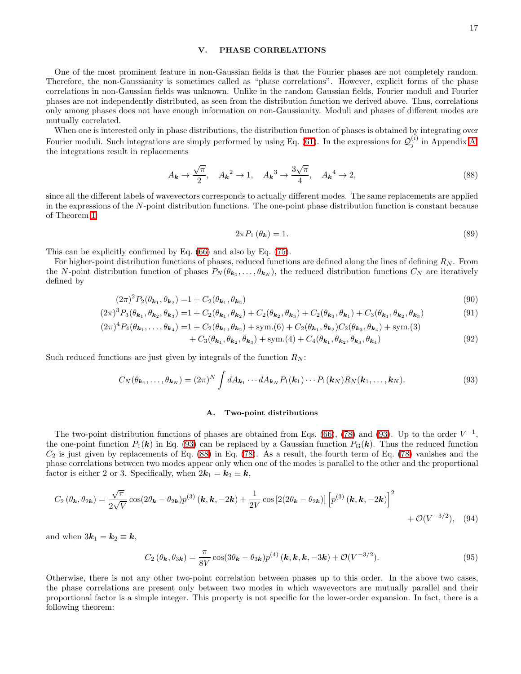# <span id="page-16-0"></span>V. PHASE CORRELATIONS

One of the most prominent feature in non-Gaussian fields is that the Fourier phases are not completely random. Therefore, the non-Gaussianity is sometimes called as "phase correlations". However, explicit forms of the phase correlations in non-Gaussian fields was unknown. Unlike in the random Gaussian fields, Fourier moduli and Fourier phases are not independently distributed, as seen from the distribution function we derived above. Thus, correlations only among phases does not have enough information on non-Gaussianity. Moduli and phases of different modes are mutually correlated.

When one is interested only in phase distributions, the distribution function of phases is obtained by integrating over Fourier moduli. Such integrations are simply performed by using Eq. [\(61\)](#page-9-2). In the expressions for  $\mathcal{Q}_j^{(i)}$  $j^{(i)}$  in Appendix [A,](#page-33-0) the integrations result in replacements

<span id="page-16-2"></span>
$$
A_{\mathbf{k}} \to \frac{\sqrt{\pi}}{2}, \quad A_{\mathbf{k}}^2 \to 1, \quad A_{\mathbf{k}}^3 \to \frac{3\sqrt{\pi}}{4}, \quad A_{\mathbf{k}}^4 \to 2,\tag{88}
$$

since all the different labels of wavevectors corresponds to actually different modes. The same replacements are applied in the expressions of the N-point distribution functions. The one-point phase distribution function is constant because of Theorem [1:](#page-11-1)

<span id="page-16-6"></span>
$$
2\pi P_1\left(\theta_k\right) = 1.\tag{89}
$$

This can be explicitly confirmed by Eq. [\(66\)](#page-10-3) and also by Eq. [\(75\)](#page-11-3).

For higher-point distribution functions of phases, reduced functions are defined along the lines of defining  $R_N$ . From the N-point distribution function of phases  $P_N(\theta_{k_1},\ldots,\theta_{k_N})$ , the reduced distribution functions  $C_N$  are iteratively defined by

$$
(2\pi)^2 P_2(\theta_{\mathbf{k}_1}, \theta_{\mathbf{k}_2}) = 1 + C_2(\theta_{\mathbf{k}_1}, \theta_{\mathbf{k}_2})
$$
\n
$$
(90)
$$

$$
(2\pi)^3 P_3(\theta_{\mathbf{k}_1}, \theta_{\mathbf{k}_2}, \theta_{\mathbf{k}_3}) = 1 + C_2(\theta_{\mathbf{k}_1}, \theta_{\mathbf{k}_2}) + C_2(\theta_{\mathbf{k}_2}, \theta_{\mathbf{k}_3}) + C_2(\theta_{\mathbf{k}_3}, \theta_{\mathbf{k}_1}) + C_3(\theta_{\mathbf{k}_1}, \theta_{\mathbf{k}_2}, \theta_{\mathbf{k}_3})
$$
(91)  

$$
(2\pi)^4 P_4(\theta_{\mathbf{k}_1}, \dots, \theta_{\mathbf{k}_n}) = 1 + C_2(\theta_{\mathbf{k}_1}, \theta_{\mathbf{k}_2}) + \text{sym.}(6) + C_2(\theta_{\mathbf{k}_1}, \theta_{\mathbf{k}_2}) C_2(\theta_{\mathbf{k}_2}, \theta_{\mathbf{k}_3}) + \text{sym.}(3)
$$

$$
2\pi)^{4}P_{4}(\theta_{\mathbf{k}_{1}},\ldots,\theta_{\mathbf{k}_{4}}) = 1 + C_{2}(\theta_{\mathbf{k}_{1}},\theta_{\mathbf{k}_{2}}) + \text{sym}(6) + C_{2}(\theta_{\mathbf{k}_{1}},\theta_{\mathbf{k}_{2}})C_{2}(\theta_{\mathbf{k}_{3}},\theta_{\mathbf{k}_{4}}) + \text{sym}(3)
$$
\n
$$
C_{4}(\theta_{\mathbf{k}_{1}},\theta_{\mathbf{k}_{2}}) + \text{sym}(4) + C_{4}(\theta_{\mathbf{k}_{1}},\theta_{\mathbf{k}_{2}})C_{2}(\theta_{\mathbf{k}_{3}},\theta_{\mathbf{k}_{4}}) + \text{sym}(3)
$$
\n
$$
(92)
$$

<span id="page-16-1"></span>
$$
+ C_3(\theta_{\mathbf{k}_1}, \theta_{\mathbf{k}_2}, \theta_{\mathbf{k}_3}) + \text{sym.}(4) + C_4(\theta_{\mathbf{k}_1}, \theta_{\mathbf{k}_2}, \theta_{\mathbf{k}_3}, \theta_{\mathbf{k}_4})
$$
\n(92)

Such reduced functions are just given by integrals of the function  $R_N$ :

$$
C_N(\theta_{\mathbf{k}_1},\ldots,\theta_{\mathbf{k}_N}) = (2\pi)^N \int dA_{\mathbf{k}_1}\cdots dA_{\mathbf{k}_N} P_1(\mathbf{k}_1)\cdots P_1(\mathbf{k}_N) R_N(\mathbf{k}_1,\ldots,\mathbf{k}_N).
$$
\n(93)

### <span id="page-16-3"></span>A. Two-point distributions

The two-point distribution functions of phases are obtained from Eqs. [\(66\)](#page-10-3), [\(78\)](#page-12-2) and [\(93\)](#page-16-1). Up to the order  $V^{-1}$ , the one-point function  $P_1(k)$  in Eq. [\(93\)](#page-16-1) can be replaced by a Gaussian function  $P_G(k)$ . Thus the reduced function  $C_2$  is just given by replacements of Eq. [\(88\)](#page-16-2) in Eq. [\(78\)](#page-12-2). As a result, the fourth term of Eq. (78) vanishes and the phase correlations between two modes appear only when one of the modes is parallel to the other and the proportional factor is either 2 or 3. Specifically, when  $2\mathbf{k}_1 = \mathbf{k}_2 \equiv \mathbf{k}$ ,

$$
C_2(\theta_{\mathbf{k}}, \theta_{2\mathbf{k}}) = \frac{\sqrt{\pi}}{2\sqrt{V}} \cos(2\theta_{\mathbf{k}} - \theta_{2\mathbf{k}}) p^{(3)}(\mathbf{k}, \mathbf{k}, -2\mathbf{k}) + \frac{1}{2V} \cos\left[2(2\theta_{\mathbf{k}} - \theta_{2\mathbf{k}})\right] \left[ p^{(3)}(\mathbf{k}, \mathbf{k}, -2\mathbf{k}) \right]^2
$$
  
+  $\mathcal{O}(V^{-3/2}),$  (94)

<span id="page-16-4"></span>and when  $3k_1 = k_2 \equiv k$ ,

$$
C_2\left(\theta_{\boldsymbol{k}},\theta_{3\boldsymbol{k}}\right) = \frac{\pi}{8V}\cos(3\theta_{\boldsymbol{k}} - \theta_{3\boldsymbol{k}})p^{(4)}\left(\boldsymbol{k},\boldsymbol{k},\boldsymbol{k},-3\boldsymbol{k}\right) + \mathcal{O}(V^{-3/2}).\tag{95}
$$

<span id="page-16-5"></span>Otherwise, there is not any other two-point correlation between phases up to this order. In the above two cases, the phase correlations are present only between two modes in which wavevectors are mutually parallel and their proportional factor is a simple integer. This property is not specific for the lower-order expansion. In fact, there is a following theorem: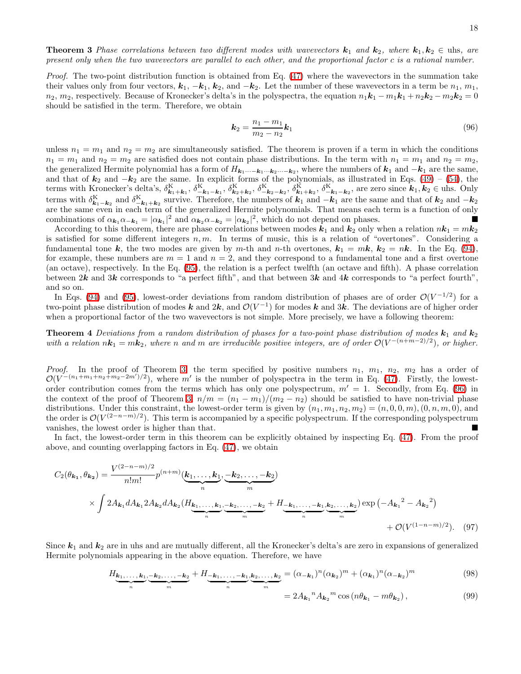**Theorem 3** Phase correlations between two different modes with wavevectors  $\mathbf{k}_1$  and  $\mathbf{k}_2$ , where  $\mathbf{k}_1, \mathbf{k}_2 \in \text{uhs}$ , are present only when the two wavevectors are parallel to each other, and the proportional factor c is a rational number.

*Proof.* The two-point distribution function is obtained from Eq.  $(47)$  where the wavevectors in the summation take their values only from four vectors,  $k_1, -k_1, k_2$ , and  $-k_2$ . Let the number of these wavevectors in a term be  $n_1, m_1$ ,  $n_2, m_2$ , respectively. Because of Kronecker's delta's in the polyspectra, the equation  $n_1\mathbf{k}_1 - m_1\mathbf{k}_1 + n_2\mathbf{k}_2 - m_2\mathbf{k}_2 = 0$ should be satisfied in the term. Therefore, we obtain

<span id="page-17-2"></span><span id="page-17-0"></span>
$$
\mathbf{k}_2 = \frac{n_1 - m_1}{m_2 - n_2} \mathbf{k}_1 \tag{96}
$$

unless  $n_1 = m_1$  and  $n_2 = m_2$  are simultaneously satisfied. The theorem is proven if a term in which the conditions  $n_1 = m_1$  and  $n_2 = m_2$  are satisfied does not contain phase distributions. In the term with  $n_1 = m_1$  and  $n_2 = m_2$ , the generalized Hermite polynomial has a form of  $H_{k_1\cdots-k_1\cdots k_2\cdots-k_2}$ , where the numbers of  $k_1$  and  $-k_1$  are the same, and that of  $k_2$  and  $-k_2$  are the same. In explicit forms of the polynomials, as illustrated in Eqs. [\(49\)](#page-7-2) – [\(54\)](#page-7-3), the terms with Kronecker's delta's,  $\delta_{\mathbf{k}_1+\mathbf{k}_1}^{\mathbf{K}}, \delta_{-\mathbf{k}_1-\mathbf{k}_1}^{\mathbf{K}}, \delta_{\mathbf{k}_2+\mathbf{k}_2}^{\mathbf{K}}, \delta_{-\mathbf{k}_2-\mathbf{k}_2}^{\mathbf{K}}, \delta_{\mathbf{k}_1+\mathbf{k}_2}^{\mathbf{K}}, \delta_{-\mathbf{k}_1-\mathbf{k}_2}^{\mathbf{K}},$  are zero since  $\mathbf{k}_1, \mathbf{k}_2 \in \text{u}$ hs. Only terms with  $\delta_{\mathbf{k}_1-\mathbf{k}_2}^{\mathbf{K}}$  and  $\delta_{-\mathbf{k}_1+\mathbf{k}_2}^{\mathbf{K}}$  survive. Therefore, the numbers of  $\mathbf{k}_1$  and  $-\mathbf{k}_1$  are the same and that of  $\mathbf{k}_2$  and  $-\mathbf{k}_2$ are the same even in each term of the generalized Hermite polynomials. That means each term is a function of only combinations of  $\alpha_{k_1}\alpha_{-k_1} = |\alpha_{k_1}|^2$  and  $\alpha_{k_2}\alpha_{-k_2} = |\alpha_{k_2}|^2$ , which do not depend on phases.

According to this theorem, there are phase correlations between modes  $k_1$  and  $k_2$  only when a relation  $nk_1 = mk_2$ is satisfied for some different integers  $n, m$ . In terms of music, this is a relation of "overtones". Considering a fundamental tone k, the two modes are given by m-th and n-th overtones,  $k_1 = m k$ ,  $k_2 = n k$ . In the Eq. [\(94\)](#page-16-3), for example, these numbers are  $m = 1$  and  $n = 2$ , and they correspond to a fundamental tone and a first overtone (an octave), respectively. In the Eq. [\(95\)](#page-16-4), the relation is a perfect twelfth (an octave and fifth). A phase correlation between  $2k$  and  $3k$  corresponds to "a perfect fifth", and that between  $3k$  and  $4k$  corresponds to "a perfect fourth", and so on.

In Eqs. [\(94\)](#page-16-3) and [\(95\)](#page-16-4), lowest-order deviations from random distribution of phases are of order  $\mathcal{O}(V^{-1/2})$  for a two-point phase distribution of modes k and  $2k$ , and  $\mathcal{O}(V^{-1})$  for modes k and  $3k$ . The deviations are of higher order when a proportional factor of the two wavevectors is not simple. More precisely, we have a following theorem:

**Theorem 4** Deviations from a random distribution of phases for a two-point phase distribution of modes  $k_1$  and  $k_2$ with a relation  $n\mathbf{k}_1 = m\mathbf{k}_2$ , where n and m are irreducible positive integers, are of order  $\mathcal{O}(V^{-(n+m-2)/2})$ , or higher.

*Proof.* In the proof of Theorem [3,](#page-16-5) the term specified by positive numbers  $n_1$ ,  $m_1$ ,  $n_2$ ,  $m_2$  has a order of  $\mathcal{O}(V^{-(n_1+m_1+n_2+m_2-2m')/2})$ , where m' is the number of polyspectra in the term in Eq. [\(47\)](#page-6-3). Firstly, the lowestorder contribution comes from the terms which has only one polyspectrum,  $m' = 1$ . Secondly, from Eq. [\(96\)](#page-17-0) in the context of the proof of Theorem [3,](#page-16-5)  $n/m = (n_1 - m_1)/(m_2 - n_2)$  should be satisfied to have non-trivial phase distributions. Under this constraint, the lowest-order term is given by  $(n_1, m_1, n_2, m_2) = (n, 0, 0, m), (0, n, m, 0)$ , and the order is  $\mathcal{O}(V^{(2-n-m)/2})$ . This term is accompanied by a specific polyspectrum. If the corresponding polyspectrum vanishes, the lowest order is higher than that.

In fact, the lowest-order term in this theorem can be explicitly obtained by inspecting Eq. [\(47\)](#page-6-3). From the proof above, and counting overlapping factors in Eq. [\(47\)](#page-6-3), we obtain

$$
C_{2}(\theta_{k_{1}}, \theta_{k_{2}}) = \frac{V^{(2-n-m)/2}}{n!m!} p^{(n+m)} (\underbrace{k_{1}, \dots, k_{1}}_{n}, \underbrace{-k_{2}, \dots, -k_{2}}_{m})
$$
  
 
$$
\times \int 2A_{k_{1}} dA_{k_{1}} 2A_{k_{2}} dA_{k_{2}} (H_{\underbrace{k_{1}, \dots, k_{1}}_{n}, \underbrace{-k_{2}, \dots, -k_{2}}_{m}, + H_{\underbrace{-k_{1}, \dots, -k_{1}}_{n}, \underbrace{k_{2}, \dots, k_{2}}_{n})} \exp(-A_{k_{1}}^{2} - A_{k_{2}}^{2})
$$
  
+  $\mathcal{O}(V^{(1-n-m)/2}).$  (97)

Since  $k_1$  and  $k_2$  are in uhs and are mutually different, all the Kronecker's delta's are zero in expansions of generalized Hermite polynomials appearing in the above equation. Therefore, we have

$$
H_{\underbrace{\mathbf{k}_1,\ldots,\mathbf{k}_1}_{n},\underbrace{-\mathbf{k}_2,\ldots,-\mathbf{k}_2}_{m}} + H_{\underbrace{-\mathbf{k}_1,\ldots,-\mathbf{k}_1}_{n},\underbrace{\mathbf{k}_2,\ldots,\mathbf{k}_2}_{m}} = (\alpha_{-\mathbf{k}_1})^n (\alpha_{\mathbf{k}_2})^m + (\alpha_{\mathbf{k}_1})^n (\alpha_{-\mathbf{k}_2})^m
$$
(98)

<span id="page-17-3"></span><span id="page-17-1"></span>
$$
=2A_{\mathbf{k}_1}^{\ \ n}A_{\mathbf{k}_2}^{\ \ m}\cos\left(n\theta_{\mathbf{k}_1}-m\theta_{\mathbf{k}_2}\right),\tag{99}
$$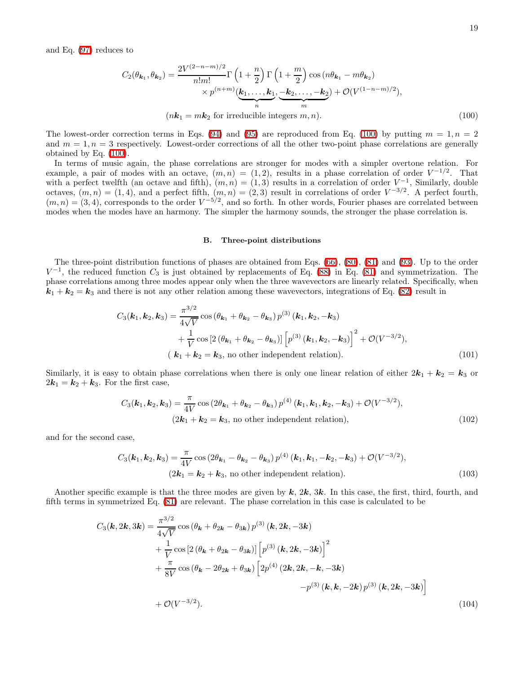and Eq. [\(97\)](#page-17-1) reduces to

$$
C_2(\theta_{\mathbf{k}_1}, \theta_{\mathbf{k}_2}) = \frac{2V^{(2-n-m)/2}}{n!m!} \Gamma\left(1 + \frac{n}{2}\right) \Gamma\left(1 + \frac{m}{2}\right) \cos\left(n\theta_{\mathbf{k}_1} - m\theta_{\mathbf{k}_2}\right) \times p^{(n+m)}(\mathbf{k}_1, \dots, \mathbf{k}_1, \underbrace{-\mathbf{k}_2, \dots, -\mathbf{k}_2}_{m}) + \mathcal{O}(V^{(1-n-m)/2}),
$$
\n
$$
(n\mathbf{k}_1 = m\mathbf{k}_2 \text{ for irreducible integers } m, n). \tag{100}
$$

The lowest-order correction terms in Eqs. [\(94\)](#page-16-3) and [\(95\)](#page-16-4) are reproduced from Eq. [\(100\)](#page-18-0) by putting  $m = 1, n = 2$ and  $m = 1, n = 3$  respectively. Lowest-order corrections of all the other two-point phase correlations are generally obtained by Eq. [\(100\)](#page-18-0).

In terms of music again, the phase correlations are stronger for modes with a simpler overtone relation. For example, a pair of modes with an octave,  $(m, n) = (1, 2)$ , results in a phase correlation of order  $V^{-1/2}$ . That with a perfect twelfth (an octave and fifth),  $(m, n) = (1, 3)$  results in a correlation of order  $V^{-1}$ , Similarly, double octaves,  $(m, n) = (1, 4)$ , and a perfect fifth,  $(m, n) = (2, 3)$  result in correlations of order  $V^{-3/2}$ . A perfect fourth,  $(m, n) = (3, 4)$ , corresponds to the order  $V^{-5/2}$ , and so forth. In other words, Fourier phases are correlated between modes when the modes have an harmony. The simpler the harmony sounds, the stronger the phase correlation is.

### <span id="page-18-2"></span><span id="page-18-1"></span><span id="page-18-0"></span>B. Three-point distributions

The three-point distribution functions of phases are obtained from Eqs. [\(66\)](#page-10-3), [\(80\)](#page-13-1), [\(81\)](#page-13-0) and [\(93\)](#page-16-1). Up to the order  $V^{-1}$ , the reduced function  $C_3$  is just obtained by replacements of Eq. [\(88\)](#page-16-2) in Eq. [\(81\)](#page-13-0) and symmetrization. The phase correlations among three modes appear only when the three wavevectors are linearly related. Specifically, when  $k_1 + k_2 = k_3$  and there is not any other relation among these wavevectors, integrations of Eq. [\(82\)](#page-14-0) result in

$$
C_3(\mathbf{k}_1, \mathbf{k}_2, \mathbf{k}_3) = \frac{\pi^{3/2}}{4\sqrt{V}} \cos \left(\theta_{\mathbf{k}_1} + \theta_{\mathbf{k}_2} - \theta_{\mathbf{k}_3}\right) p^{(3)}(\mathbf{k}_1, \mathbf{k}_2, -\mathbf{k}_3) + \frac{1}{V} \cos \left[2\left(\theta_{\mathbf{k}_1} + \theta_{\mathbf{k}_2} - \theta_{\mathbf{k}_3}\right)\right] \left[p^{(3)}(\mathbf{k}_1, \mathbf{k}_2, -\mathbf{k}_3)\right]^2 + \mathcal{O}(V^{-3/2}),
$$
\n
$$
(\mathbf{k}_1 + \mathbf{k}_2 = \mathbf{k}_3, \text{ no other independent relation}). \tag{101}
$$

Similarly, it is easy to obtain phase correlations when there is only one linear relation of either  $2k_1 + k_2 = k_3$  or  $2k_1 = k_2 + k_3$ . For the first case,

$$
C_3(\mathbf{k}_1, \mathbf{k}_2, \mathbf{k}_3) = \frac{\pi}{4V} \cos(2\theta_{\mathbf{k}_1} + \theta_{\mathbf{k}_2} - \theta_{\mathbf{k}_3}) p^{(4)}(\mathbf{k}_1, \mathbf{k}_1, \mathbf{k}_2, -\mathbf{k}_3) + \mathcal{O}(V^{-3/2}),
$$
  
(2 $\mathbf{k}_1 + \mathbf{k}_2 = \mathbf{k}_3$ , no other independent relation), (102)

and for the second case,

<span id="page-18-3"></span>
$$
C_3(\mathbf{k}_1, \mathbf{k}_2, \mathbf{k}_3) = \frac{\pi}{4V} \cos(2\theta_{\mathbf{k}_1} - \theta_{\mathbf{k}_2} - \theta_{\mathbf{k}_3}) p^{(4)}(\mathbf{k}_1, \mathbf{k}_1, -\mathbf{k}_2, -\mathbf{k}_3) + \mathcal{O}(V^{-3/2}),
$$
  
(2 $\mathbf{k}_1 = \mathbf{k}_2 + \mathbf{k}_3$ , no other independent relation). (103)

Another specific example is that the three modes are given by  $k$ ,  $2k$ ,  $3k$ . In this case, the first, third, fourth, and fifth terms in symmetrized Eq. [\(81\)](#page-13-0) are relevant. The phase correlation in this case is calculated to be

<span id="page-18-4"></span>
$$
C_3(\mathbf{k}, 2\mathbf{k}, 3\mathbf{k}) = \frac{\pi^{3/2}}{4\sqrt{V}} \cos (\theta_{\mathbf{k}} + \theta_{2\mathbf{k}} - \theta_{3\mathbf{k}}) p^{(3)}(\mathbf{k}, 2\mathbf{k}, -3\mathbf{k}) + \frac{1}{V} \cos [2 (\theta_{\mathbf{k}} + \theta_{2\mathbf{k}} - \theta_{3\mathbf{k}})] \left[ p^{(3)}(\mathbf{k}, 2\mathbf{k}, -3\mathbf{k}) \right]^{2} + \frac{\pi}{8V} \cos (\theta_{\mathbf{k}} - 2\theta_{2\mathbf{k}} + \theta_{3\mathbf{k}}) \left[ 2p^{(4)} (2\mathbf{k}, 2\mathbf{k}, -\mathbf{k}, -3\mathbf{k}) - p^{(3)} (\mathbf{k}, \mathbf{k}, -2\mathbf{k}) p^{(3)} (\mathbf{k}, 2\mathbf{k}, -3\mathbf{k}) \right] + \mathcal{O}(V^{-3/2}).
$$
\n(104)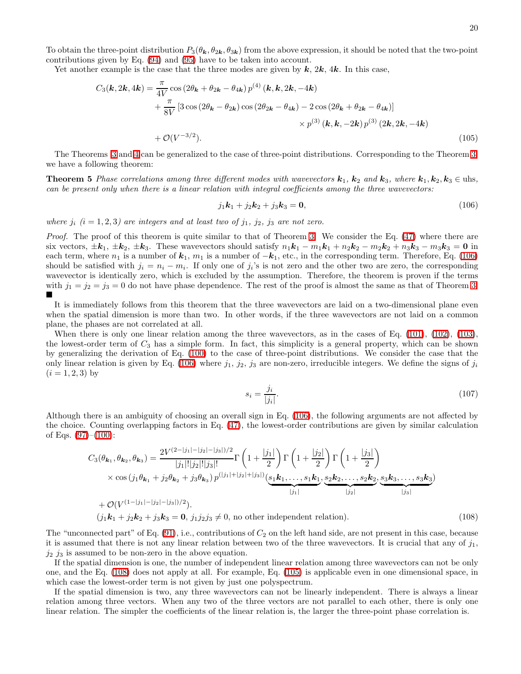<span id="page-19-2"></span>20

To obtain the three-point distribution  $P_3(\theta_k, \theta_{2k}, \theta_{3k})$  from the above expression, it should be noted that the two-point contributions given by Eq. [\(94\)](#page-16-3) and [\(95\)](#page-16-4) have to be taken into account.

Yet another example is the case that the three modes are given by  $k$ ,  $2k$ ,  $4k$ . In this case,

$$
C_3(\mathbf{k}, 2\mathbf{k}, 4\mathbf{k}) = \frac{\pi}{4V} \cos(2\theta_{\mathbf{k}} + \theta_{2\mathbf{k}} - \theta_{4\mathbf{k}}) p^{(4)}(\mathbf{k}, \mathbf{k}, 2\mathbf{k}, -4\mathbf{k}) + \frac{\pi}{8V} [3 \cos(2\theta_{\mathbf{k}} - \theta_{2\mathbf{k}}) \cos(2\theta_{2\mathbf{k}} - \theta_{4\mathbf{k}}) - 2 \cos(2\theta_{\mathbf{k}} + \theta_{2\mathbf{k}} - \theta_{4\mathbf{k}})] + \mathcal{O}(V^{-3/2}).
$$
\n(105)

The Theorems [3](#page-16-5) and [4](#page-17-2) can be generalized to the case of three-point distributions. Corresponding to the Theorem [3,](#page-16-5) we have a following theorem:

**Theorem 5** Phase correlations among three different modes with wavevectors  $\mathbf{k}_1$ ,  $\mathbf{k}_2$  and  $\mathbf{k}_3$ , where  $\mathbf{k}_1$ ,  $\mathbf{k}_2$ ,  $\mathbf{k}_3 \in \text{uhs}$ , can be present only when there is a linear relation with integral coefficients among the three wavevectors:

<span id="page-19-0"></span>
$$
j_1k_1 + j_2k_2 + j_3k_3 = 0,\t(106)
$$

where  $j_i$   $(i = 1, 2, 3)$  are integers and at least two of  $j_1$ ,  $j_2$ ,  $j_3$  are not zero.

Proof. The proof of this theorem is quite similar to that of Theorem [3.](#page-16-5) We consider the Eq. [\(47\)](#page-6-3) where there are six vectors,  $\pm \mathbf{k}_1$ ,  $\pm \mathbf{k}_2$ ,  $\pm \mathbf{k}_3$ . These wavevectors should satisfy  $n_1\mathbf{k}_1 - m_1\mathbf{k}_1 + n_2\mathbf{k}_2 - m_2\mathbf{k}_2 + n_3\mathbf{k}_3 - m_3\mathbf{k}_3 = \mathbf{0}$  in each term, where  $n_1$  is a number of  $k_1$ ,  $m_1$  is a number of  $-k_1$ , etc., in the corresponding term. Therefore, Eq. [\(106\)](#page-19-0) should be satisfied with  $j_i = n_i - m_i$ . If only one of  $j_i$ 's is not zero and the other two are zero, the corresponding wavevector is identically zero, which is excluded by the assumption. Therefore, the theorem is proven if the terms with  $j_1 = j_2 = j_3 = 0$  do not have phase dependence. The rest of the proof is almost the same as that of Theorem [3.](#page-16-5)  $\blacksquare$ 

It is immediately follows from this theorem that the three wavevectors are laid on a two-dimensional plane even when the spatial dimension is more than two. In other words, if the three wavevectors are not laid on a common plane, the phases are not correlated at all.

When there is only one linear relation among the three wavevectors, as in the cases of Eq. [\(101\)](#page-18-1), [\(102\)](#page-18-2), [\(103\)](#page-18-3), the lowest-order term of  $C_3$  has a simple form. In fact, this simplicity is a general property, which can be shown by generalizing the derivation of Eq. [\(100\)](#page-18-0) to the case of three-point distributions. We consider the case that the only linear relation is given by Eq. [\(106\)](#page-19-0) where  $j_1$ ,  $j_2$ ,  $j_3$  are non-zero, irreducible integers. We define the signs of  $j_i$  $(i = 1, 2, 3)$  by

<span id="page-19-1"></span>
$$
s_i = \frac{j_i}{|j_i|}.\tag{107}
$$

Although there is an ambiguity of choosing an overall sign in Eq. [\(106\)](#page-19-0), the following arguments are not affected by the choice. Counting overlapping factors in Eq. [\(47\)](#page-6-3), the lowest-order contributions are given by similar calculation of Eqs.  $(97)–(100)$  $(97)–(100)$ :

$$
C_3(\theta_{\mathbf{k}_1}, \theta_{\mathbf{k}_2}, \theta_{\mathbf{k}_3}) = \frac{2V^{(2-|j_1|-|j_2|-|j_3|)/2}}{|j_1|!|j_2|!|j_3|!} \Gamma\left(1+\frac{|j_1|}{2}\right) \Gamma\left(1+\frac{|j_2|}{2}\right) \Gamma\left(1+\frac{|j_3|}{2}\right)
$$
  
× cos (j<sub>1</sub>θ <sub>$\mathbf{k}_1$</sub>  + j<sub>2</sub>θ <sub>$\mathbf{k}_2$</sub>  + j<sub>3</sub>θ <sub>$\mathbf{k}_3$</sub> )  $p^{(|j_1|+|j_2|+|j_3|)} \underbrace{(s_1\mathbf{k}_1, \ldots, s_1\mathbf{k}_1)}_{|j_1|}$ ,  $\underbrace{s_2\mathbf{k}_2, \ldots, s_2\mathbf{k}_2}_{|j_2|}$ ,  $\underbrace{s_3\mathbf{k}_3, \ldots, s_3\mathbf{k}_3}_{|j_3|}$   
+  $\mathcal{O}(V^{(1-|j_1|-|j_2|-|j_3|)/2}).$ 

$$
(j_1\mathbf{k}_1 + j_2\mathbf{k}_2 + j_3\mathbf{k}_3 = \mathbf{0}, j_1j_2j_3 \neq 0,
$$
 no other independent relation). (108)

The "unconnected part" of Eq.  $(91)$ , i.e., contributions of  $C_2$  on the left hand side, are not present in this case, because it is assumed that there is not any linear relation between two of the three wavevectors. It is crucial that any of  $j_1$ ,  $j_2$   $j_3$  is assumed to be non-zero in the above equation.

If the spatial dimension is one, the number of independent linear relation among three wavevectors can not be only one, and the Eq. [\(108\)](#page-19-1) does not apply at all. For example, Eq. [\(105\)](#page-19-2) is applicable even in one dimensional space, in which case the lowest-order term is not given by just one polyspectrum.

If the spatial dimension is two, any three wavevectors can not be linearly independent. There is always a linear relation among three vectors. When any two of the three vectors are not parallel to each other, there is only one linear relation. The simpler the coefficients of the linear relation is, the larger the three-point phase correlation is.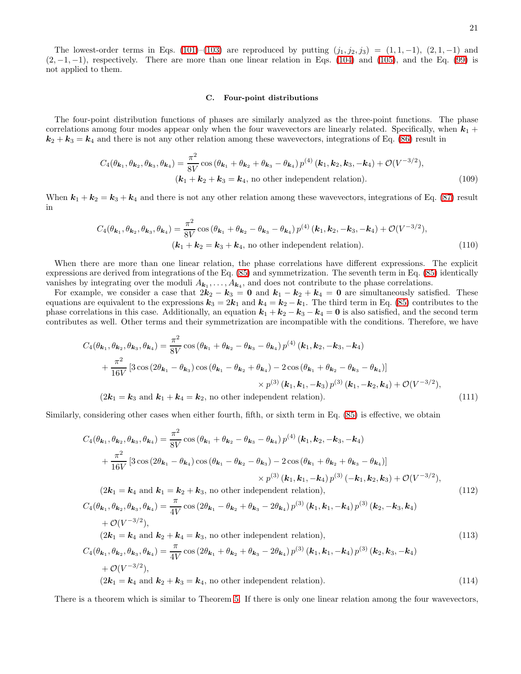The lowest-order terms in Eqs. [\(101\)](#page-18-1)–[\(103\)](#page-18-3) are reproduced by putting  $(j_1, j_2, j_3) = (1, 1, -1), (2, 1, -1)$  and  $(2, -1, -1)$ , respectively. There are more than one linear relation in Eqs. [\(104\)](#page-18-4) and [\(105\)](#page-19-2), and the Eq. [\(99\)](#page-17-3) is not applied to them.

### <span id="page-20-1"></span><span id="page-20-0"></span>C. Four-point distributions

The four-point distribution functions of phases are similarly analyzed as the three-point functions. The phase correlations among four modes appear only when the four wavevectors are linearly related. Specifically, when  $k_1$  +  $k_2 + k_3 = k_4$  and there is not any other relation among these wavevectors, integrations of Eq. [\(86\)](#page-15-1) result in

$$
C_4(\theta_{k_1}, \theta_{k_2}, \theta_{k_3}, \theta_{k_4}) = \frac{\pi^2}{8V} \cos(\theta_{k_1} + \theta_{k_2} + \theta_{k_3} - \theta_{k_4}) p^{(4)}(k_1, k_2, k_3, -k_4) + \mathcal{O}(V^{-3/2}),
$$
  
( $k_1 + k_2 + k_3 = k_4$ , no other independent relation). (109)

When  $k_1 + k_2 = k_3 + k_4$  and there is not any other relation among these wavevectors, integrations of Eq. [\(87\)](#page-15-2) result in

$$
C_4(\theta_{\mathbf{k}_1}, \theta_{\mathbf{k}_2}, \theta_{\mathbf{k}_3}, \theta_{\mathbf{k}_4}) = \frac{\pi^2}{8V} \cos (\theta_{\mathbf{k}_1} + \theta_{\mathbf{k}_2} - \theta_{\mathbf{k}_3} - \theta_{\mathbf{k}_4}) p^{(4)} (\mathbf{k}_1, \mathbf{k}_2, -\mathbf{k}_3, -\mathbf{k}_4) + \mathcal{O}(V^{-3/2}),
$$
  
\n
$$
(\mathbf{k}_1 + \mathbf{k}_2 = \mathbf{k}_3 + \mathbf{k}_4, \text{ no other independent relation}).
$$
\n(110)

When there are more than one linear relation, the phase correlations have different expressions. The explicit expressions are derived from integrations of the Eq. [\(85\)](#page-15-0) and symmetrization. The seventh term in Eq. [\(85\)](#page-15-0) identically vanishes by integrating over the moduli  $A_{k_1}, \ldots, A_{k_4}$ , and does not contribute to the phase correlations.

For example, we consider a case that  $2k_2 - k_3 = 0$  and  $k_1 - k_2 + k_4 = 0$  are simultaneously satisfied. These equations are equivalent to the expressions  $k_3 = 2k_1$  and  $k_4 = k_2 - k_1$ . The third term in Eq. [\(85\)](#page-15-0) contributes to the phase correlations in this case. Additionally, an equation  $k_1 + k_2 - k_3 - k_4 = 0$  is also satisfied, and the second term contributes as well. Other terms and their symmetrization are incompatible with the conditions. Therefore, we have

<span id="page-20-2"></span>
$$
C_4(\theta_{k_1}, \theta_{k_2}, \theta_{k_3}, \theta_{k_4}) = \frac{\pi^2}{8V} \cos (\theta_{k_1} + \theta_{k_2} - \theta_{k_3} - \theta_{k_4}) p^{(4)} (k_1, k_2, -k_3, -k_4)
$$
  
+ 
$$
\frac{\pi^2}{16V} [3 \cos (2\theta_{k_1} - \theta_{k_3}) \cos (\theta_{k_1} - \theta_{k_2} + \theta_{k_4}) - 2 \cos (\theta_{k_1} + \theta_{k_2} - \theta_{k_3} - \theta_{k_4})]
$$
  

$$
\times p^{(3)} (k_1, k_1, -k_3) p^{(3)} (k_1, -k_2, k_4) + \mathcal{O}(V^{-3/2}),
$$
  
(2k<sub>1</sub> = k<sub>3</sub> and k<sub>1</sub> + k<sub>4</sub> = k<sub>2</sub>, no other independent relation). (111)

Similarly, considering other cases when either fourth, fifth, or sixth term in Eq. [\(85\)](#page-15-0) is effective, we obtain

$$
C_4(\theta_{\mathbf{k}_1}, \theta_{\mathbf{k}_2}, \theta_{\mathbf{k}_3}, \theta_{\mathbf{k}_4}) = \frac{\pi^2}{8V} \cos (\theta_{\mathbf{k}_1} + \theta_{\mathbf{k}_2} - \theta_{\mathbf{k}_3} - \theta_{\mathbf{k}_4}) p^{(4)} (\mathbf{k}_1, \mathbf{k}_2, -\mathbf{k}_3, -\mathbf{k}_4)
$$
  
+ 
$$
\frac{\pi^2}{16V} \left[ 3 \cos (2\theta_{\mathbf{k}_1} - \theta_{\mathbf{k}_4}) \cos (\theta_{\mathbf{k}_1} - \theta_{\mathbf{k}_2} - \theta_{\mathbf{k}_3}) - 2 \cos (\theta_{\mathbf{k}_1} + \theta_{\mathbf{k}_2} + \theta_{\mathbf{k}_3} - \theta_{\mathbf{k}_4}) \right] \times p^{(3)} (\mathbf{k}_1, \mathbf{k}_1, -\mathbf{k}_4) p^{(3)} (-\mathbf{k}_1, \mathbf{k}_2, \mathbf{k}_3) + \mathcal{O}(V^{-3/2}),
$$
  
(2 $\mathbf{k}_1 = \mathbf{k}_4$  and  $\mathbf{k}_1 = \mathbf{k}_2 + \mathbf{k}_3$ , no other independent relation), (112)

<span id="page-20-4"></span><span id="page-20-3"></span>
$$
C_4(\theta_{k_1}, \theta_{k_2}, \theta_{k_3}, \theta_{k_4}) = \frac{\pi}{4V} \cos(2\theta_{k_1} - \theta_{k_2} + \theta_{k_3} - 2\theta_{k_4}) p^{(3)}(k_1, k_1, -k_4) p^{(3)}(k_2, -k_3, k_4)
$$
  
+  $\mathcal{O}(V^{-3/2}),$   
 $(2k_1 = k_4 \text{ and } k_2 + k_4 = k_3, \text{ no other independent relation}),$   

$$
C_4(\theta_{k_1}, \theta_{k_2}, \theta_{k_3}, \theta_{k_4}) = \frac{\pi}{4V} \cos(2\theta_{k_1} + \theta_{k_2} + \theta_{k_3} - 2\theta_{k_4}) p^{(3)}(k_1, k_1, -k_4) p^{(3)}(k_2, k_3, -k_4)
$$
  
+  $\mathcal{O}(V^{-3/2}),$   
 $(2k_1 = k_4 \text{ and } k_2 + k_3 = k_4, \text{ no other independent relation}).$  (114)

There is a theorem which is similar to Theorem [5.](#page-19-0) If there is only one linear relation among the four wavevectors,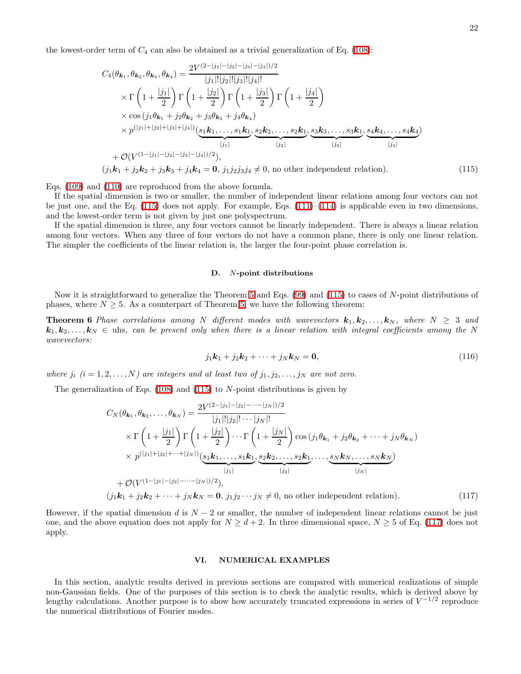the lowest-order term of  $C_4$  can also be obtained as a trivial generalization of Eq. [\(108\)](#page-19-1):

$$
C_{4}(\theta_{\mathbf{k}_{1}},\theta_{\mathbf{k}_{2}},\theta_{\mathbf{k}_{3}},\theta_{\mathbf{k}_{4}}) = \frac{2V^{(2-|j_{1}|-|j_{2}|-|j_{3}|-|j_{4}|)/2}}{|j_{1}|!|j_{2}|!|j_{3}|!|j_{4}|!} \times \Gamma\left(1+\frac{|j_{1}|}{2}\right)\Gamma\left(1+\frac{|j_{2}|}{2}\right)\Gamma\left(1+\frac{|j_{3}|}{2}\right)\Gamma\left(1+\frac{|j_{4}|}{2}\right) \times \cos\left(j_{1}\theta_{\mathbf{k}_{1}}+j_{2}\theta_{\mathbf{k}_{2}}+j_{3}\theta_{\mathbf{k}_{3}}+j_{4}\theta_{\mathbf{k}_{4}}\right) \times p^{(|j_{1}|+|j_{2}|+|j_{3}|+|j_{4}|)}\left(s_{1}\mathbf{k}_{1},\ldots,s_{1}\mathbf{k}_{1},s_{2}\mathbf{k}_{2},\ldots,s_{2}\mathbf{k}_{1},s_{3}\mathbf{k}_{3},\ldots,s_{3}\mathbf{k}_{1},s_{4}\mathbf{k}_{4},\ldots,s_{4}\mathbf{k}_{4}\right) \times p^{(|j_{1}|+|j_{2}|-|j_{3}|-|j_{4}|)/2},
$$
\n
$$
(j_{1}\mathbf{k}_{1}+j_{2}\mathbf{k}_{2}+j_{3}\mathbf{k}_{3}+j_{4}\mathbf{k}_{4}=\mathbf{0},j_{1}j_{2}j_{3}j_{4}\neq 0, \text{ no other independent relation}). \tag{115}
$$

Eqs. [\(109\)](#page-20-0) and [\(110\)](#page-20-1) are reproduced from the above formula.

If the spatial dimension is two or smaller, the number of independent linear relations among four vectors can not be just one, and the Eq.  $(115)$  does not apply. For example, Eqs.  $(111)–(114)$  $(111)–(114)$  is applicable even in two dimensions, and the lowest-order term is not given by just one polyspectrum.

If the spatial dimension is three, any four vectors cannot be linearly independent. There is always a linear relation among four vectors. When any three of four vectors do not have a common plane, there is only one linear relation. The simpler the coefficients of the linear relation is, the larger the four-point phase correlation is.

### <span id="page-21-1"></span>D. N-point distributions

Now it is straightforward to generalize the Theorem [5](#page-19-0) and Eqs. [\(99\)](#page-17-3) and [\(115\)](#page-21-1) to cases of N-point distributions of phases, where  $N \geq 5$ . As a counterpart of Theorem [5,](#page-19-0) we have the following theorem:

**Theorem 6** Phase correlations among N different modes with wavevectors  $\mathbf{k}_1, \mathbf{k}_2, \ldots, \mathbf{k}_N$ , where  $N \geq 3$  and  $k_1, k_2, \ldots, k_N \in \text{u}$  is, can be present only when there is a linear relation with integral coefficients among the N wavevectors:

$$
j_1k_1 + j_2k_2 + \dots + j_Nk_N = \mathbf{0},\tag{116}
$$

where  $j_i$   $(i = 1, 2, ..., N)$  are integers and at least two of  $j_1, j_2, ..., j_N$  are not zero.

The generalization of Eqs.  $(108)$  and  $(115)$  to N-point distributions is given by

$$
C_{N}(\theta_{\mathbf{k}_{1}}, \theta_{\mathbf{k}_{2}}, \dots, \theta_{\mathbf{k}_{N}}) = \frac{2V^{(2-|j_{1}|-|j_{2}|-\dots-|j_{N}|)/2}}{|j_{1}|!|j_{2}|! \cdots|j_{N}|!} \times \Gamma\left(1 + \frac{|j_{1}|}{2}\right) \Gamma\left(1 + \frac{|j_{2}|}{2}\right) \cdots \Gamma\left(1 + \frac{|j_{N}|}{2}\right) \cos(j_{1}\theta_{\mathbf{k}_{1}} + j_{2}\theta_{\mathbf{k}_{2}} + \cdots + j_{N}\theta_{\mathbf{k}_{N}}) \times p^{(|j_{1}|+|j_{2}|+\dots+|j_{N}|)} \underbrace{(s_{1}\mathbf{k}_{1}, \dots, s_{1}\mathbf{k}_{1}, \underbrace{s_{2}\mathbf{k}_{2}, \dots, s_{2}\mathbf{k}_{1}}_{|j_{1}|}, \dots, \underbrace{s_{N}\mathbf{k}_{N}, \dots, s_{N}\mathbf{k}_{N}}_{|j_{N}|})} + \mathcal{O}(V^{(1-|j_{1}|-|j_{2}|-\dots-|j_{N}|)/2}),
$$
  
\n(*j*<sub>1</sub> $\mathbf{k}_{1} + j_{2}\mathbf{k}_{2} + \cdots + j_{N}\mathbf{k}_{N} = \mathbf{0}, j_{1}j_{2} \cdots j_{N} \neq 0, \text{ no other independent relation}). \tag{117}$ 

However, if the spatial dimension d is  $N-2$  or smaller, the number of independent linear relations cannot be just one, and the above equation does not apply for  $N \geq d+2$ . In three dimensional space,  $N \geq 5$  of Eq. [\(117\)](#page-21-2) does not apply.

### <span id="page-21-2"></span><span id="page-21-0"></span>VI. NUMERICAL EXAMPLES

In this section, analytic results derived in previous sections are compared with numerical realizations of simple non-Gaussian fields. One of the purposes of this section is to check the analytic results, which is derived above by lengthy calculations. Another purpose is to show how accurately truncated expressions in series of  $V^{-1/2}$  reproduce the numerical distributions of Fourier modes.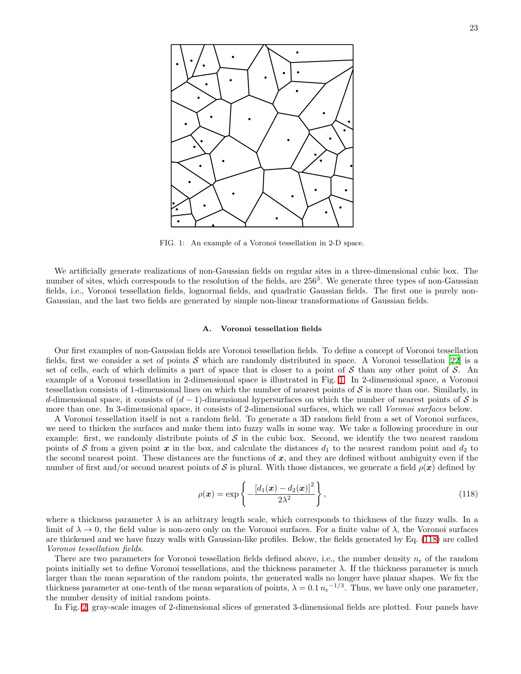

<span id="page-22-0"></span>FIG. 1: An example of a Voronoi tessellation in 2-D space.

We artificially generate realizations of non-Gaussian fields on regular sites in a three-dimensional cubic box. The number of sites, which corresponds to the resolution of the fields, are 256<sup>3</sup>. We generate three types of non-Gaussian fields, i.e., Voronoi tessellation fields, lognormal fields, and quadratic Gaussian fields. The first one is purely non-Gaussian, and the last two fields are generated by simple non-linear transformations of Gaussian fields.

### A. Voronoi tessellation fields

Our first examples of non-Gaussian fields are Voronoi tessellation fields. To define a concept of Voronoi tessellation fields, first we consider a set of points  $S$  which are randomly distributed in space. A Voronoi tessellation [\[22\]](#page-36-21) is a set of cells, each of which delimits a part of space that is closer to a point of S than any other point of S. An example of a Voronoi tessellation in 2-dimensional space is illustrated in Fig. [1.](#page-22-0) In 2-dimensional space, a Voronoi tessellation consists of 1-dimensional lines on which the number of nearest points of  $S$  is more than one. Similarly, in d-dimensional space, it consists of  $(d-1)$ -dimensional hypersurfaces on which the number of nearest points of S is more than one. In 3-dimensional space, it consists of 2-dimensional surfaces, which we call Voronoi surfaces below.

A Voronoi tessellation itself is not a random field. To generate a 3D random field from a set of Voronoi surfaces, we need to thicken the surfaces and make them into fuzzy walls in some way. We take a following procedure in our example: first, we randomly distribute points of  $S$  in the cubic box. Second, we identify the two nearest random points of S from a given point x in the box, and calculate the distances  $d_1$  to the nearest random point and  $d_2$  to the second nearest point. These distances are the functions of  $x$ , and they are defined without ambiguity even if the number of first and/or second nearest points of S is plural. With those distances, we generate a field  $\rho(x)$  defined by

<span id="page-22-1"></span>
$$
\rho(\boldsymbol{x}) = \exp\left\{-\frac{\left[d_1(\boldsymbol{x}) - d_2(\boldsymbol{x})\right]^2}{2\lambda^2}\right\},\tag{118}
$$

where a thickness parameter  $\lambda$  is an arbitrary length scale, which corresponds to thickness of the fuzzy walls. In a limit of  $\lambda \to 0$ , the field value is non-zero only on the Voronoi surfaces. For a finite value of  $\lambda$ , the Voronoi surfaces are thickened and we have fuzzy walls with Gaussian-like profiles. Below, the fields generated by Eq. [\(118\)](#page-22-1) are called Voronoi tessellation fields.

There are two parameters for Voronoi tessellation fields defined above, i.e., the number density  $n_r$  of the random points initially set to define Voronoi tessellations, and the thickness parameter  $\lambda$ . If the thickness parameter is much larger than the mean separation of the random points, the generated walls no longer have planar shapes. We fix the thickness parameter at one-tenth of the mean separation of points,  $\lambda = 0.1 n_r^{-1/3}$ . Thus, we have only one parameter, the number density of initial random points.

In Fig. [2,](#page-23-0) gray-scale images of 2-dimensional slices of generated 3-dimensional fields are plotted. Four panels have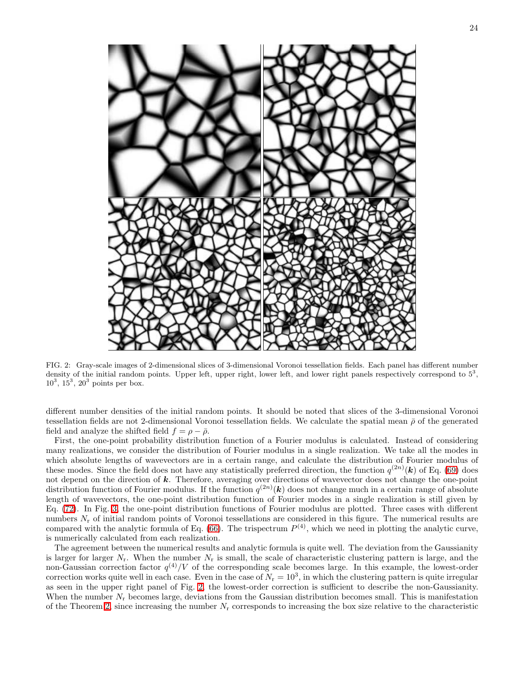

<span id="page-23-0"></span>FIG. 2: Gray-scale images of 2-dimensional slices of 3-dimensional Voronoi tessellation fields. Each panel has different number density of the initial random points. Upper left, upper right, lower left, and lower right panels respectively correspond to  $5<sup>3</sup>$ ,  $10^3$ ,  $15^3$ ,  $20^3$  points per box.

different number densities of the initial random points. It should be noted that slices of the 3-dimensional Voronoi tessellation fields are not 2-dimensional Voronoi tessellation fields. We calculate the spatial mean  $\bar{\rho}$  of the generated field and analyze the shifted field  $f = \rho - \bar{\rho}$ .

First, the one-point probability distribution function of a Fourier modulus is calculated. Instead of considering many realizations, we consider the distribution of Fourier modulus in a single realization. We take all the modes in which absolute lengths of wavevectors are in a certain range, and calculate the distribution of Fourier modulus of these modes. Since the field does not have any statistically preferred direction, the function  $q^{(2n)}(k)$  of Eq. [\(69\)](#page-10-4) does not depend on the direction of  $k$ . Therefore, averaging over directions of wavevector does not change the one-point distribution function of Fourier modulus. If the function  $q^{(2n)}(k)$  does not change much in a certain range of absolute length of wavevectors, the one-point distribution function of Fourier modes in a single realization is still given by Eq. [\(72\)](#page-11-0). In Fig. [3,](#page-24-0) the one-point distribution functions of Fourier modulus are plotted. Three cases with different numbers  $N_r$  of initial random points of Voronoi tessellations are considered in this figure. The numerical results are compared with the analytic formula of Eq. [\(66\)](#page-10-3). The trispectrum  $P^{(4)}$ , which we need in plotting the analytic curve, is numerically calculated from each realization.

The agreement between the numerical results and analytic formula is quite well. The deviation from the Gaussianity is larger for larger  $N_r$ . When the number  $N_r$  is small, the scale of characteristic clustering pattern is large, and the non-Gaussian correction factor  $q^{(4)}/V$  of the corresponding scale becomes large. In this example, the lowest-order correction works quite well in each case. Even in the case of  $N_r = 10^3$ , in which the clustering pattern is quite irregular as seen in the upper right panel of Fig. [2,](#page-23-0) the lowest-order correction is sufficient to describe the non-Gaussianity. When the number  $N_r$  becomes large, deviations from the Gaussian distribution becomes small. This is manifestation of the Theorem [2,](#page-11-2) since increasing the number  $N_r$  corresponds to increasing the box size relative to the characteristic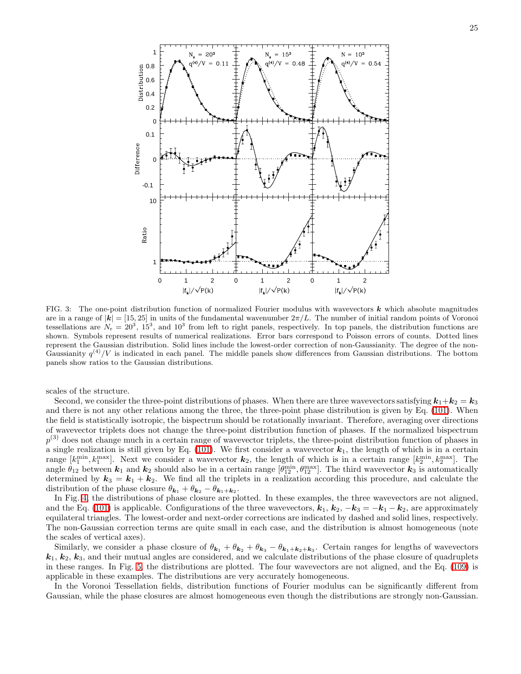



<span id="page-24-0"></span>FIG. 3: The one-point distribution function of normalized Fourier modulus with wavevectors  $k$  which absolute magnitudes are in a range of  $|\vec{k}| = [15, 25]$  in units of the fundamental wavenumber  $2\pi/L$ . The number of initial random points of Voronoi tessellations are  $N_r = 20^3$ ,  $15^3$ , and  $10^3$  from left to right panels, respectively. In top panels, the distribution functions are shown. Symbols represent results of numerical realizations. Error bars correspond to Poisson errors of counts. Dotted lines represent the Gaussian distribution. Solid lines include the lowest-order correction of non-Gaussianity. The degree of the non-Gaussianity  $q^{(4)}/V$  is indicated in each panel. The middle panels show differences from Gaussian distributions. The bottom panels show ratios to the Gaussian distributions.

scales of the structure.

Second, we consider the three-point distributions of phases. When there are three wavevectors satisfying  $k_1+k_2 = k_3$ and there is not any other relations among the three, the three-point phase distribution is given by Eq. [\(101\)](#page-18-1). When the field is statistically isotropic, the bispectrum should be rotationally invariant. Therefore, averaging over directions of wavevector triplets does not change the three-point distribution function of phases. If the normalized bispectrum  $p<sup>(3)</sup>$  does not change much in a certain range of wavevector triplets, the three-point distribution function of phases in a single realization is still given by Eq. [\(101\)](#page-18-1). We first consider a wavevector  $k_1$ , the length of which is in a certain range  $[k_1^{\min}, k_1^{\max}]$ . Next we consider a wavevector  $k_2$ , the length of which is in a certain range  $[k_2^{\min}, k_2^{\max}]$ . The angle  $\hat{\theta}_{12}$  between  $k_1$  and  $k_2$  should also be in a certain range  $[\hat{\theta}_{12}^{\text{min}}, \theta_{12}^{\text{max}}]$ . The third wavevector  $k_3$  is automatically determined by  $k_3 = k_1 + k_2$ . We find all the triplets in a realization according this procedure, and calculate the distribution of the phase closure  $\theta_{\mathbf{k}_1} + \theta_{\mathbf{k}_2} - \theta_{\mathbf{k}_1 + \mathbf{k}_2}$ .

In Fig. [4,](#page-25-0) the distributions of phase closure are plotted. In these examples, the three wavevectors are not aligned, and the Eq. [\(101\)](#page-18-1) is applicable. Configurations of the three wavevectors,  $k_1, k_2, -k_3 = -k_1 - k_2$ , are approximately equilateral triangles. The lowest-order and next-order corrections are indicated by dashed and solid lines, respectively. The non-Gaussian correction terms are quite small in each case, and the distribution is almost homogeneous (note the scales of vertical axes).

Similarly, we consider a phase closure of  $\theta_{k_1} + \theta_{k_2} + \theta_{k_3} - \theta_{k_1+k_2+k_3}$ . Certain ranges for lengths of wavevectors  $k_1, k_2, k_3$ , and their mutual angles are considered, and we calculate distributions of the phase closure of quadruplets in these ranges. In Fig. [5,](#page-26-0) the distributions are plotted. The four wavevectors are not aligned, and the Eq. [\(109\)](#page-20-0) is applicable in these examples. The distributions are very accurately homogeneous.

In the Voronoi Tessellation fields, distribution functions of Fourier modulus can be significantly different from Gaussian, while the phase closures are almost homogeneous even though the distributions are strongly non-Gaussian.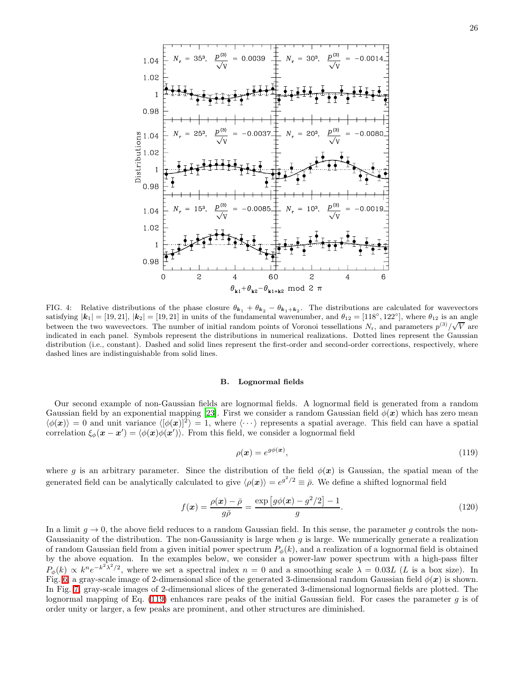

<span id="page-25-0"></span>FIG. 4: Relative distributions of the phase closure  $\theta_{k_1} + \theta_{k_2} - \theta_{k_1+k_2}$ . The distributions are calculated for wavevectors satisfying  $|\mathbf{k}_1| = [19, 21]$ ,  $|\mathbf{k}_2| = [19, 21]$  in units of the fundamental wavenumber, and  $\theta_{12} = [118^\circ, 122^\circ]$ , where  $\theta_{12}$  is an angle between the two wavevectors. The number of initial random points of Voronoi tessellations  $N_r$ , and parameters  $p^{(3)}/\sqrt{V}$  are indicated in each panel. Symbols represent the distributions in numerical realizations. Dotted lines represent the Gaussian distribution (i.e., constant). Dashed and solid lines represent the first-order and second-order corrections, respectively, where dashed lines are indistinguishable from solid lines.

### B. Lognormal fields

Our second example of non-Gaussian fields are lognormal fields. A lognormal field is generated from a random Gaussian field by an exponential mapping [\[23](#page-36-22)]. First we consider a random Gaussian field  $\phi(x)$  which has zero mean  $\langle \phi(\mathbf{x}) \rangle = 0$  and unit variance  $\langle [\phi(\mathbf{x})]^2 \rangle = 1$ , where  $\langle \cdots \rangle$  represents a spatial average. This field can have a spatial correlation  $\xi_{\phi}(\mathbf{x} - \mathbf{x}') = \langle \phi(\mathbf{x})\phi(\mathbf{x}')\rangle$ . From this field, we consider a lognormal field

<span id="page-25-1"></span>
$$
\rho(\boldsymbol{x}) = e^{g\phi(\boldsymbol{x})},\tag{119}
$$

where g is an arbitrary parameter. Since the distribution of the field  $\phi(x)$  is Gaussian, the spatial mean of the generated field can be analytically calculated to give  $\langle \rho(x) \rangle = e^{g^2/2} \equiv \bar{\rho}$ . We define a shifted lognormal field

$$
f(\boldsymbol{x}) = \frac{\rho(\boldsymbol{x}) - \bar{\rho}}{g\bar{\rho}} = \frac{\exp\left[g\phi(\boldsymbol{x}) - g^2/2\right] - 1}{g}.
$$
\n(120)

In a limit  $g \to 0$ , the above field reduces to a random Gaussian field. In this sense, the parameter g controls the non-Gaussianity of the distribution. The non-Gaussianity is large when  $g$  is large. We numerically generate a realization of random Gaussian field from a given initial power spectrum  $P_{\phi}(k)$ , and a realization of a lognormal field is obtained by the above equation. In the examples below, we consider a power-law power spectrum with a high-pass filter  $P_{\phi}(k) \propto k^n e^{-k^2 \lambda^2/2}$ , where we set a spectral index  $n = 0$  and a smoothing scale  $\lambda = 0.03L$  (L is a box size). In Fig. [6,](#page-27-0) a gray-scale image of 2-dimensional slice of the generated 3-dimensional random Gaussian field  $\phi(x)$  is shown. In Fig. [7,](#page-27-1) gray-scale images of 2-dimensional slices of the generated 3-dimensional lognormal fields are plotted. The lognormal mapping of Eq.  $(119)$  enhances rare peaks of the initial Gaussian field. For cases the parameter g is of order unity or larger, a few peaks are prominent, and other structures are diminished.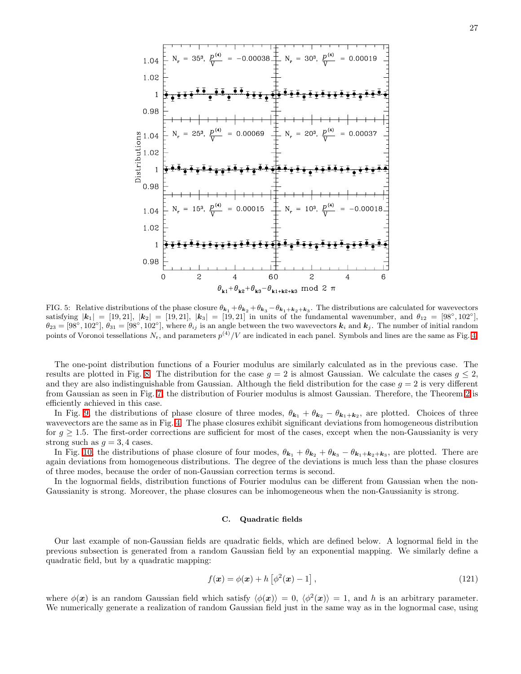

<span id="page-26-0"></span>FIG. 5: Relative distributions of the phase closure  $\theta_{k_1} + \theta_{k_2} + \theta_{k_3} - \theta_{k_1 + k_2 + k_3}$ . The distributions are calculated for wavevectors satisfying  $|{\bf k}_1| = [19, 21], |{\bf k}_2| = [19, 21], |{\bf k}_3| = [19, 21]$  in units of the fundamental wavenumber, and  $\theta_{12} = [98^\circ, 102^\circ],$  $\theta_{23} = [98^\circ, 102^\circ], \theta_{31} = [98^\circ, 102^\circ],$  where  $\theta_{ij}$  is an angle between the two wavevectors  $k_i$  and  $k_j$ . The number of initial random points of Voronoi tessellations  $N_r$ , and parameters  $p^{(4)}/V$  are indicated in each panel. Symbols and lines are the same as Fig. [4.](#page-25-0)

The one-point distribution functions of a Fourier modulus are similarly calculated as in the previous case. The results are plotted in Fig. [8.](#page-28-0) The distribution for the case  $g = 2$  is almost Gaussian. We calculate the cases  $g \leq 2$ , and they are also indistinguishable from Gaussian. Although the field distribution for the case  $g = 2$  is very different from Gaussian as seen in Fig. [7,](#page-27-1) the distribution of Fourier modulus is almost Gaussian. Therefore, the Theorem [2](#page-11-2) is efficiently achieved in this case.

In Fig. [9,](#page-28-1) the distributions of phase closure of three modes,  $\theta_{k_1} + \theta_{k_2} - \theta_{k_1+k_2}$ , are plotted. Choices of three wavevectors are the same as in Fig. [4.](#page-25-0) The phase closures exhibit significant deviations from homogeneous distribution for  $g \geq 1.5$ . The first-order corrections are sufficient for most of the cases, except when the non-Gaussianity is very strong such as  $q = 3, 4$  cases.

In Fig. [10,](#page-29-0) the distributions of phase closure of four modes,  $\theta_{\mathbf{k}_1} + \theta_{\mathbf{k}_2} + \theta_{\mathbf{k}_3} - \theta_{\mathbf{k}_1 + \mathbf{k}_2 + \mathbf{k}_3}$ , are plotted. There are again deviations from homogeneous distributions. The degree of the deviations is much less than the phase closures of three modes, because the order of non-Gaussian correction terms is second.

In the lognormal fields, distribution functions of Fourier modulus can be different from Gaussian when the non-Gaussianity is strong. Moreover, the phase closures can be inhomogeneous when the non-Gaussianity is strong.

## C. Quadratic fields

Our last example of non-Gaussian fields are quadratic fields, which are defined below. A lognormal field in the previous subsection is generated from a random Gaussian field by an exponential mapping. We similarly define a quadratic field, but by a quadratic mapping:

<span id="page-26-1"></span>
$$
f(\boldsymbol{x}) = \phi(\boldsymbol{x}) + h \left[ \phi^2(\boldsymbol{x}) - 1 \right], \tag{121}
$$

where  $\phi(\mathbf{x})$  is an random Gaussian field which satisfy  $\langle \phi(\mathbf{x}) \rangle = 0$ ,  $\langle \phi^2(\mathbf{x}) \rangle = 1$ , and h is an arbitrary parameter. We numerically generate a realization of random Gaussian field just in the same way as in the lognormal case, using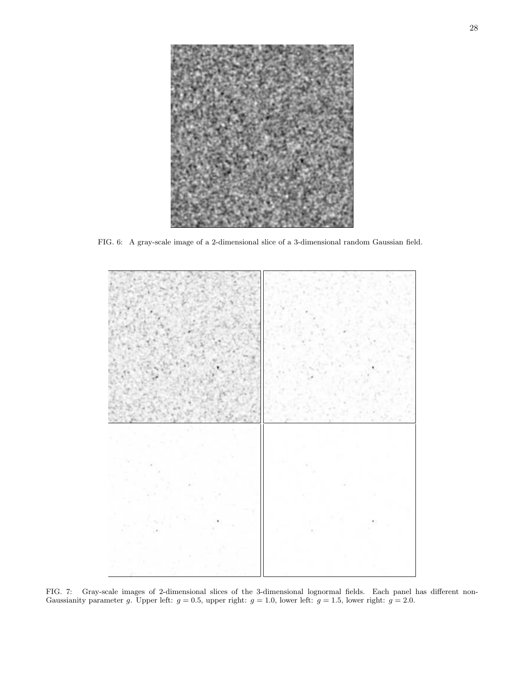

FIG. 6: A gray-scale image of a 2-dimensional slice of a 3-dimensional random Gaussian field.

<span id="page-27-1"></span><span id="page-27-0"></span>

FIG. 7: Gray-scale images of 2-dimensional slices of the 3-dimensional lognormal fields. Each panel has different non-Gaussianity parameter g. Upper left:  $g = 0.5$ , upper right:  $g = 1.0$ , lower left:  $g = 1.5$ , lower right:  $g = 2.0$ .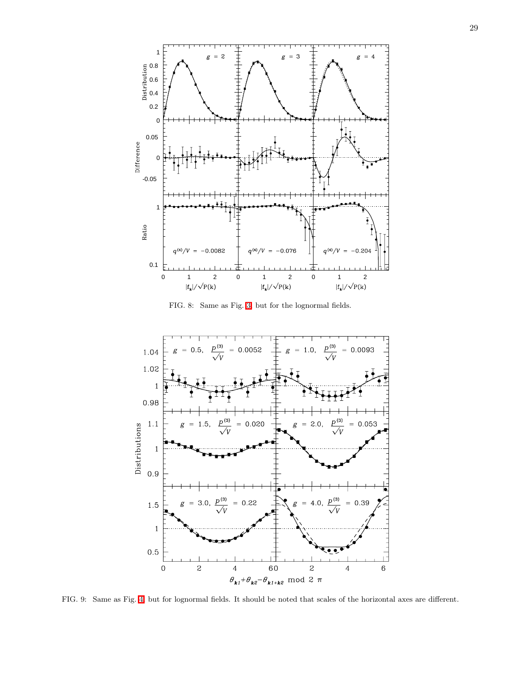

FIG. 8: Same as Fig. [3,](#page-24-0) but for the lognormal fields.

<span id="page-28-0"></span>

<span id="page-28-1"></span>FIG. 9: Same as Fig. [4,](#page-25-0) but for lognormal fields. It should be noted that scales of the horizontal axes are different.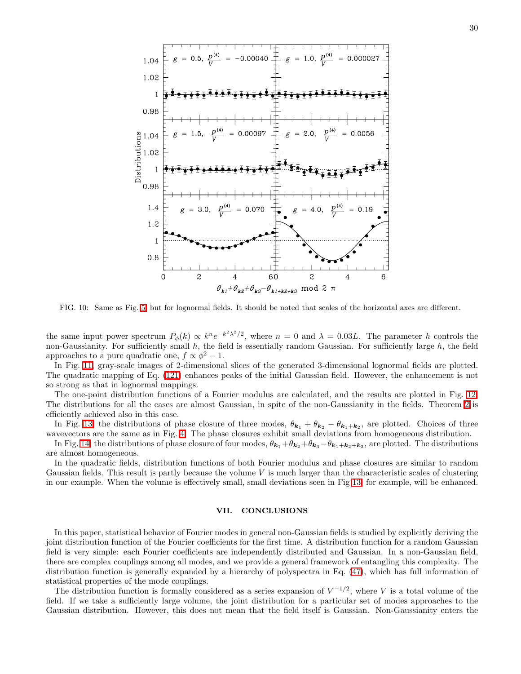

<span id="page-29-0"></span>FIG. 10: Same as Fig. [5,](#page-26-0) but for lognormal fields. It should be noted that scales of the horizontal axes are different.

the same input power spectrum  $P_{\phi}(k) \propto k^n e^{-k^2 \lambda^2/2}$ , where  $n = 0$  and  $\lambda = 0.03L$ . The parameter h controls the non-Gaussianity. For sufficiently small  $h$ , the field is essentially random Gaussian. For sufficiently large  $h$ , the field approaches to a pure quadratic one,  $f \propto \phi^2 - 1$ .

In Fig. [11,](#page-30-0) gray-scale images of 2-dimensional slices of the generated 3-dimensional lognormal fields are plotted. The quadratic mapping of Eq. [\(121\)](#page-26-1) enhances peaks of the initial Gaussian field. However, the enhancement is not so strong as that in lognormal mappings.

The one-point distribution functions of a Fourier modulus are calculated, and the results are plotted in Fig. [12.](#page-31-0) The distributions for all the cases are almost Gaussian, in spite of the non-Gaussianity in the fields. Theorem [2](#page-11-2) is efficiently achieved also in this case.

In Fig. [13,](#page-31-1) the distributions of phase closure of three modes,  $\theta_{\mathbf{k}_1} + \theta_{\mathbf{k}_2} - \theta_{\mathbf{k}_1 + \mathbf{k}_2}$ , are plotted. Choices of three wavevectors are the same as in Fig. [4.](#page-25-0) The phase closures exhibit small deviations from homogeneous distribution.

In Fig. [14,](#page-32-0) the distributions of phase closure of four modes,  $\theta_{k_1} + \theta_{k_2} + \theta_{k_3} - \theta_{k_1+k_2+k_3}$ , are plotted. The distributions are almost homogeneous.

In the quadratic fields, distribution functions of both Fourier modulus and phase closures are similar to random Gaussian fields. This result is partly because the volume  $V$  is much larger than the characteristic scales of clustering in our example. When the volume is effectively small, small deviations seen in Fig [13,](#page-31-1) for example, will be enhanced.

# VII. CONCLUSIONS

In this paper, statistical behavior of Fourier modes in general non-Gaussian fields is studied by explicitly deriving the joint distribution function of the Fourier coefficients for the first time. A distribution function for a random Gaussian field is very simple: each Fourier coefficients are independently distributed and Gaussian. In a non-Gaussian field, there are complex couplings among all modes, and we provide a general framework of entangling this complexity. The distribution function is generally expanded by a hierarchy of polyspectra in Eq. [\(47\)](#page-6-3), which has full information of statistical properties of the mode couplings.

The distribution function is formally considered as a series expansion of  $V^{-1/2}$ , where V is a total volume of the field. If we take a sufficiently large volume, the joint distribution for a particular set of modes approaches to the Gaussian distribution. However, this does not mean that the field itself is Gaussian. Non-Gaussianity enters the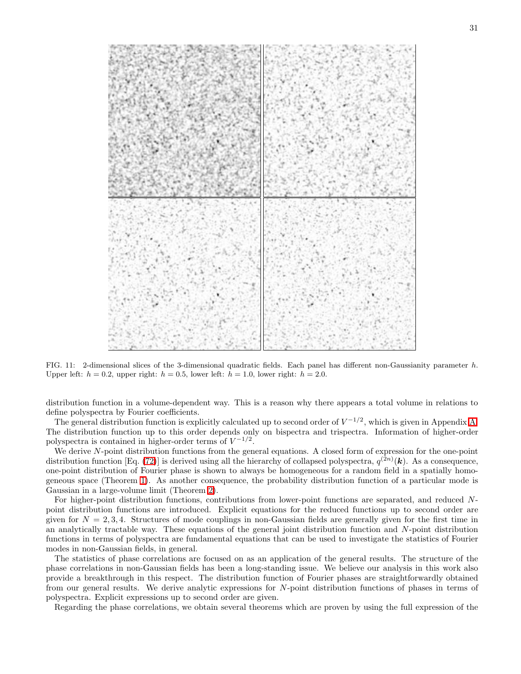

<span id="page-30-0"></span>FIG. 11: 2-dimensional slices of the 3-dimensional quadratic fields. Each panel has different non-Gaussianity parameter h. Upper left:  $h = 0.2$ , upper right:  $h = 0.5$ , lower left:  $h = 1.0$ , lower right:  $h = 2.0$ .

distribution function in a volume-dependent way. This is a reason why there appears a total volume in relations to define polyspectra by Fourier coefficients.

The general distribution function is explicitly calculated up to second order of  $V^{-1/2}$ , which is given in Appendix [A.](#page-33-0) The distribution function up to this order depends only on bispectra and trispectra. Information of higher-order polyspectra is contained in higher-order terms of  $V^{-1/2}$ .

We derive N-point distribution functions from the general equations. A closed form of expression for the one-point distribution function [Eq. [\(72\)](#page-11-0)] is derived using all the hierarchy of collapsed polyspectra,  $q^{(2n)}(\mathbf{k})$ . As a consequence, one-point distribution of Fourier phase is shown to always be homogeneous for a random field in a spatially homogeneous space (Theorem [1\)](#page-11-1). As another consequence, the probability distribution function of a particular mode is Gaussian in a large-volume limit (Theorem [2\)](#page-11-2).

For higher-point distribution functions, contributions from lower-point functions are separated, and reduced Npoint distribution functions are introduced. Explicit equations for the reduced functions up to second order are given for  $N = 2, 3, 4$ . Structures of mode couplings in non-Gaussian fields are generally given for the first time in an analytically tractable way. These equations of the general joint distribution function and N-point distribution functions in terms of polyspectra are fundamental equations that can be used to investigate the statistics of Fourier modes in non-Gaussian fields, in general.

The statistics of phase correlations are focused on as an application of the general results. The structure of the phase correlations in non-Gaussian fields has been a long-standing issue. We believe our analysis in this work also provide a breakthrough in this respect. The distribution function of Fourier phases are straightforwardly obtained from our general results. We derive analytic expressions for N-point distribution functions of phases in terms of polyspectra. Explicit expressions up to second order are given.

Regarding the phase correlations, we obtain several theorems which are proven by using the full expression of the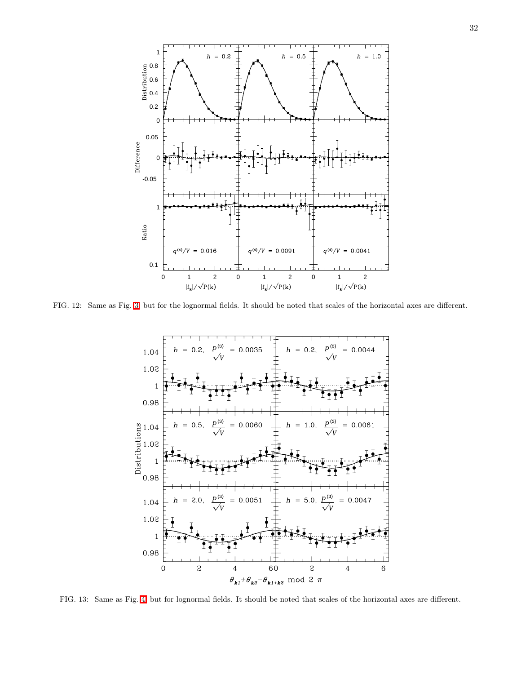

<span id="page-31-0"></span>FIG. 12: Same as Fig. [3,](#page-24-0) but for the lognormal fields. It should be noted that scales of the horizontal axes are different.



<span id="page-31-1"></span>FIG. 13: Same as Fig. [4,](#page-25-0) but for lognormal fields. It should be noted that scales of the horizontal axes are different.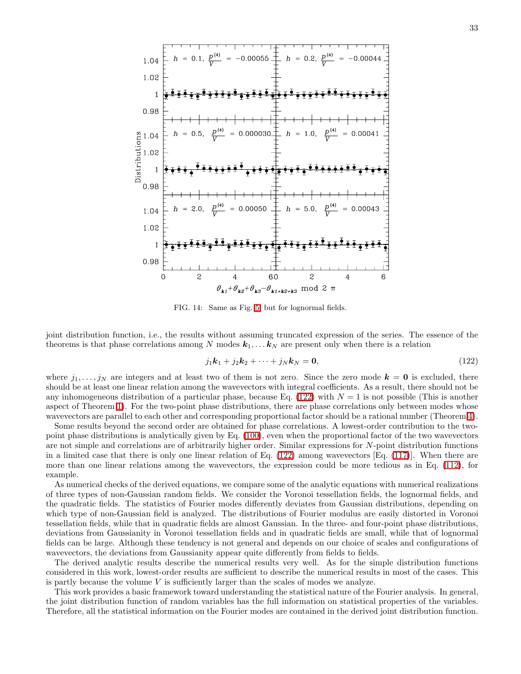

<span id="page-32-0"></span>FIG. 14: Same as Fig. [5,](#page-26-0) but for lognormal fields.

joint distribution function, i.e., the results without assuming truncated expression of the series. The essence of the theorems is that phase correlations among N modes  $k_1, \ldots, k_N$  are present only when there is a relation

<span id="page-32-1"></span>
$$
j_1\mathbf{k}_1 + j_2\mathbf{k}_2 + \dots + j_N\mathbf{k}_N = \mathbf{0},\tag{122}
$$

where  $j_1, \ldots, j_N$  are integers and at least two of them is not zero. Since the zero mode  $k = 0$  is excluded, there should be at least one linear relation among the wavevectors with integral coefficients. As a result, there should not be any inhomogeneous distribution of a particular phase, because Eq. [\(122\)](#page-32-1) with  $N = 1$  is not possible (This is another aspect of Theorem [1\)](#page-11-1). For the two-point phase distributions, there are phase correlations only between modes whose wavevectors are parallel to each other and corresponding proportional factor should be a rational number (Theorem [4\)](#page-17-2).

Some results beyond the second order are obtained for phase correlations. A lowest-order contribution to the twopoint phase distributions is analytically given by Eq. [\(100\)](#page-18-0), even when the proportional factor of the two wavevectors are not simple and correlations are of arbitrarily higher order. Similar expressions for N-point distribution functions in a limited case that there is only one linear relation of Eq. [\(122\)](#page-32-1) among wavevectors [Eq. [\(117\)](#page-21-2)]. When there are more than one linear relations among the wavevectors, the expression could be more tedious as in Eq. [\(112\)](#page-20-4), for example.

As numerical checks of the derived equations, we compare some of the analytic equations with numerical realizations of three types of non-Gaussian random fields. We consider the Voronoi tessellation fields, the lognormal fields, and the quadratic fields. The statistics of Fourier modes differently deviates from Gaussian distributions, depending on which type of non-Gaussian field is analyzed. The distributions of Fourier modulus are easily distorted in Voronoi tessellation fields, while that in quadratic fields are almost Gaussian. In the three- and four-point phase distributions, deviations from Gaussianity in Voronoi tessellation fields and in quadratic fields are small, while that of lognormal fields can be large. Although these tendency is not general and depends on our choice of scales and configurations of wavevectors, the deviations from Gaussianity appear quite differently from fields to fields.

The derived analytic results describe the numerical results very well. As for the simple distribution functions considered in this work, lowest-order results are sufficient to describe the numerical results in most of the cases. This is partly because the volume  $V$  is sufficiently larger than the scales of modes we analyze.

This work provides a basic framework toward understanding the statistical nature of the Fourier analysis. In general, the joint distribution function of random variables has the full information on statistical properties of the variables. Therefore, all the statistical information on the Fourier modes are contained in the derived joint distribution function.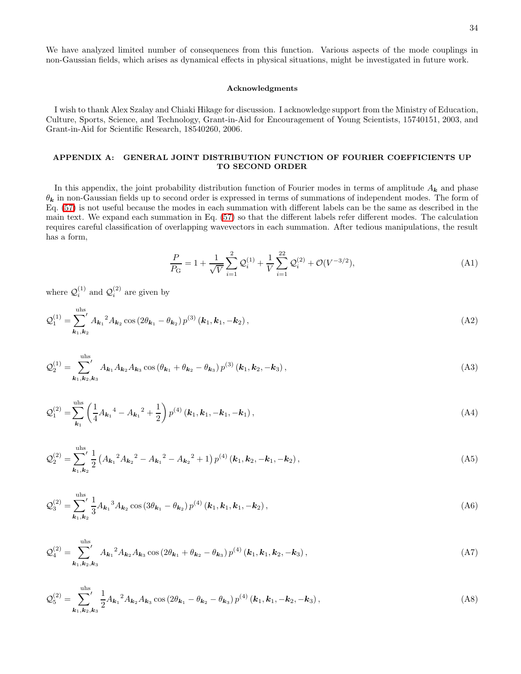We have analyzed limited number of consequences from this function. Various aspects of the mode couplings in non-Gaussian fields, which arises as dynamical effects in physical situations, might be investigated in future work.

# Acknowledgments

I wish to thank Alex Szalay and Chiaki Hikage for discussion. I acknowledge support from the Ministry of Education, Culture, Sports, Science, and Technology, Grant-in-Aid for Encouragement of Young Scientists, 15740151, 2003, and Grant-in-Aid for Scientific Research, 18540260, 2006.

# <span id="page-33-0"></span>APPENDIX A: GENERAL JOINT DISTRIBUTION FUNCTION OF FOURIER COEFFICIENTS UP TO SECOND ORDER

In this appendix, the joint probability distribution function of Fourier modes in terms of amplitude  $A_k$  and phase  $\theta_k$  in non-Gaussian fields up to second order is expressed in terms of summations of independent modes. The form of Eq. [\(57\)](#page-8-0) is not useful because the modes in each summation with different labels can be the same as described in the main text. We expand each summation in Eq. [\(57\)](#page-8-0) so that the different labels refer different modes. The calculation requires careful classification of overlapping wavevectors in each summation. After tedious manipulations, the result has a form,

$$
\frac{P}{P_{\rm G}} = 1 + \frac{1}{\sqrt{V}} \sum_{i=1}^{2} \mathcal{Q}_i^{(1)} + \frac{1}{V} \sum_{i=1}^{22} \mathcal{Q}_i^{(2)} + \mathcal{O}(V^{-3/2}),\tag{A1}
$$

where  $\mathcal{Q}_i^{(1)}$  and  $\mathcal{Q}_i^{(2)}$  are given by

$$
\mathcal{Q}_1^{(1)} = \sum_{\mathbf{k}_1, \mathbf{k}_2}^{\text{uhs}} A_{\mathbf{k}_1}^2 A_{\mathbf{k}_2} \cos \left( 2\theta_{\mathbf{k}_1} - \theta_{\mathbf{k}_2} \right) p^{(3)} \left( \mathbf{k}_1, \mathbf{k}_1, -\mathbf{k}_2 \right), \tag{A2}
$$

$$
\mathcal{Q}_{2}^{(1)} = \sum_{\mathbf{k}_{1},\mathbf{k}_{2},\mathbf{k}_{3}}^{\text{uhs}} A_{\mathbf{k}_{1}} A_{\mathbf{k}_{2}} A_{\mathbf{k}_{3}} \cos \left(\theta_{\mathbf{k}_{1}} + \theta_{\mathbf{k}_{2}} - \theta_{\mathbf{k}_{3}}\right) p^{(3)}\left(\mathbf{k}_{1},\mathbf{k}_{2},-\mathbf{k}_{3}\right),\tag{A3}
$$

$$
\mathcal{Q}_{1}^{(2)} = \sum_{\mathbf{k}_{1}}^{\text{uhs}} \left( \frac{1}{4} A_{\mathbf{k}_{1}}^{4} - A_{\mathbf{k}_{1}}^{2} + \frac{1}{2} \right) p^{(4)} (\mathbf{k}_{1}, \mathbf{k}_{1}, -\mathbf{k}_{1}, -\mathbf{k}_{1}), \qquad (A4)
$$

$$
\mathcal{Q}_2^{(2)} = \sum_{k_1, k_2}^{u_{hs}} \frac{1}{2} \left( A_{k_1}{}^2 A_{k_2}{}^2 - A_{k_1}{}^2 - A_{k_2}{}^2 + 1 \right) p^{(4)} \left( k_1, k_2, -k_1, -k_2 \right), \tag{A5}
$$

$$
\mathcal{Q}_3^{(2)} = \sum_{k_1, k_2}^{uhs} \frac{1}{3} A_{k_1}{}^3 A_{k_2} \cos \left( 3\theta_{k_1} - \theta_{k_2} \right) p^{(4)} \left( k_1, k_1, k_1, -k_2 \right), \tag{A6}
$$

$$
\mathcal{Q}_4^{(2)} = \sum_{\mathbf{k}_1, \mathbf{k}_2, \mathbf{k}_3}^{\text{uhs}} A_{\mathbf{k}_1}{}^2 A_{\mathbf{k}_2} A_{\mathbf{k}_3} \cos \left( 2\theta_{\mathbf{k}_1} + \theta_{\mathbf{k}_2} - \theta_{\mathbf{k}_3} \right) p^{(4)} (\mathbf{k}_1, \mathbf{k}_1, \mathbf{k}_2, -\mathbf{k}_3), \tag{A7}
$$

$$
\mathcal{Q}_{5}^{(2)} = \sum_{\mathbf{k}_1, \mathbf{k}_2, \mathbf{k}_3}^{\text{uhs}} \frac{1}{2} A_{\mathbf{k}_1}{}^2 A_{\mathbf{k}_2} A_{\mathbf{k}_3} \cos \left( 2\theta_{\mathbf{k}_1} - \theta_{\mathbf{k}_2} - \theta_{\mathbf{k}_3} \right) p^{(4)} \left( \mathbf{k}_1, \mathbf{k}_1, -\mathbf{k}_2, -\mathbf{k}_3 \right), \tag{A8}
$$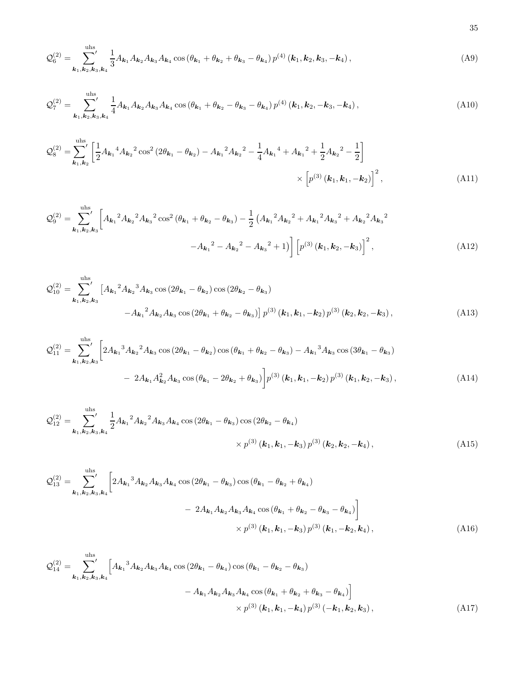$$
\mathcal{Q}_6^{(2)} = \sum_{\mathbf{k}_1, \mathbf{k}_2, \mathbf{k}_3, \mathbf{k}_4}^{\text{uhs}} \frac{1}{3} A_{\mathbf{k}_1} A_{\mathbf{k}_2} A_{\mathbf{k}_3} A_{\mathbf{k}_4} \cos \left( \theta_{\mathbf{k}_1} + \theta_{\mathbf{k}_2} + \theta_{\mathbf{k}_3} - \theta_{\mathbf{k}_4} \right) p^{(4)} \left( \mathbf{k}_1, \mathbf{k}_2, \mathbf{k}_3, -\mathbf{k}_4 \right), \tag{A9}
$$

$$
\mathcal{Q}_7^{(2)} = \sum_{\mathbf{k}_1, \mathbf{k}_2, \mathbf{k}_3, \mathbf{k}_4}^{\text{uhs}} \frac{1}{4} A_{\mathbf{k}_1} A_{\mathbf{k}_2} A_{\mathbf{k}_3} A_{\mathbf{k}_4} \cos \left( \theta_{\mathbf{k}_1} + \theta_{\mathbf{k}_2} - \theta_{\mathbf{k}_3} - \theta_{\mathbf{k}_4} \right) p^{(4)} (\mathbf{k}_1, \mathbf{k}_2, -\mathbf{k}_3, -\mathbf{k}_4), \tag{A10}
$$

$$
\mathcal{Q}_{8}^{(2)} = \sum_{\mathbf{k}_{1},\mathbf{k}_{2}}^{\text{uhs}} \left[ \frac{1}{2} A_{\mathbf{k}_{1}}^{4} A_{\mathbf{k}_{2}}^{2} \cos^{2} (2\theta_{\mathbf{k}_{1}} - \theta_{\mathbf{k}_{2}}) - A_{\mathbf{k}_{1}}^{2} A_{\mathbf{k}_{2}}^{2} - \frac{1}{4} A_{\mathbf{k}_{1}}^{4} + A_{\mathbf{k}_{1}}^{2} + \frac{1}{2} A_{\mathbf{k}_{2}}^{2} - \frac{1}{2} \right] \times \left[ p^{(3)} \left( \mathbf{k}_{1}, \mathbf{k}_{1}, -\mathbf{k}_{2} \right) \right]^{2}, \tag{A11}
$$

$$
\mathcal{Q}_9^{(2)} = \sum_{\mathbf{k}_1, \mathbf{k}_2, \mathbf{k}_3}^{\text{uhs}} \left[ A_{\mathbf{k}_1}{}^2 A_{\mathbf{k}_2}{}^2 A_{\mathbf{k}_3}{}^2 \cos^2 (\theta_{\mathbf{k}_1} + \theta_{\mathbf{k}_2} - \theta_{\mathbf{k}_3}) - \frac{1}{2} \left( A_{\mathbf{k}_1}{}^2 A_{\mathbf{k}_2}{}^2 + A_{\mathbf{k}_1}{}^2 A_{\mathbf{k}_3}{}^2 + A_{\mathbf{k}_2}{}^2 A_{\mathbf{k}_3}{}^2 - A_{\mathbf{k}_3}{}^2 + A_{\mathbf{k}_3}{}^2 A_{\mathbf{k}_3}{}^2 \right) \right] \left[ p^{(3)} \left( \mathbf{k}_1, \mathbf{k}_2, -\mathbf{k}_3 \right) \right]^2, \tag{A12}
$$

$$
Q_{10}^{(2)} = \sum_{\mathbf{k}_1, \mathbf{k}_2, \mathbf{k}_3}^{\text{uhs}} \left[ A_{\mathbf{k}_1}{}^2 A_{\mathbf{k}_2}{}^3 A_{\mathbf{k}_3} \cos (2\theta_{\mathbf{k}_1} - \theta_{\mathbf{k}_2}) \cos (2\theta_{\mathbf{k}_2} - \theta_{\mathbf{k}_3}) \right. \\
\left. - A_{\mathbf{k}_1}{}^2 A_{\mathbf{k}_2} A_{\mathbf{k}_3} \cos (2\theta_{\mathbf{k}_1} + \theta_{\mathbf{k}_2} - \theta_{\mathbf{k}_3}) \right] p^{(3)} (\mathbf{k}_1, \mathbf{k}_1, -\mathbf{k}_2) p^{(3)} (\mathbf{k}_2, \mathbf{k}_2, -\mathbf{k}_3),
$$
\n(A13)

$$
\mathcal{Q}_{11}^{(2)} = \sum_{\mathbf{k}_1, \mathbf{k}_2, \mathbf{k}_3}^{\text{uhs}} \left[ 2 A_{\mathbf{k}_1}{}^3 A_{\mathbf{k}_2}{}^2 A_{\mathbf{k}_3} \cos (2\theta_{\mathbf{k}_1} - \theta_{\mathbf{k}_2}) \cos (\theta_{\mathbf{k}_1} + \theta_{\mathbf{k}_2} - \theta_{\mathbf{k}_3}) - A_{\mathbf{k}_1}{}^3 A_{\mathbf{k}_3} \cos (3\theta_{\mathbf{k}_1} - \theta_{\mathbf{k}_3}) - 2 A_{\mathbf{k}_1} A_{\mathbf{k}_2}^2 A_{\mathbf{k}_3} \cos (\theta_{\mathbf{k}_1} - 2\theta_{\mathbf{k}_2} + \theta_{\mathbf{k}_3}) \right] p^{(3)} (\mathbf{k}_1, \mathbf{k}_1, -\mathbf{k}_2) p^{(3)} (\mathbf{k}_1, \mathbf{k}_2, -\mathbf{k}_3), \tag{A14}
$$

$$
\mathcal{Q}_{12}^{(2)} = \sum_{\mathbf{k}_1, \mathbf{k}_2, \mathbf{k}_3, \mathbf{k}_4}^{\text{uhs}} \frac{1}{2} A_{\mathbf{k}_1}{}^2 A_{\mathbf{k}_2}{}^2 A_{\mathbf{k}_3} A_{\mathbf{k}_4} \cos (2\theta_{\mathbf{k}_1} - \theta_{\mathbf{k}_3}) \cos (2\theta_{\mathbf{k}_2} - \theta_{\mathbf{k}_4}) \times p^{(3)}(\mathbf{k}_1, \mathbf{k}_1, -\mathbf{k}_3) p^{(3)}(\mathbf{k}_2, \mathbf{k}_2, -\mathbf{k}_4), \tag{A15}
$$

$$
\mathcal{Q}_{13}^{(2)} = \sum_{\mathbf{k}_1, \mathbf{k}_2, \mathbf{k}_3, \mathbf{k}_4}^{\text{uhs}} \left[ 2A_{\mathbf{k}_1}{}^3 A_{\mathbf{k}_2} A_{\mathbf{k}_3} A_{\mathbf{k}_4} \cos (2\theta_{\mathbf{k}_1} - \theta_{\mathbf{k}_3}) \cos (\theta_{\mathbf{k}_1} - \theta_{\mathbf{k}_2} + \theta_{\mathbf{k}_4}) \right. \\
\left. - 2A_{\mathbf{k}_1} A_{\mathbf{k}_2} A_{\mathbf{k}_3} A_{\mathbf{k}_4} \cos (\theta_{\mathbf{k}_1} + \theta_{\mathbf{k}_2} - \theta_{\mathbf{k}_3} - \theta_{\mathbf{k}_4}) \right] \\
\times p^{(3)} (\mathbf{k}_1, \mathbf{k}_1, -\mathbf{k}_3) p^{(3)} (\mathbf{k}_1, -\mathbf{k}_2, \mathbf{k}_4),
$$
\n(A16)

$$
Q_{14}^{(2)} = \sum_{\mathbf{k}_1, \mathbf{k}_2, \mathbf{k}_3, \mathbf{k}_4}^{\text{uhs}} \left[ A_{\mathbf{k}_1}{}^3 A_{\mathbf{k}_2} A_{\mathbf{k}_3} A_{\mathbf{k}_4} \cos (2\theta_{\mathbf{k}_1} - \theta_{\mathbf{k}_4}) \cos (\theta_{\mathbf{k}_1} - \theta_{\mathbf{k}_2} - \theta_{\mathbf{k}_3}) - A_{\mathbf{k}_1} A_{\mathbf{k}_2} A_{\mathbf{k}_3} A_{\mathbf{k}_4} \cos (\theta_{\mathbf{k}_1} + \theta_{\mathbf{k}_2} + \theta_{\mathbf{k}_3} - \theta_{\mathbf{k}_4}) \right] \times p^{(3)} (\mathbf{k}_1, \mathbf{k}_1, -\mathbf{k}_4) p^{(3)} (-\mathbf{k}_1, \mathbf{k}_2, \mathbf{k}_3), \tag{A17}
$$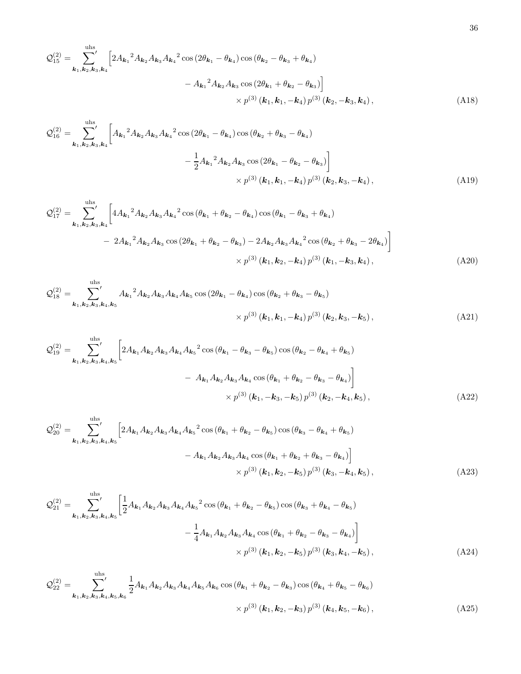$$
\mathcal{Q}_{15}^{(2)} = \sum_{\mathbf{k}_1, \mathbf{k}_2, \mathbf{k}_3, \mathbf{k}_4}^{\text{uhs}} \left[ 2 A_{\mathbf{k}_1}{}^2 A_{\mathbf{k}_2} A_{\mathbf{k}_3} A_{\mathbf{k}_4}{}^2 \cos \left( 2 \theta_{\mathbf{k}_1} - \theta_{\mathbf{k}_4} \right) \cos \left( \theta_{\mathbf{k}_2} - \theta_{\mathbf{k}_3} + \theta_{\mathbf{k}_4} \right) \right. \\
 \left. - A_{\mathbf{k}_1}{}^2 A_{\mathbf{k}_2} A_{\mathbf{k}_3} \cos \left( 2 \theta_{\mathbf{k}_1} + \theta_{\mathbf{k}_2} - \theta_{\mathbf{k}_3} \right) \right] \\
 \times p^{(3)} \left( \mathbf{k}_1, \mathbf{k}_1, -\mathbf{k}_4 \right) p^{(3)} \left( \mathbf{k}_2, -\mathbf{k}_3, \mathbf{k}_4 \right),
$$
\n(A18)

$$
\mathcal{Q}_{16}^{(2)} = \sum_{\mathbf{k}_1, \mathbf{k}_2, \mathbf{k}_3, \mathbf{k}_4}^{\text{uhs}} \left[ A_{\mathbf{k}_1}{}^2 A_{\mathbf{k}_2} A_{\mathbf{k}_3} A_{\mathbf{k}_4}{}^2 \cos \left( 2\theta_{\mathbf{k}_1} - \theta_{\mathbf{k}_4} \right) \cos \left( \theta_{\mathbf{k}_2} + \theta_{\mathbf{k}_3} - \theta_{\mathbf{k}_4} \right) \right] - \frac{1}{2} A_{\mathbf{k}_1}{}^2 A_{\mathbf{k}_2} A_{\mathbf{k}_3} \cos \left( 2\theta_{\mathbf{k}_1} - \theta_{\mathbf{k}_2} - \theta_{\mathbf{k}_3} \right) \times p^{(3)} \left( \mathbf{k}_1, \mathbf{k}_1, -\mathbf{k}_4 \right) p^{(3)} \left( \mathbf{k}_2, \mathbf{k}_3, -\mathbf{k}_4 \right),
$$
\n(A19)

$$
\mathcal{Q}_{17}^{(2)} = \sum_{\mathbf{k}_1, \mathbf{k}_2, \mathbf{k}_3, \mathbf{k}_4}^{\text{uhs}} \left[ 4A_{\mathbf{k}_1}{}^2 A_{\mathbf{k}_2} A_{\mathbf{k}_3} A_{\mathbf{k}_4}{}^2 \cos \left( \theta_{\mathbf{k}_1} + \theta_{\mathbf{k}_2} - \theta_{\mathbf{k}_4} \right) \cos \left( \theta_{\mathbf{k}_1} - \theta_{\mathbf{k}_3} + \theta_{\mathbf{k}_4} \right) \right] - 2A_{\mathbf{k}_1}{}^2 A_{\mathbf{k}_2} A_{\mathbf{k}_3} \cos \left( 2\theta_{\mathbf{k}_1} + \theta_{\mathbf{k}_2} - \theta_{\mathbf{k}_3} \right) - 2A_{\mathbf{k}_2} A_{\mathbf{k}_3} A_{\mathbf{k}_4}{}^2 \cos \left( \theta_{\mathbf{k}_2} + \theta_{\mathbf{k}_3} - 2\theta_{\mathbf{k}_4} \right) \right] \times p^{(3)} (\mathbf{k}_1, \mathbf{k}_2, -\mathbf{k}_4) p^{(3)} (\mathbf{k}_1, -\mathbf{k}_3, \mathbf{k}_4), \tag{A20}
$$

<span id="page-35-0"></span>
$$
\mathcal{Q}_{18}^{(2)} = \sum_{\mathbf{k}_1, \mathbf{k}_2, \mathbf{k}_3, \mathbf{k}_4, \mathbf{k}_5}^{\text{uhs}} A_{\mathbf{k}_1}{}^2 A_{\mathbf{k}_2} A_{\mathbf{k}_3} A_{\mathbf{k}_4} A_{\mathbf{k}_5} \cos (2\theta_{\mathbf{k}_1} - \theta_{\mathbf{k}_4}) \cos (\theta_{\mathbf{k}_2} + \theta_{\mathbf{k}_3} - \theta_{\mathbf{k}_5})
$$
  
 
$$
\times p^{(3)} (\mathbf{k}_1, \mathbf{k}_1, -\mathbf{k}_4) p^{(3)} (\mathbf{k}_2, \mathbf{k}_3, -\mathbf{k}_5), \qquad (A21)
$$

$$
Q_{19}^{(2)} = \sum_{\mathbf{k}_1, \mathbf{k}_2, \mathbf{k}_3, \mathbf{k}_4, \mathbf{k}_5}^{\text{uhs}} \left[ 2A_{\mathbf{k}_1} A_{\mathbf{k}_2} A_{\mathbf{k}_3} A_{\mathbf{k}_4} A_{\mathbf{k}_5}^2 \cos \left( \theta_{\mathbf{k}_1} - \theta_{\mathbf{k}_3} - \theta_{\mathbf{k}_5} \right) \cos \left( \theta_{\mathbf{k}_2} - \theta_{\mathbf{k}_4} + \theta_{\mathbf{k}_5} \right) \right] - A_{\mathbf{k}_1} A_{\mathbf{k}_2} A_{\mathbf{k}_3} A_{\mathbf{k}_4} \cos \left( \theta_{\mathbf{k}_1} + \theta_{\mathbf{k}_2} - \theta_{\mathbf{k}_3} - \theta_{\mathbf{k}_4} \right) \right] \times p^{(3)} (\mathbf{k}_1, -\mathbf{k}_3, -\mathbf{k}_5) p^{(3)} (\mathbf{k}_2, -\mathbf{k}_4, \mathbf{k}_5),
$$
 (A22)

$$
\mathcal{Q}_{20}^{(2)} = \sum_{\mathbf{k}_1, \mathbf{k}_2, \mathbf{k}_3, \mathbf{k}_4, \mathbf{k}_5}^{\text{uhs}} \left[ 2A_{\mathbf{k}_1} A_{\mathbf{k}_2} A_{\mathbf{k}_3} A_{\mathbf{k}_4} A_{\mathbf{k}_5}^2 \cos \left( \theta_{\mathbf{k}_1} + \theta_{\mathbf{k}_2} - \theta_{\mathbf{k}_5} \right) \cos \left( \theta_{\mathbf{k}_3} - \theta_{\mathbf{k}_4} + \theta_{\mathbf{k}_5} \right) \right] - A_{\mathbf{k}_1} A_{\mathbf{k}_2} A_{\mathbf{k}_3} A_{\mathbf{k}_4} \cos \left( \theta_{\mathbf{k}_1} + \theta_{\mathbf{k}_2} + \theta_{\mathbf{k}_3} - \theta_{\mathbf{k}_4} \right) \right] \times p^{(3)} (\mathbf{k}_1, \mathbf{k}_2, -\mathbf{k}_5) p^{(3)} (\mathbf{k}_3, -\mathbf{k}_4, \mathbf{k}_5),
$$
 (A23)

$$
\mathcal{Q}_{21}^{(2)} = \sum_{\mathbf{k}_1, \mathbf{k}_2, \mathbf{k}_3, \mathbf{k}_4, \mathbf{k}_5}^{\text{uhs}} \left[ \frac{1}{2} A_{\mathbf{k}_1} A_{\mathbf{k}_2} A_{\mathbf{k}_3} A_{\mathbf{k}_4} A_{\mathbf{k}_5}^2 \cos \left( \theta_{\mathbf{k}_1} + \theta_{\mathbf{k}_2} - \theta_{\mathbf{k}_5} \right) \cos \left( \theta_{\mathbf{k}_3} + \theta_{\mathbf{k}_4} - \theta_{\mathbf{k}_5} \right) \right] - \frac{1}{4} A_{\mathbf{k}_1} A_{\mathbf{k}_2} A_{\mathbf{k}_3} A_{\mathbf{k}_4} \cos \left( \theta_{\mathbf{k}_1} + \theta_{\mathbf{k}_2} - \theta_{\mathbf{k}_3} - \theta_{\mathbf{k}_4} \right) \Bigg] \times p^{(3)} (\mathbf{k}_1, \mathbf{k}_2, -\mathbf{k}_5) p^{(3)} (\mathbf{k}_3, \mathbf{k}_4, -\mathbf{k}_5),
$$
 (A24)

<span id="page-35-1"></span>
$$
\mathcal{Q}_{22}^{(2)} = \sum_{\mathbf{k}_1, \mathbf{k}_2, \mathbf{k}_3, \mathbf{k}_4, \mathbf{k}_5, \mathbf{k}_6}^{\text{uhs}} \frac{1}{2} A_{\mathbf{k}_1} A_{\mathbf{k}_2} A_{\mathbf{k}_3} A_{\mathbf{k}_4} A_{\mathbf{k}_5} A_{\mathbf{k}_6} \cos \left(\theta_{\mathbf{k}_1} + \theta_{\mathbf{k}_2} - \theta_{\mathbf{k}_3}\right) \cos \left(\theta_{\mathbf{k}_4} + \theta_{\mathbf{k}_5} - \theta_{\mathbf{k}_6}\right) \times p^{(3)} \left(\mathbf{k}_1, \mathbf{k}_2, -\mathbf{k}_3\right) p^{(3)} \left(\mathbf{k}_4, \mathbf{k}_5, -\mathbf{k}_6\right),
$$
\n(A25)